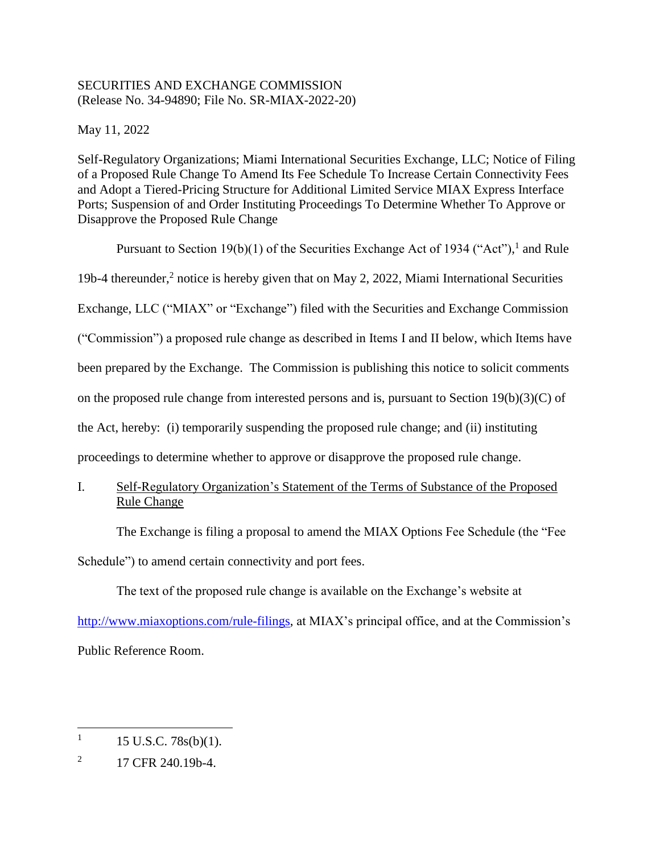# SECURITIES AND EXCHANGE COMMISSION (Release No. 34-94890; File No. SR-MIAX-2022-20)

May 11, 2022

Self-Regulatory Organizations; Miami International Securities Exchange, LLC; Notice of Filing of a Proposed Rule Change To Amend Its Fee Schedule To Increase Certain Connectivity Fees and Adopt a Tiered-Pricing Structure for Additional Limited Service MIAX Express Interface Ports; Suspension of and Order Instituting Proceedings To Determine Whether To Approve or Disapprove the Proposed Rule Change

Pursuant to Section 19(b)(1) of the Securities Exchange Act of 1934 ("Act"), and Rule 19b-4 thereunder,<sup>2</sup> notice is hereby given that on May 2, 2022, Miami International Securities Exchange, LLC ("MIAX" or "Exchange") filed with the Securities and Exchange Commission ("Commission") a proposed rule change as described in Items I and II below, which Items have been prepared by the Exchange. The Commission is publishing this notice to solicit comments on the proposed rule change from interested persons and is, pursuant to Section 19(b)(3)(C) of the Act, hereby: (i) temporarily suspending the proposed rule change; and (ii) instituting proceedings to determine whether to approve or disapprove the proposed rule change.

I. Self-Regulatory Organization's Statement of the Terms of Substance of the Proposed Rule Change

The Exchange is filing a proposal to amend the MIAX Options Fee Schedule (the "Fee

Schedule") to amend certain connectivity and port fees.

The text of the proposed rule change is available on the Exchange's website at

[http://www.miaxoptions.com/rule-filings,](http://www.miaxoptions.com/rule-filings) at MIAX's principal office, and at the Commission's Public Reference Room.

 $\overline{a}$ 1 15 U.S.C. 78s(b)(1).

<sup>2</sup> 17 CFR 240.19b-4.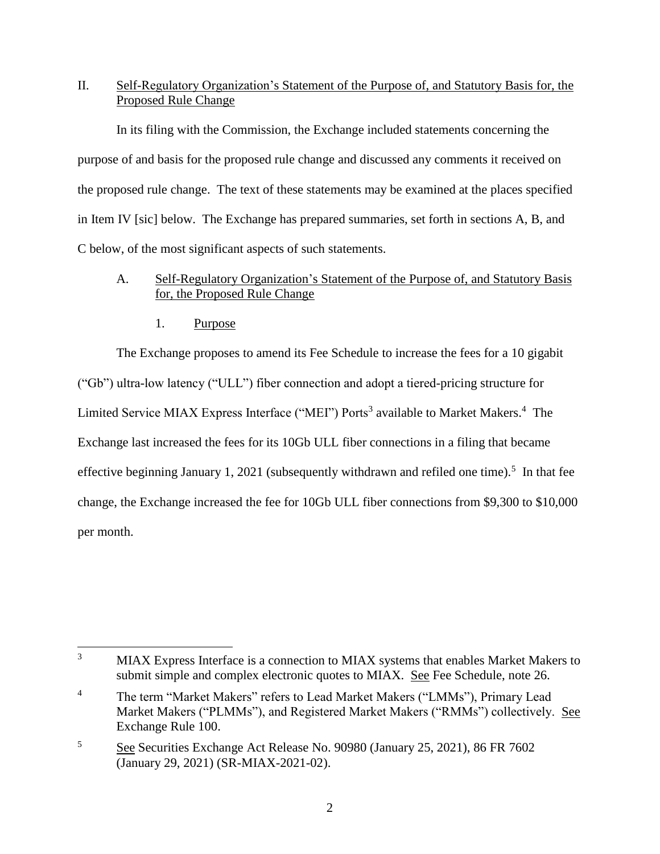# II. Self-Regulatory Organization's Statement of the Purpose of, and Statutory Basis for, the Proposed Rule Change

In its filing with the Commission, the Exchange included statements concerning the purpose of and basis for the proposed rule change and discussed any comments it received on the proposed rule change. The text of these statements may be examined at the places specified in Item IV [sic] below. The Exchange has prepared summaries, set forth in sections A, B, and C below, of the most significant aspects of such statements.

# A. Self-Regulatory Organization's Statement of the Purpose of, and Statutory Basis for, the Proposed Rule Change

1. Purpose

The Exchange proposes to amend its Fee Schedule to increase the fees for a 10 gigabit ("Gb") ultra-low latency ("ULL") fiber connection and adopt a tiered-pricing structure for Limited Service MIAX Express Interface ("MEI") Ports<sup>3</sup> available to Market Makers.<sup>4</sup> The Exchange last increased the fees for its 10Gb ULL fiber connections in a filing that became effective beginning January 1, 2021 (subsequently withdrawn and refiled one time).<sup>5</sup> In that fee change, the Exchange increased the fee for 10Gb ULL fiber connections from \$9,300 to \$10,000 per month.

 $\overline{3}$ MIAX Express Interface is a connection to MIAX systems that enables Market Makers to submit simple and complex electronic quotes to MIAX. See Fee Schedule, note 26.

<sup>&</sup>lt;sup>4</sup> The term "Market Makers" refers to Lead Market Makers ("LMMs"), Primary Lead Market Makers ("PLMMs"), and Registered Market Makers ("RMMs") collectively. See Exchange Rule 100.

<sup>5</sup> See Securities Exchange Act Release No. 90980 (January 25, 2021), 86 FR 7602 (January 29, 2021) (SR-MIAX-2021-02).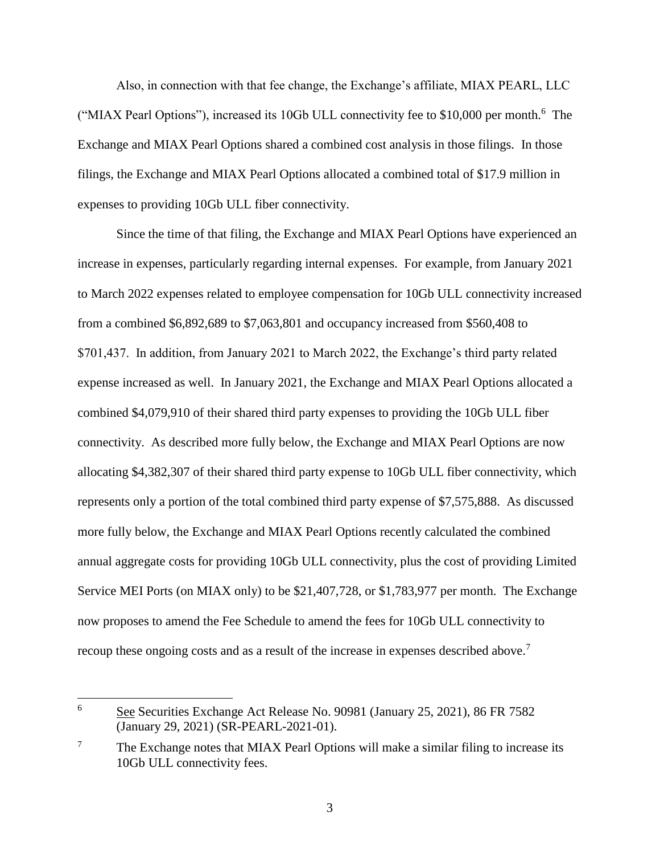Also, in connection with that fee change, the Exchange's affiliate, MIAX PEARL, LLC ("MIAX Pearl Options"), increased its 10Gb ULL connectivity fee to \$10,000 per month.<sup>6</sup> The Exchange and MIAX Pearl Options shared a combined cost analysis in those filings. In those filings, the Exchange and MIAX Pearl Options allocated a combined total of \$17.9 million in expenses to providing 10Gb ULL fiber connectivity.

Since the time of that filing, the Exchange and MIAX Pearl Options have experienced an increase in expenses, particularly regarding internal expenses. For example, from January 2021 to March 2022 expenses related to employee compensation for 10Gb ULL connectivity increased from a combined \$6,892,689 to \$7,063,801 and occupancy increased from \$560,408 to \$701,437. In addition, from January 2021 to March 2022, the Exchange's third party related expense increased as well. In January 2021, the Exchange and MIAX Pearl Options allocated a combined \$4,079,910 of their shared third party expenses to providing the 10Gb ULL fiber connectivity. As described more fully below, the Exchange and MIAX Pearl Options are now allocating \$4,382,307 of their shared third party expense to 10Gb ULL fiber connectivity, which represents only a portion of the total combined third party expense of \$7,575,888. As discussed more fully below, the Exchange and MIAX Pearl Options recently calculated the combined annual aggregate costs for providing 10Gb ULL connectivity, plus the cost of providing Limited Service MEI Ports (on MIAX only) to be \$21,407,728, or \$1,783,977 per month. The Exchange now proposes to amend the Fee Schedule to amend the fees for 10Gb ULL connectivity to recoup these ongoing costs and as a result of the increase in expenses described above.<sup>7</sup>

<sup>6</sup> See Securities Exchange Act Release No. 90981 (January 25, 2021), 86 FR 7582 (January 29, 2021) (SR-PEARL-2021-01).

l

<sup>&</sup>lt;sup>7</sup> The Exchange notes that MIAX Pearl Options will make a similar filing to increase its 10Gb ULL connectivity fees.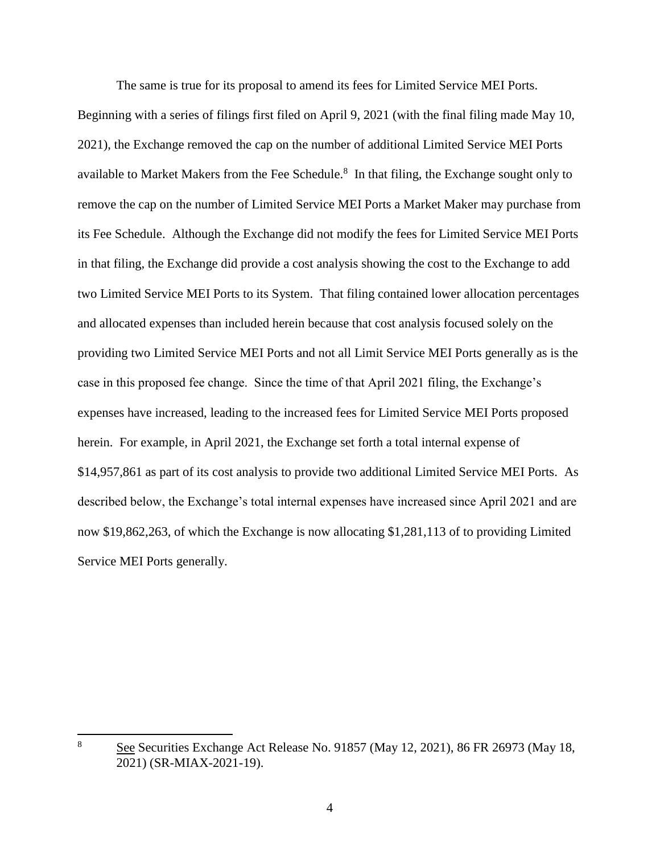The same is true for its proposal to amend its fees for Limited Service MEI Ports.

Beginning with a series of filings first filed on April 9, 2021 (with the final filing made May 10, 2021), the Exchange removed the cap on the number of additional Limited Service MEI Ports available to Market Makers from the Fee Schedule. $8\,$  In that filing, the Exchange sought only to remove the cap on the number of Limited Service MEI Ports a Market Maker may purchase from its Fee Schedule. Although the Exchange did not modify the fees for Limited Service MEI Ports in that filing, the Exchange did provide a cost analysis showing the cost to the Exchange to add two Limited Service MEI Ports to its System. That filing contained lower allocation percentages and allocated expenses than included herein because that cost analysis focused solely on the providing two Limited Service MEI Ports and not all Limit Service MEI Ports generally as is the case in this proposed fee change. Since the time of that April 2021 filing, the Exchange's expenses have increased, leading to the increased fees for Limited Service MEI Ports proposed herein. For example, in April 2021, the Exchange set forth a total internal expense of \$14,957,861 as part of its cost analysis to provide two additional Limited Service MEI Ports. As described below, the Exchange's total internal expenses have increased since April 2021 and are now \$19,862,263, of which the Exchange is now allocating \$1,281,113 of to providing Limited Service MEI Ports generally.

<sup>8</sup> <sup>8</sup> See Securities Exchange Act Release No. 91857 (May 12, 2021), 86 FR 26973 (May 18, 2021) (SR-MIAX-2021-19).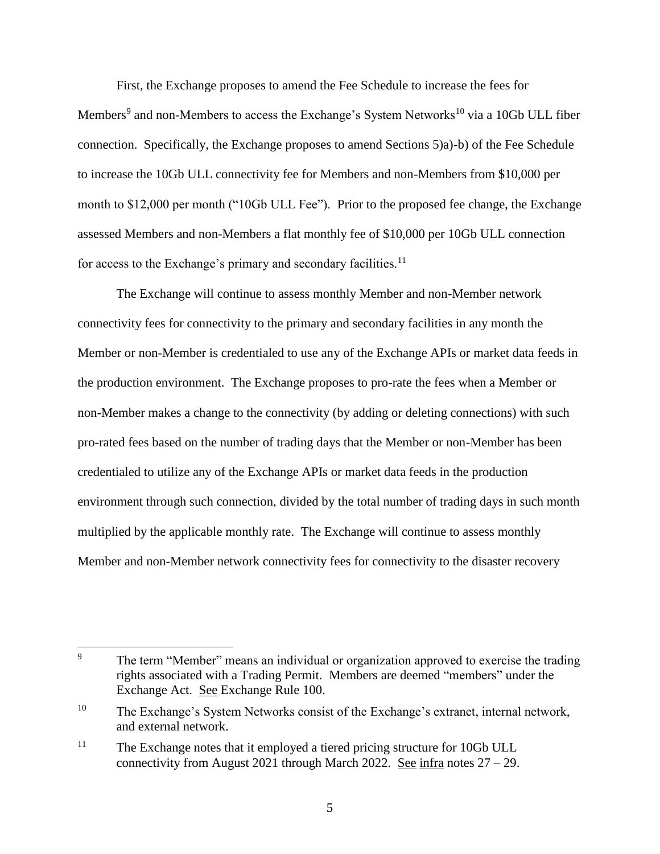First, the Exchange proposes to amend the Fee Schedule to increase the fees for Members<sup>9</sup> and non-Members to access the Exchange's System Networks<sup>10</sup> via a 10Gb ULL fiber connection. Specifically, the Exchange proposes to amend Sections 5)a)-b) of the Fee Schedule to increase the 10Gb ULL connectivity fee for Members and non-Members from \$10,000 per month to \$12,000 per month ("10Gb ULL Fee"). Prior to the proposed fee change, the Exchange assessed Members and non-Members a flat monthly fee of \$10,000 per 10Gb ULL connection for access to the Exchange's primary and secondary facilities. $11$ 

The Exchange will continue to assess monthly Member and non-Member network connectivity fees for connectivity to the primary and secondary facilities in any month the Member or non-Member is credentialed to use any of the Exchange APIs or market data feeds in the production environment. The Exchange proposes to pro-rate the fees when a Member or non-Member makes a change to the connectivity (by adding or deleting connections) with such pro-rated fees based on the number of trading days that the Member or non-Member has been credentialed to utilize any of the Exchange APIs or market data feeds in the production environment through such connection, divided by the total number of trading days in such month multiplied by the applicable monthly rate. The Exchange will continue to assess monthly Member and non-Member network connectivity fees for connectivity to the disaster recovery

 $\overline{9}$ The term "Member" means an individual or organization approved to exercise the trading rights associated with a Trading Permit. Members are deemed "members" under the Exchange Act. See Exchange Rule 100.

<sup>&</sup>lt;sup>10</sup> The Exchange's System Networks consist of the Exchange's extranet, internal network, and external network.

<sup>&</sup>lt;sup>11</sup> The Exchange notes that it employed a tiered pricing structure for 10Gb ULL connectivity from August 2021 through March 2022. See infra notes  $27 - 29$ .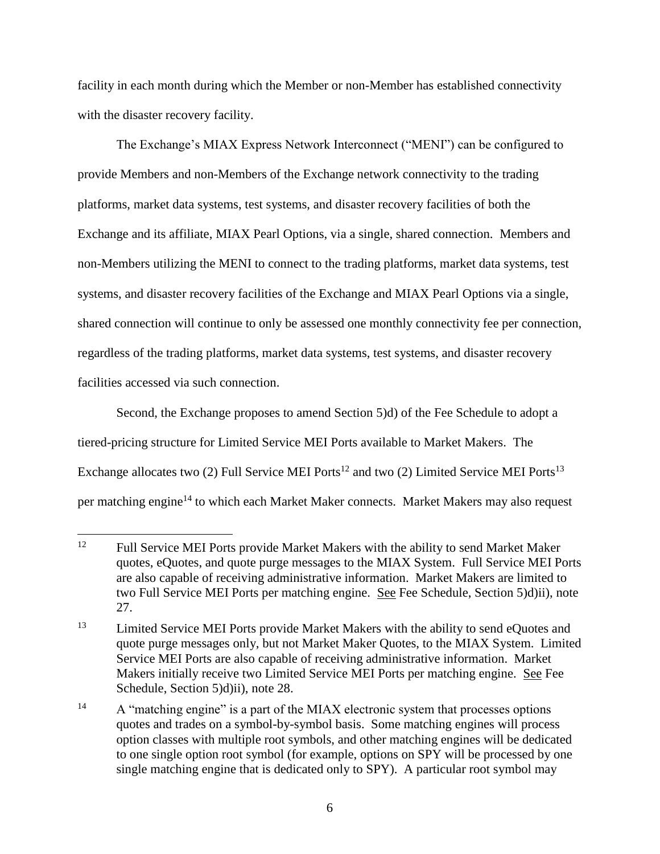facility in each month during which the Member or non-Member has established connectivity with the disaster recovery facility.

The Exchange's MIAX Express Network Interconnect ("MENI") can be configured to provide Members and non-Members of the Exchange network connectivity to the trading platforms, market data systems, test systems, and disaster recovery facilities of both the Exchange and its affiliate, MIAX Pearl Options, via a single, shared connection. Members and non-Members utilizing the MENI to connect to the trading platforms, market data systems, test systems, and disaster recovery facilities of the Exchange and MIAX Pearl Options via a single, shared connection will continue to only be assessed one monthly connectivity fee per connection, regardless of the trading platforms, market data systems, test systems, and disaster recovery facilities accessed via such connection.

Second, the Exchange proposes to amend Section 5)d) of the Fee Schedule to adopt a tiered-pricing structure for Limited Service MEI Ports available to Market Makers. The Exchange allocates two (2) Full Service MEI Ports<sup>12</sup> and two (2) Limited Service MEI Ports<sup>13</sup> per matching engine<sup>14</sup> to which each Market Maker connects. Market Makers may also request

<sup>12</sup> <sup>12</sup> Full Service MEI Ports provide Market Makers with the ability to send Market Maker quotes, eQuotes, and quote purge messages to the MIAX System. Full Service MEI Ports are also capable of receiving administrative information. Market Makers are limited to two Full Service MEI Ports per matching engine. See Fee Schedule, Section 5)d)ii), note 27.

<sup>&</sup>lt;sup>13</sup> Limited Service MEI Ports provide Market Makers with the ability to send eQuotes and quote purge messages only, but not Market Maker Quotes, to the MIAX System. Limited Service MEI Ports are also capable of receiving administrative information. Market Makers initially receive two Limited Service MEI Ports per matching engine. See Fee Schedule, Section 5)d)ii), note 28.

<sup>&</sup>lt;sup>14</sup> A "matching engine" is a part of the MIAX electronic system that processes options quotes and trades on a symbol-by-symbol basis. Some matching engines will process option classes with multiple root symbols, and other matching engines will be dedicated to one single option root symbol (for example, options on SPY will be processed by one single matching engine that is dedicated only to SPY). A particular root symbol may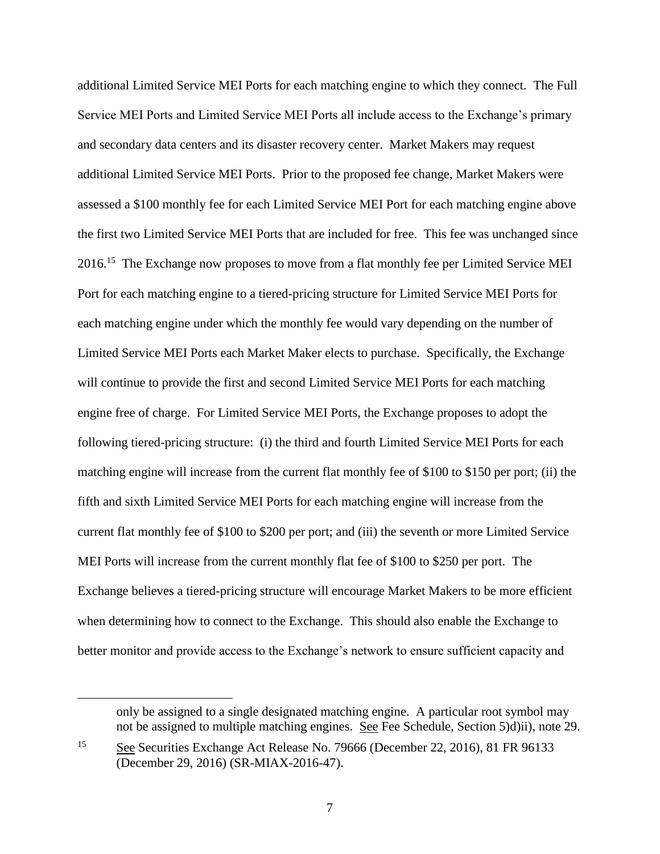additional Limited Service MEI Ports for each matching engine to which they connect. The Full Service MEI Ports and Limited Service MEI Ports all include access to the Exchange's primary and secondary data centers and its disaster recovery center. Market Makers may request additional Limited Service MEI Ports. Prior to the proposed fee change, Market Makers were assessed a \$100 monthly fee for each Limited Service MEI Port for each matching engine above the first two Limited Service MEI Ports that are included for free. This fee was unchanged since 2016.<sup>15</sup> The Exchange now proposes to move from a flat monthly fee per Limited Service MEI Port for each matching engine to a tiered-pricing structure for Limited Service MEI Ports for each matching engine under which the monthly fee would vary depending on the number of Limited Service MEI Ports each Market Maker elects to purchase. Specifically, the Exchange will continue to provide the first and second Limited Service MEI Ports for each matching engine free of charge. For Limited Service MEI Ports, the Exchange proposes to adopt the following tiered-pricing structure: (i) the third and fourth Limited Service MEI Ports for each matching engine will increase from the current flat monthly fee of \$100 to \$150 per port; (ii) the fifth and sixth Limited Service MEI Ports for each matching engine will increase from the current flat monthly fee of \$100 to \$200 per port; and (iii) the seventh or more Limited Service MEI Ports will increase from the current monthly flat fee of \$100 to \$250 per port. The Exchange believes a tiered-pricing structure will encourage Market Makers to be more efficient when determining how to connect to the Exchange. This should also enable the Exchange to better monitor and provide access to the Exchange's network to ensure sufficient capacity and

l

only be assigned to a single designated matching engine. A particular root symbol may not be assigned to multiple matching engines. See Fee Schedule, Section 5)d)ii), note 29.

<sup>15</sup> See Securities Exchange Act Release No. 79666 (December 22, 2016), 81 FR 96133 (December 29, 2016) (SR-MIAX-2016-47).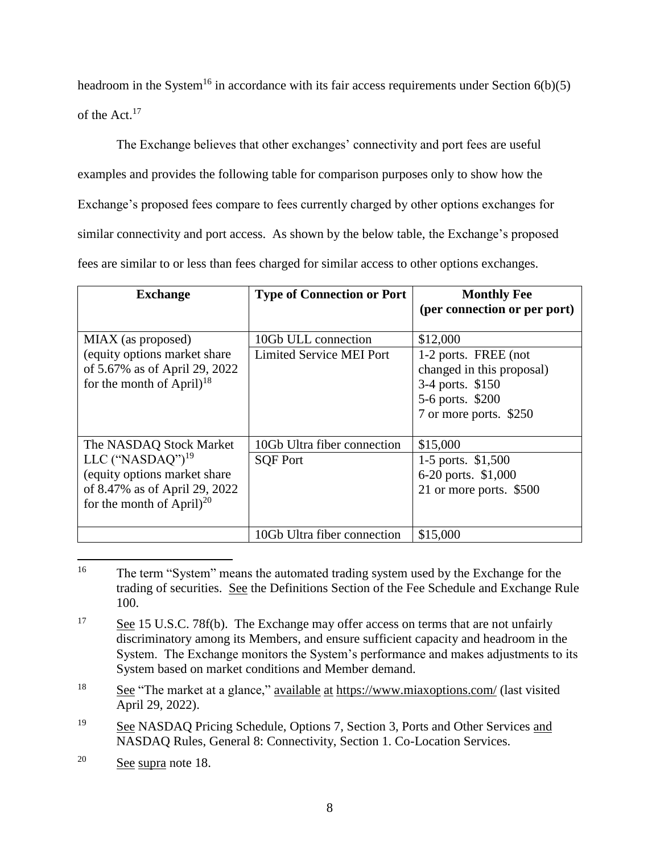headroom in the System<sup>16</sup> in accordance with its fair access requirements under Section  $6(b)(5)$ of the Act.<sup>17</sup>

The Exchange believes that other exchanges' connectivity and port fees are useful examples and provides the following table for comparison purposes only to show how the Exchange's proposed fees compare to fees currently charged by other options exchanges for similar connectivity and port access. As shown by the below table, the Exchange's proposed fees are similar to or less than fees charged for similar access to other options exchanges.

| <b>Exchange</b>                                                                                                                                       | <b>Type of Connection or Port</b>                      | <b>Monthly Fee</b><br>(per connection or per port)                                                                              |
|-------------------------------------------------------------------------------------------------------------------------------------------------------|--------------------------------------------------------|---------------------------------------------------------------------------------------------------------------------------------|
| MIAX (as proposed)<br>(equity options market share)<br>of 5.67% as of April 29, 2022<br>for the month of April) <sup>18</sup>                         | 10Gb ULL connection<br><b>Limited Service MEI Port</b> | \$12,000<br>1-2 ports. FREE (not<br>changed in this proposal)<br>3-4 ports. \$150<br>5-6 ports. \$200<br>7 or more ports. \$250 |
| The NASDAQ Stock Market<br>LLC $("NASDAO")^{19}$<br>(equity options market share)<br>of 8.47% as of April 29, 2022<br>for the month of April $)^{20}$ | 10Gb Ultra fiber connection<br><b>SQF Port</b>         | \$15,000<br>1-5 ports. \$1,500<br>6-20 ports. \$1,000<br>21 or more ports. \$500                                                |
|                                                                                                                                                       | 10Gb Ultra fiber connection                            | \$15,000                                                                                                                        |

<sup>16</sup> The term "System" means the automated trading system used by the Exchange for the trading of securities. See the Definitions Section of the Fee Schedule and Exchange Rule 100.

<sup>19</sup> See NASDAQ Pricing Schedule, Options 7, Section 3, Ports and Other Services and NASDAQ Rules, General 8: Connectivity, Section 1. Co-Location Services.

<sup>&</sup>lt;sup>17</sup> See 15 U.S.C. 78f(b). The Exchange may offer access on terms that are not unfairly discriminatory among its Members, and ensure sufficient capacity and headroom in the System. The Exchange monitors the System's performance and makes adjustments to its System based on market conditions and Member demand.

<sup>&</sup>lt;sup>18</sup> See "The market at a glance," available at <https://www.miaxoptions.com/> (last visited April 29, 2022).

<sup>20</sup> See supra note 18.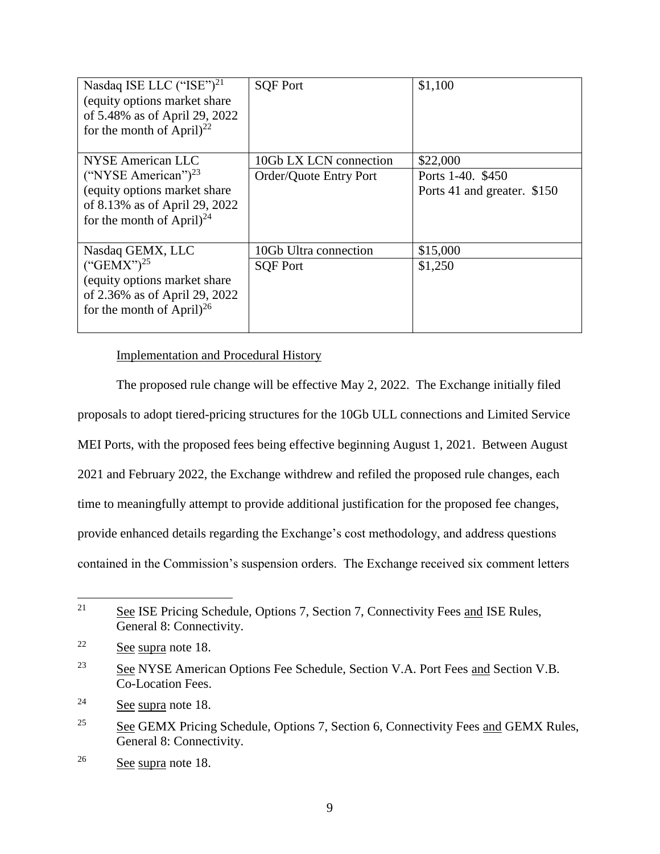| Nasdaq ISE LLC $("ISE")21$<br>(equity options market share)<br>of 5.48% as of April 29, 2022<br>for the month of April $)^{22}$ | <b>SQF Port</b>        | \$1,100                                          |
|---------------------------------------------------------------------------------------------------------------------------------|------------------------|--------------------------------------------------|
| NYSE American LLC                                                                                                               | 10Gb LX LCN connection | \$22,000                                         |
| ("NYSE American") $^{23}$<br>(equity options market share)<br>of 8.13% as of April 29, 2022                                     | Order/Quote Entry Port | Ports 1-40. \$450<br>Ports 41 and greater. \$150 |
| for the month of April $)^{24}$                                                                                                 |                        |                                                  |
| Nasdaq GEMX, LLC                                                                                                                | 10Gb Ultra connection  | \$15,000                                         |
| $({``GEMX"})^{25}$<br>(equity options market share)<br>of 2.36% as of April 29, 2022<br>for the month of April $)^{26}$         | <b>SQF Port</b>        | \$1,250                                          |

# Implementation and Procedural History

The proposed rule change will be effective May 2, 2022. The Exchange initially filed proposals to adopt tiered-pricing structures for the 10Gb ULL connections and Limited Service MEI Ports, with the proposed fees being effective beginning August 1, 2021. Between August 2021 and February 2022, the Exchange withdrew and refiled the proposed rule changes, each time to meaningfully attempt to provide additional justification for the proposed fee changes, provide enhanced details regarding the Exchange's cost methodology, and address questions contained in the Commission's suspension orders. The Exchange received six comment letters

<sup>24</sup> See supra note 18.

<sup>21</sup> <sup>21</sup> See ISE Pricing Schedule, Options 7, Section 7, Connectivity Fees and ISE Rules, General 8: Connectivity.

<sup>22</sup> See supra note 18.

<sup>&</sup>lt;sup>23</sup> See NYSE American Options Fee Schedule, Section V.A. Port Fees and Section V.B. Co-Location Fees.

<sup>&</sup>lt;sup>25</sup> See GEMX Pricing Schedule, Options 7, Section 6, Connectivity Fees and GEMX Rules, General 8: Connectivity.

<sup>26</sup> See supra note 18.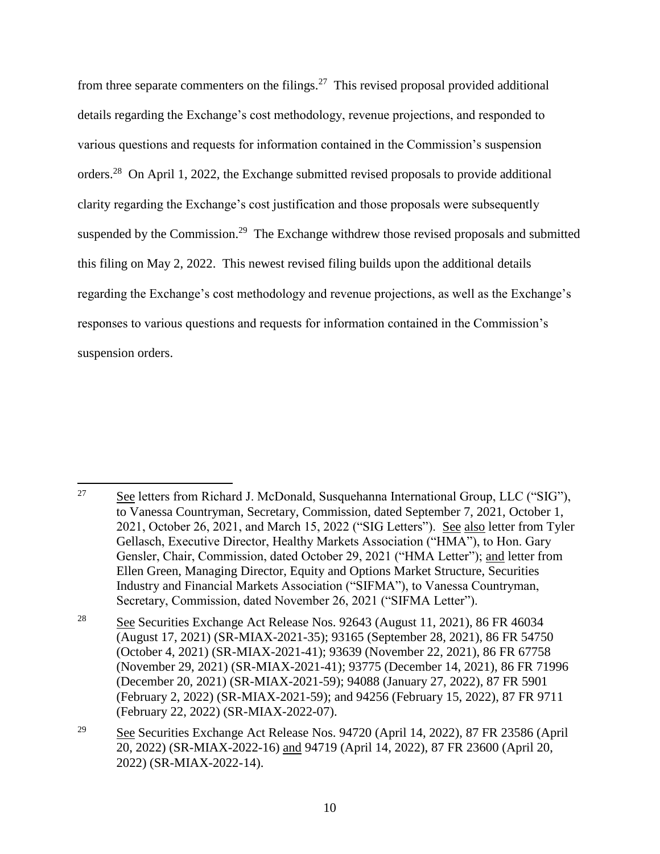from three separate commenters on the filings. $27$  This revised proposal provided additional details regarding the Exchange's cost methodology, revenue projections, and responded to various questions and requests for information contained in the Commission's suspension orders.<sup>28</sup> On April 1, 2022, the Exchange submitted revised proposals to provide additional clarity regarding the Exchange's cost justification and those proposals were subsequently suspended by the Commission.<sup>29</sup> The Exchange withdrew those revised proposals and submitted this filing on May 2, 2022. This newest revised filing builds upon the additional details regarding the Exchange's cost methodology and revenue projections, as well as the Exchange's responses to various questions and requests for information contained in the Commission's suspension orders.

 $\overline{a}$ 27 See letters from Richard J. McDonald, Susquehanna International Group, LLC ("SIG"), to Vanessa Countryman, Secretary, Commission, dated September 7, 2021, October 1, 2021, October 26, 2021, and March 15, 2022 ("SIG Letters"). See also letter from Tyler Gellasch, Executive Director, Healthy Markets Association ("HMA"), to Hon. Gary Gensler, Chair, Commission, dated October 29, 2021 ("HMA Letter"); and letter from Ellen Green, Managing Director, Equity and Options Market Structure, Securities Industry and Financial Markets Association ("SIFMA"), to Vanessa Countryman, Secretary, Commission, dated November 26, 2021 ("SIFMA Letter").

<sup>&</sup>lt;sup>28</sup> See Securities Exchange Act Release Nos. 92643 (August 11, 2021), 86 FR 46034 (August 17, 2021) (SR-MIAX-2021-35); 93165 (September 28, 2021), 86 FR 54750 (October 4, 2021) (SR-MIAX-2021-41); 93639 (November 22, 2021), 86 FR 67758 (November 29, 2021) (SR-MIAX-2021-41); 93775 (December 14, 2021), 86 FR 71996 (December 20, 2021) (SR-MIAX-2021-59); 94088 (January 27, 2022), 87 FR 5901 (February 2, 2022) (SR-MIAX-2021-59); and 94256 (February 15, 2022), 87 FR 9711 (February 22, 2022) (SR-MIAX-2022-07).

<sup>29</sup> See Securities Exchange Act Release Nos. 94720 (April 14, 2022), 87 FR 23586 (April 20, 2022) (SR-MIAX-2022-16) and 94719 (April 14, 2022), 87 FR 23600 (April 20, 2022) (SR-MIAX-2022-14).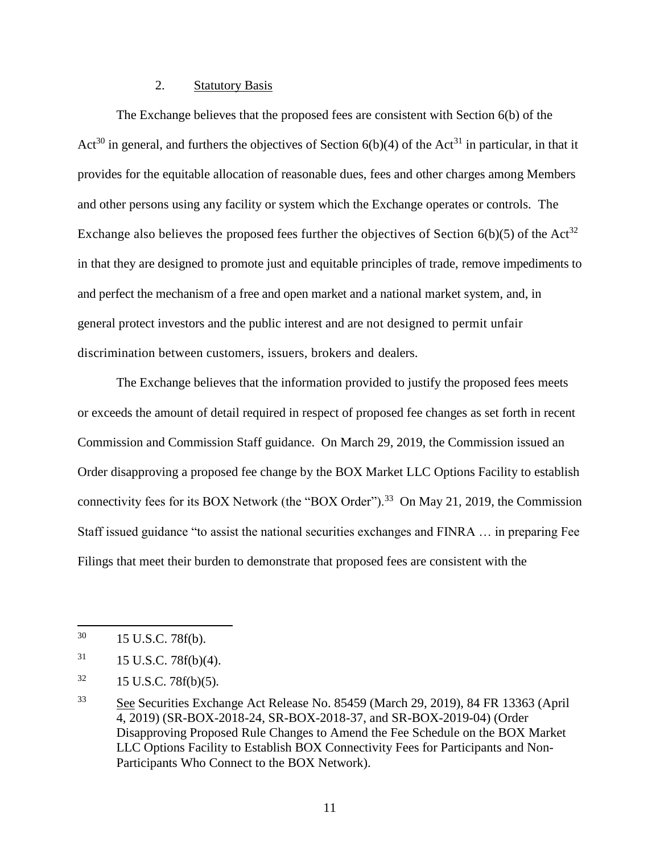# 2. Statutory Basis

The Exchange believes that the proposed fees are consistent with Section 6(b) of the Act<sup>30</sup> in general, and furthers the objectives of Section  $6(b)(4)$  of the Act<sup>31</sup> in particular, in that it provides for the equitable allocation of reasonable dues, fees and other charges among Members and other persons using any facility or system which the Exchange operates or controls. The Exchange also believes the proposed fees further the objectives of Section  $6(b)(5)$  of the Act<sup>32</sup> in that they are designed to promote just and equitable principles of trade, remove impediments to and perfect the mechanism of a free and open market and a national market system, and, in general protect investors and the public interest and are not designed to permit unfair discrimination between customers, issuers, brokers and dealers.

The Exchange believes that the information provided to justify the proposed fees meets or exceeds the amount of detail required in respect of proposed fee changes as set forth in recent Commission and Commission Staff guidance. On March 29, 2019, the Commission issued an Order disapproving a proposed fee change by the BOX Market LLC Options Facility to establish connectivity fees for its BOX Network (the "BOX Order").<sup>33</sup> On May 21, 2019, the Commission Staff issued guidance "to assist the national securities exchanges and FINRA … in preparing Fee Filings that meet their burden to demonstrate that proposed fees are consistent with the

 $30<sup>°</sup>$ 15 U.S.C. 78f(b).

 $31$  15 U.S.C. 78f(b)(4).

 $32 \qquad 15 \text{ U.S.C. } 78f(b)(5).$ 

<sup>&</sup>lt;sup>33</sup> See Securities Exchange Act Release No. 85459 (March 29, 2019), 84 FR 13363 (April 4, 2019) (SR-BOX-2018-24, SR-BOX-2018-37, and SR-BOX-2019-04) (Order Disapproving Proposed Rule Changes to Amend the Fee Schedule on the BOX Market LLC Options Facility to Establish BOX Connectivity Fees for Participants and Non-Participants Who Connect to the BOX Network).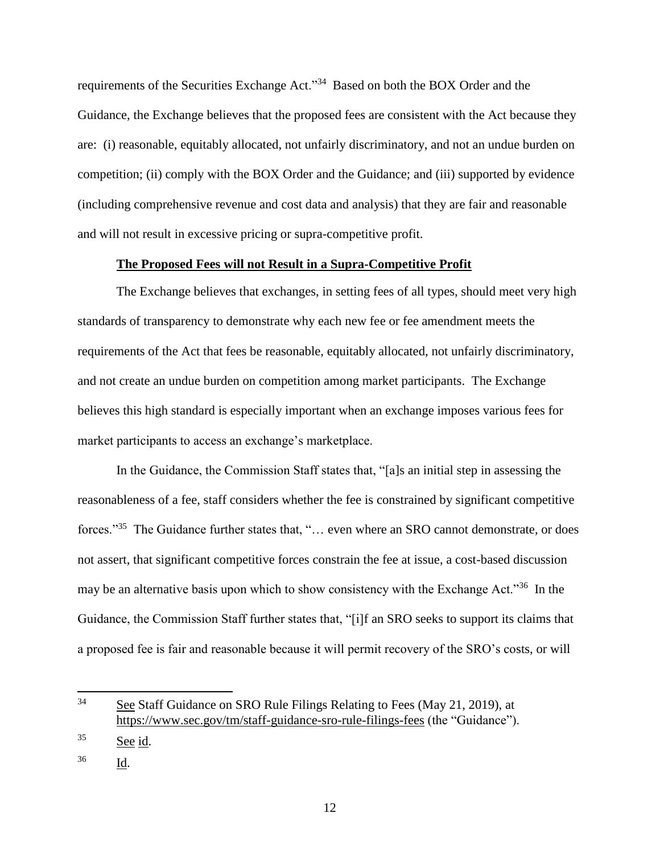requirements of the Securities Exchange Act."<sup>34</sup> Based on both the BOX Order and the Guidance, the Exchange believes that the proposed fees are consistent with the Act because they are: (i) reasonable, equitably allocated, not unfairly discriminatory, and not an undue burden on competition; (ii) comply with the BOX Order and the Guidance; and (iii) supported by evidence (including comprehensive revenue and cost data and analysis) that they are fair and reasonable and will not result in excessive pricing or supra-competitive profit.

# **The Proposed Fees will not Result in a Supra-Competitive Profit**

The Exchange believes that exchanges, in setting fees of all types, should meet very high standards of transparency to demonstrate why each new fee or fee amendment meets the requirements of the Act that fees be reasonable, equitably allocated, not unfairly discriminatory, and not create an undue burden on competition among market participants. The Exchange believes this high standard is especially important when an exchange imposes various fees for market participants to access an exchange's marketplace.

In the Guidance, the Commission Staff states that, "[a]s an initial step in assessing the reasonableness of a fee, staff considers whether the fee is constrained by significant competitive forces."<sup>35</sup> The Guidance further states that, "... even where an SRO cannot demonstrate, or does not assert, that significant competitive forces constrain the fee at issue, a cost-based discussion may be an alternative basis upon which to show consistency with the Exchange Act."<sup>36</sup> In the Guidance, the Commission Staff further states that, "[i]f an SRO seeks to support its claims that a proposed fee is fair and reasonable because it will permit recovery of the SRO's costs, or will

<sup>36</sup> Id.

l

<sup>&</sup>lt;sup>34</sup> See Staff Guidance on SRO Rule Filings Relating to Fees (May 21, 2019), at <https://www.sec.gov/tm/staff-guidance-sro-rule-filings-fees> (the "Guidance").

 $35$  See id.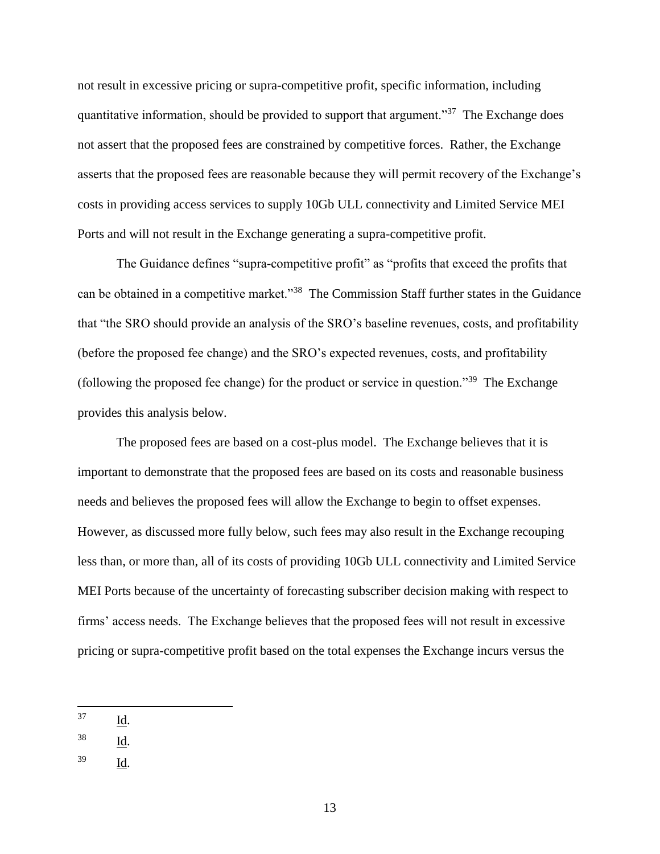not result in excessive pricing or supra-competitive profit, specific information, including quantitative information, should be provided to support that argument."<sup>37</sup> The Exchange does not assert that the proposed fees are constrained by competitive forces. Rather, the Exchange asserts that the proposed fees are reasonable because they will permit recovery of the Exchange's costs in providing access services to supply 10Gb ULL connectivity and Limited Service MEI Ports and will not result in the Exchange generating a supra-competitive profit.

The Guidance defines "supra-competitive profit" as "profits that exceed the profits that can be obtained in a competitive market."<sup>38</sup> The Commission Staff further states in the Guidance that "the SRO should provide an analysis of the SRO's baseline revenues, costs, and profitability (before the proposed fee change) and the SRO's expected revenues, costs, and profitability (following the proposed fee change) for the product or service in question."<sup>39</sup> The Exchange provides this analysis below.

The proposed fees are based on a cost-plus model. The Exchange believes that it is important to demonstrate that the proposed fees are based on its costs and reasonable business needs and believes the proposed fees will allow the Exchange to begin to offset expenses. However, as discussed more fully below, such fees may also result in the Exchange recouping less than, or more than, all of its costs of providing 10Gb ULL connectivity and Limited Service MEI Ports because of the uncertainty of forecasting subscriber decision making with respect to firms' access needs. The Exchange believes that the proposed fees will not result in excessive pricing or supra-competitive profit based on the total expenses the Exchange incurs versus the

- $\frac{38}{\underline{Id}}$ .
- <sup>39</sup> Id.

<sup>37</sup> Id.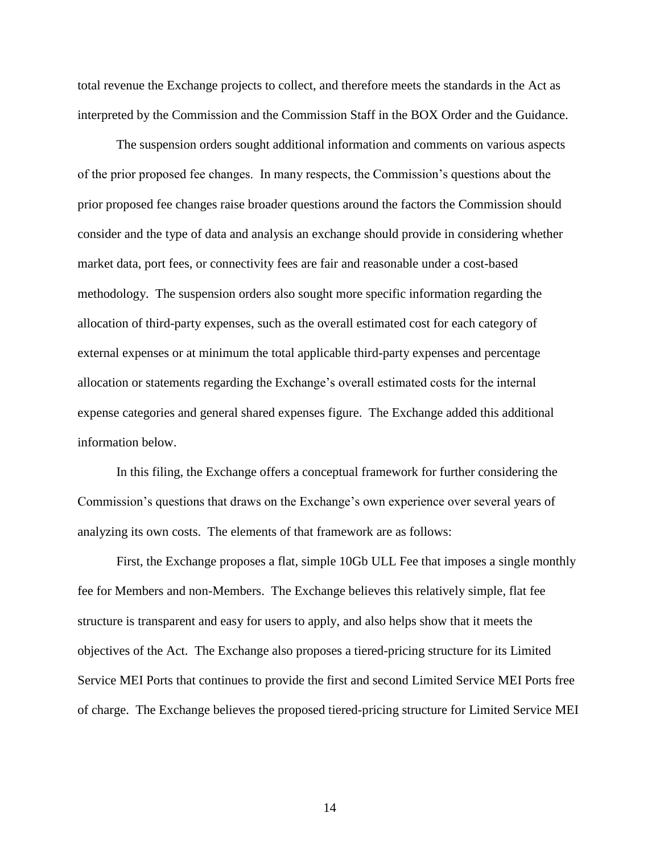total revenue the Exchange projects to collect, and therefore meets the standards in the Act as interpreted by the Commission and the Commission Staff in the BOX Order and the Guidance.

The suspension orders sought additional information and comments on various aspects of the prior proposed fee changes. In many respects, the Commission's questions about the prior proposed fee changes raise broader questions around the factors the Commission should consider and the type of data and analysis an exchange should provide in considering whether market data, port fees, or connectivity fees are fair and reasonable under a cost-based methodology. The suspension orders also sought more specific information regarding the allocation of third-party expenses, such as the overall estimated cost for each category of external expenses or at minimum the total applicable third-party expenses and percentage allocation or statements regarding the Exchange's overall estimated costs for the internal expense categories and general shared expenses figure. The Exchange added this additional information below.

In this filing, the Exchange offers a conceptual framework for further considering the Commission's questions that draws on the Exchange's own experience over several years of analyzing its own costs. The elements of that framework are as follows:

First, the Exchange proposes a flat, simple 10Gb ULL Fee that imposes a single monthly fee for Members and non-Members. The Exchange believes this relatively simple, flat fee structure is transparent and easy for users to apply, and also helps show that it meets the objectives of the Act. The Exchange also proposes a tiered-pricing structure for its Limited Service MEI Ports that continues to provide the first and second Limited Service MEI Ports free of charge. The Exchange believes the proposed tiered-pricing structure for Limited Service MEI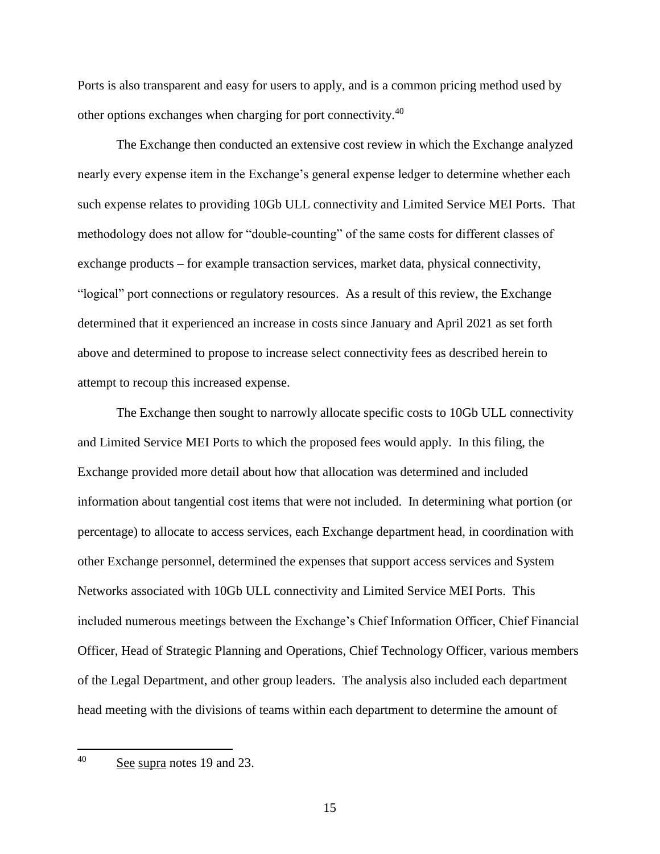Ports is also transparent and easy for users to apply, and is a common pricing method used by other options exchanges when charging for port connectivity.<sup>40</sup>

The Exchange then conducted an extensive cost review in which the Exchange analyzed nearly every expense item in the Exchange's general expense ledger to determine whether each such expense relates to providing 10Gb ULL connectivity and Limited Service MEI Ports. That methodology does not allow for "double-counting" of the same costs for different classes of exchange products – for example transaction services, market data, physical connectivity, "logical" port connections or regulatory resources. As a result of this review, the Exchange determined that it experienced an increase in costs since January and April 2021 as set forth above and determined to propose to increase select connectivity fees as described herein to attempt to recoup this increased expense.

The Exchange then sought to narrowly allocate specific costs to 10Gb ULL connectivity and Limited Service MEI Ports to which the proposed fees would apply. In this filing, the Exchange provided more detail about how that allocation was determined and included information about tangential cost items that were not included. In determining what portion (or percentage) to allocate to access services, each Exchange department head, in coordination with other Exchange personnel, determined the expenses that support access services and System Networks associated with 10Gb ULL connectivity and Limited Service MEI Ports. This included numerous meetings between the Exchange's Chief Information Officer, Chief Financial Officer, Head of Strategic Planning and Operations, Chief Technology Officer, various members of the Legal Department, and other group leaders. The analysis also included each department head meeting with the divisions of teams within each department to determine the amount of

40 See supra notes 19 and 23.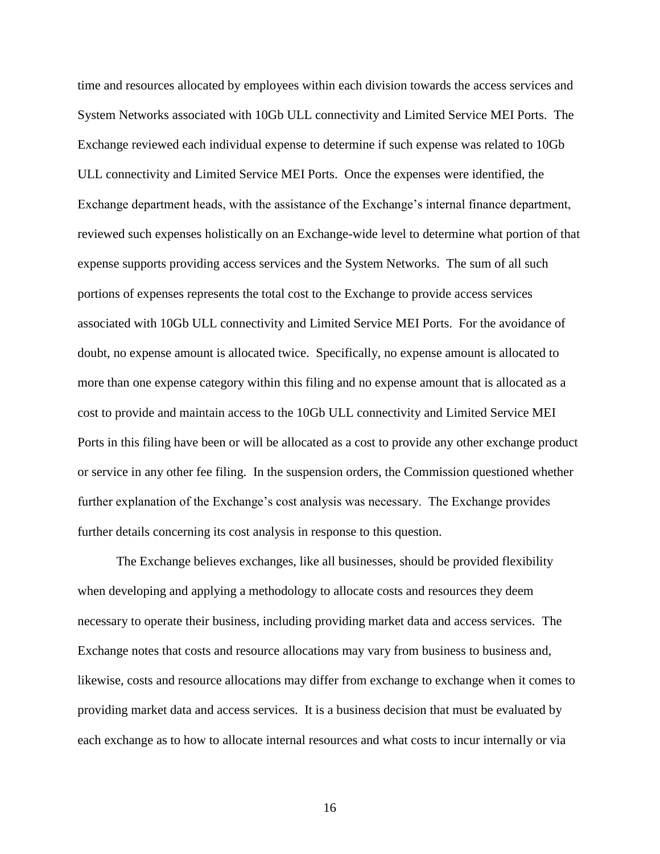time and resources allocated by employees within each division towards the access services and System Networks associated with 10Gb ULL connectivity and Limited Service MEI Ports. The Exchange reviewed each individual expense to determine if such expense was related to 10Gb ULL connectivity and Limited Service MEI Ports. Once the expenses were identified, the Exchange department heads, with the assistance of the Exchange's internal finance department, reviewed such expenses holistically on an Exchange-wide level to determine what portion of that expense supports providing access services and the System Networks. The sum of all such portions of expenses represents the total cost to the Exchange to provide access services associated with 10Gb ULL connectivity and Limited Service MEI Ports. For the avoidance of doubt, no expense amount is allocated twice. Specifically, no expense amount is allocated to more than one expense category within this filing and no expense amount that is allocated as a cost to provide and maintain access to the 10Gb ULL connectivity and Limited Service MEI Ports in this filing have been or will be allocated as a cost to provide any other exchange product or service in any other fee filing. In the suspension orders, the Commission questioned whether further explanation of the Exchange's cost analysis was necessary. The Exchange provides further details concerning its cost analysis in response to this question.

The Exchange believes exchanges, like all businesses, should be provided flexibility when developing and applying a methodology to allocate costs and resources they deem necessary to operate their business, including providing market data and access services. The Exchange notes that costs and resource allocations may vary from business to business and, likewise, costs and resource allocations may differ from exchange to exchange when it comes to providing market data and access services. It is a business decision that must be evaluated by each exchange as to how to allocate internal resources and what costs to incur internally or via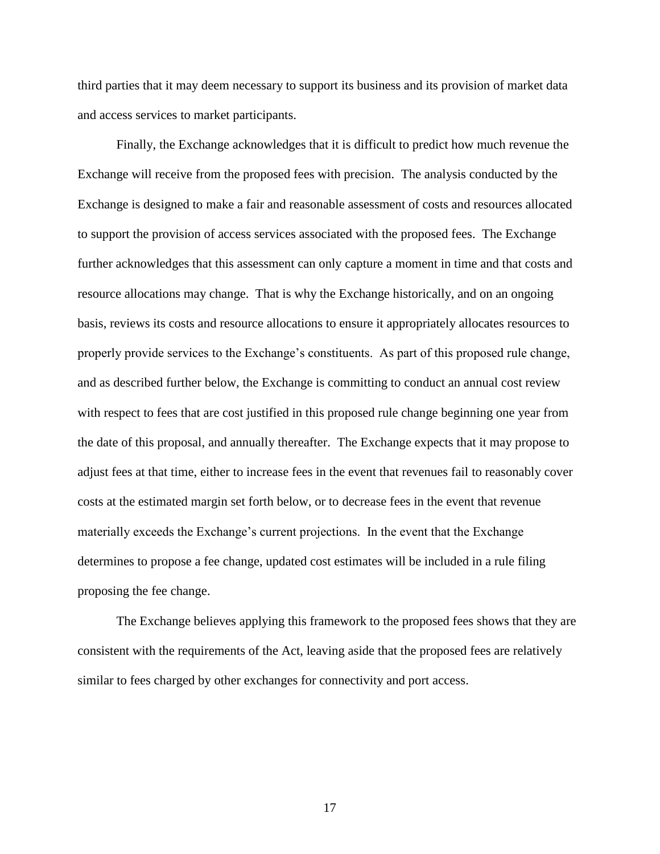third parties that it may deem necessary to support its business and its provision of market data and access services to market participants.

Finally, the Exchange acknowledges that it is difficult to predict how much revenue the Exchange will receive from the proposed fees with precision. The analysis conducted by the Exchange is designed to make a fair and reasonable assessment of costs and resources allocated to support the provision of access services associated with the proposed fees. The Exchange further acknowledges that this assessment can only capture a moment in time and that costs and resource allocations may change. That is why the Exchange historically, and on an ongoing basis, reviews its costs and resource allocations to ensure it appropriately allocates resources to properly provide services to the Exchange's constituents. As part of this proposed rule change, and as described further below, the Exchange is committing to conduct an annual cost review with respect to fees that are cost justified in this proposed rule change beginning one year from the date of this proposal, and annually thereafter. The Exchange expects that it may propose to adjust fees at that time, either to increase fees in the event that revenues fail to reasonably cover costs at the estimated margin set forth below, or to decrease fees in the event that revenue materially exceeds the Exchange's current projections. In the event that the Exchange determines to propose a fee change, updated cost estimates will be included in a rule filing proposing the fee change.

The Exchange believes applying this framework to the proposed fees shows that they are consistent with the requirements of the Act, leaving aside that the proposed fees are relatively similar to fees charged by other exchanges for connectivity and port access.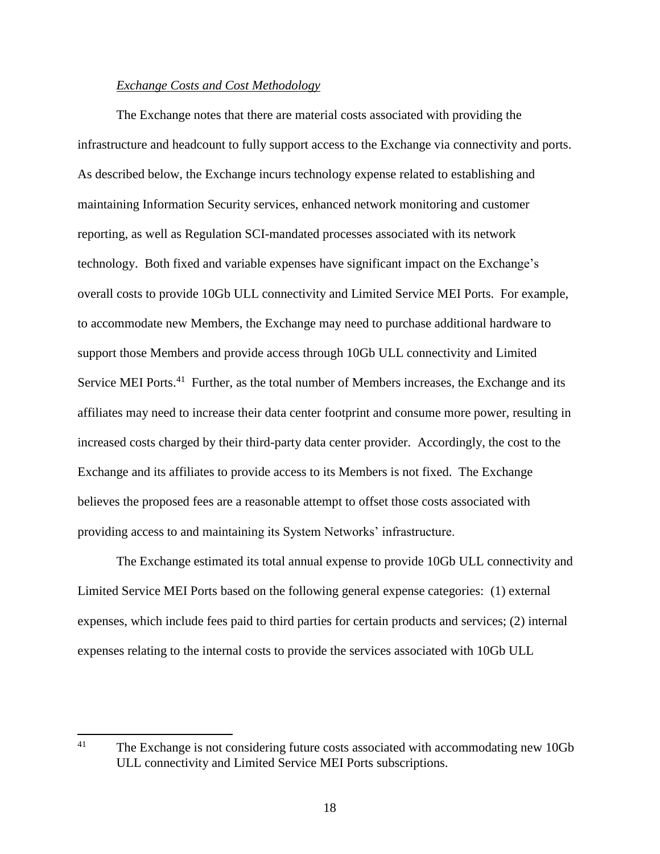# *Exchange Costs and Cost Methodology*

The Exchange notes that there are material costs associated with providing the infrastructure and headcount to fully support access to the Exchange via connectivity and ports. As described below, the Exchange incurs technology expense related to establishing and maintaining Information Security services, enhanced network monitoring and customer reporting, as well as Regulation SCI-mandated processes associated with its network technology. Both fixed and variable expenses have significant impact on the Exchange's overall costs to provide 10Gb ULL connectivity and Limited Service MEI Ports. For example, to accommodate new Members, the Exchange may need to purchase additional hardware to support those Members and provide access through 10Gb ULL connectivity and Limited Service MEI Ports.<sup>41</sup> Further, as the total number of Members increases, the Exchange and its affiliates may need to increase their data center footprint and consume more power, resulting in increased costs charged by their third-party data center provider. Accordingly, the cost to the Exchange and its affiliates to provide access to its Members is not fixed. The Exchange believes the proposed fees are a reasonable attempt to offset those costs associated with providing access to and maintaining its System Networks' infrastructure.

The Exchange estimated its total annual expense to provide 10Gb ULL connectivity and Limited Service MEI Ports based on the following general expense categories: (1) external expenses, which include fees paid to third parties for certain products and services; (2) internal expenses relating to the internal costs to provide the services associated with 10Gb ULL

<sup>41</sup> The Exchange is not considering future costs associated with accommodating new 10Gb ULL connectivity and Limited Service MEI Ports subscriptions.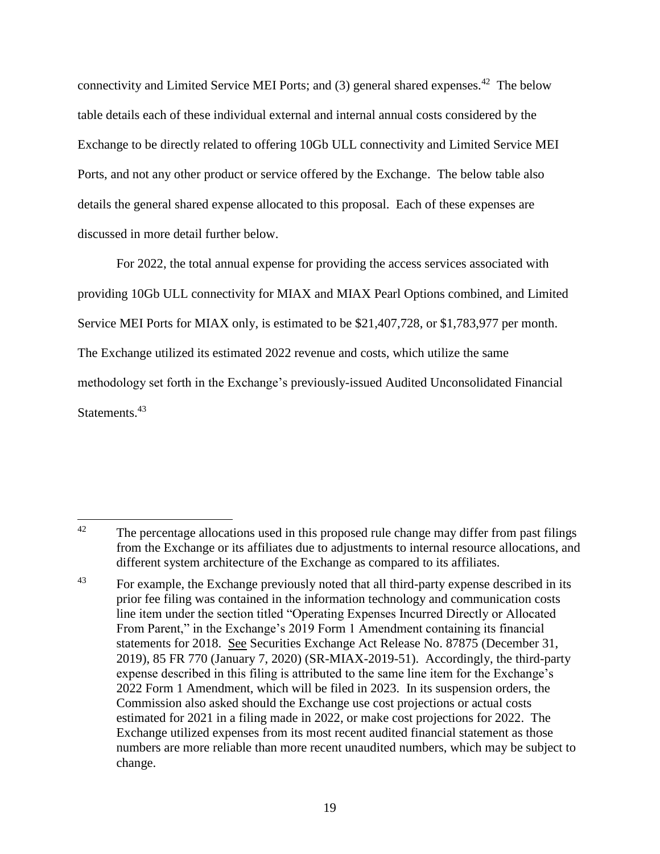connectivity and Limited Service MEI Ports; and (3) general shared expenses.<sup>42</sup> The below table details each of these individual external and internal annual costs considered by the Exchange to be directly related to offering 10Gb ULL connectivity and Limited Service MEI Ports, and not any other product or service offered by the Exchange. The below table also details the general shared expense allocated to this proposal. Each of these expenses are discussed in more detail further below.

For 2022, the total annual expense for providing the access services associated with providing 10Gb ULL connectivity for MIAX and MIAX Pearl Options combined, and Limited Service MEI Ports for MIAX only, is estimated to be \$21,407,728, or \$1,783,977 per month. The Exchange utilized its estimated 2022 revenue and costs, which utilize the same methodology set forth in the Exchange's previously-issued Audited Unconsolidated Financial Statements.<sup>43</sup>

<sup>42</sup> The percentage allocations used in this proposed rule change may differ from past filings from the Exchange or its affiliates due to adjustments to internal resource allocations, and different system architecture of the Exchange as compared to its affiliates.

<sup>&</sup>lt;sup>43</sup> For example, the Exchange previously noted that all third-party expense described in its prior fee filing was contained in the information technology and communication costs line item under the section titled "Operating Expenses Incurred Directly or Allocated From Parent," in the Exchange's 2019 Form 1 Amendment containing its financial statements for 2018. See Securities Exchange Act Release No. 87875 (December 31, 2019), 85 FR 770 (January 7, 2020) (SR-MIAX-2019-51). Accordingly, the third-party expense described in this filing is attributed to the same line item for the Exchange's 2022 Form 1 Amendment, which will be filed in 2023. In its suspension orders, the Commission also asked should the Exchange use cost projections or actual costs estimated for 2021 in a filing made in 2022, or make cost projections for 2022. The Exchange utilized expenses from its most recent audited financial statement as those numbers are more reliable than more recent unaudited numbers, which may be subject to change.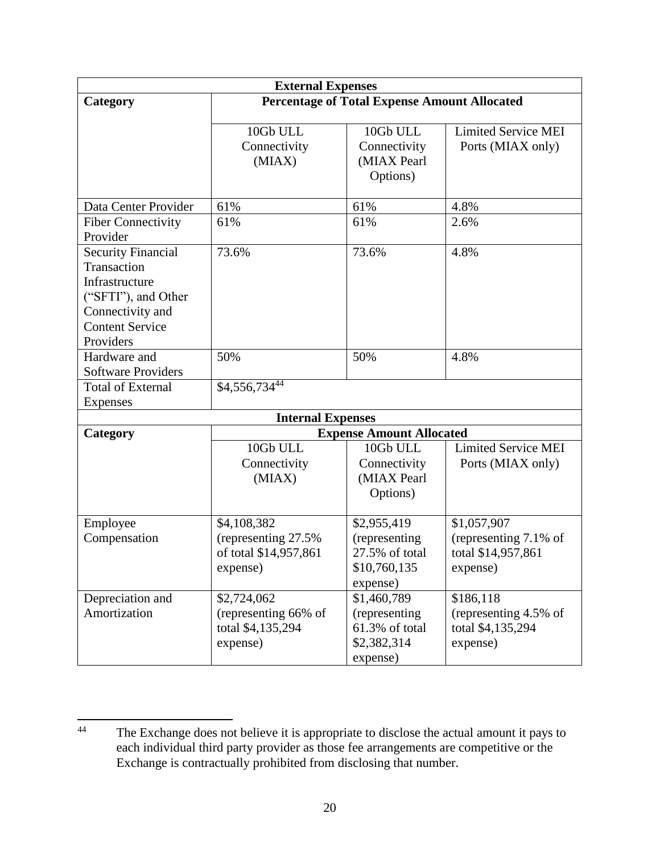| <b>External Expenses</b>                                                                                                                     |                                                                          |                                                                                        |                                                                        |
|----------------------------------------------------------------------------------------------------------------------------------------------|--------------------------------------------------------------------------|----------------------------------------------------------------------------------------|------------------------------------------------------------------------|
| Category                                                                                                                                     | <b>Percentage of Total Expense Amount Allocated</b>                      |                                                                                        |                                                                        |
|                                                                                                                                              | 10Gb ULL<br>Connectivity<br>(MIAX)                                       | 10Gb ULL<br>Connectivity<br>(MIAX Pearl<br>Options)                                    | <b>Limited Service MEI</b><br>Ports (MIAX only)                        |
| Data Center Provider                                                                                                                         | 61%                                                                      | 61%                                                                                    | 4.8%                                                                   |
| <b>Fiber Connectivity</b><br>Provider                                                                                                        | 61%                                                                      | 61%                                                                                    | 2.6%                                                                   |
| <b>Security Financial</b><br>Transaction<br>Infrastructure<br>("SFTI"), and Other<br>Connectivity and<br><b>Content Service</b><br>Providers | 73.6%                                                                    | 73.6%                                                                                  | 4.8%                                                                   |
| Hardware and<br><b>Software Providers</b>                                                                                                    | 50%                                                                      | 50%                                                                                    | 4.8%                                                                   |
| <b>Total of External</b>                                                                                                                     | \$4,556,73444                                                            |                                                                                        |                                                                        |
| <b>Expenses</b>                                                                                                                              |                                                                          |                                                                                        |                                                                        |
|                                                                                                                                              | <b>Internal Expenses</b>                                                 |                                                                                        |                                                                        |
| Category                                                                                                                                     | 10Gb ULL<br>Connectivity<br>(MIAX)                                       | <b>Expense Amount Allocated</b><br>10Gb ULL<br>Connectivity<br>(MIAX Pearl<br>Options) | <b>Limited Service MEI</b><br>Ports (MIAX only)                        |
| Employee<br>Compensation                                                                                                                     | \$4,108,382<br>(representing 27.5%)<br>of total \$14,957,861<br>expense) | \$2,955,419<br>(representing<br>27.5% of total<br>\$10,760,135<br>expense)             | \$1,057,907<br>(representing 7.1% of<br>total \$14,957,861<br>expense) |
| Depreciation and<br>Amortization                                                                                                             | \$2,724,062<br>(representing 66% of<br>total \$4,135,294<br>expense)     | \$1,460,789<br>(representing)<br>61.3% of total<br>\$2,382,314<br>expense)             | \$186,118<br>(representing 4.5% of<br>total \$4,135,294<br>expense)    |

 $44$ The Exchange does not believe it is appropriate to disclose the actual amount it pays to each individual third party provider as those fee arrangements are competitive or the Exchange is contractually prohibited from disclosing that number.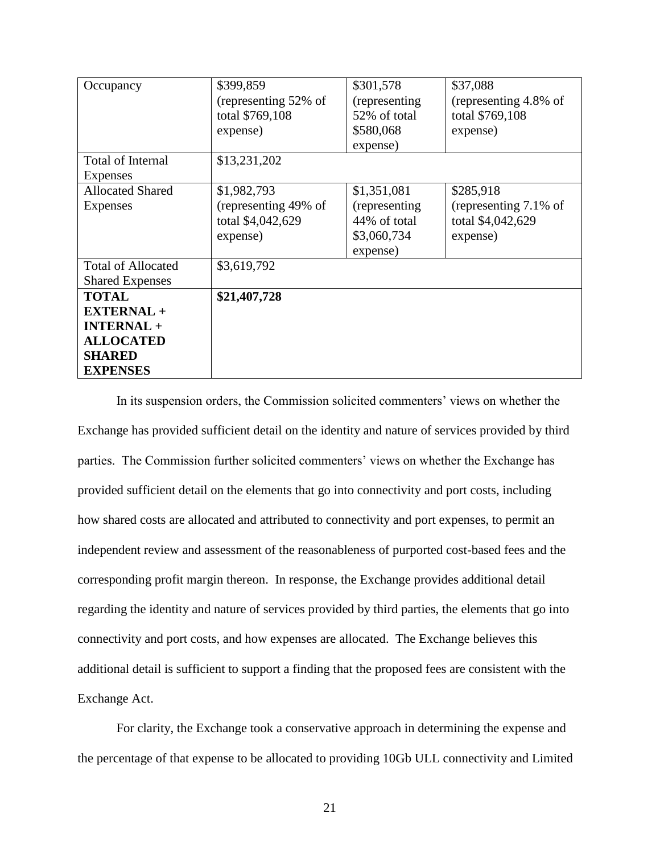| Occupancy                                                                                                      | \$399,859<br>(representing 52% of<br>total \$769,108                 | \$301,578<br>(representing)<br>52% of total                              | \$37,088<br>(representing 4.8% of<br>total \$769,108                |
|----------------------------------------------------------------------------------------------------------------|----------------------------------------------------------------------|--------------------------------------------------------------------------|---------------------------------------------------------------------|
|                                                                                                                | expense)                                                             | \$580,068<br>expense)                                                    | expense)                                                            |
| Total of Internal<br>Expenses                                                                                  | \$13,231,202                                                         |                                                                          |                                                                     |
| <b>Allocated Shared</b><br>Expenses                                                                            | \$1,982,793<br>(representing 49% of<br>total \$4,042,629<br>expense) | \$1,351,081<br>(representing)<br>44% of total<br>\$3,060,734<br>expense) | \$285,918<br>(representing 7.1% of<br>total \$4,042,629<br>expense) |
| <b>Total of Allocated</b><br><b>Shared Expenses</b>                                                            | \$3,619,792                                                          |                                                                          |                                                                     |
| <b>TOTAL</b><br><b>EXTERNAL +</b><br><b>INTERNAL +</b><br><b>ALLOCATED</b><br><b>SHARED</b><br><b>EXPENSES</b> | \$21,407,728                                                         |                                                                          |                                                                     |

In its suspension orders, the Commission solicited commenters' views on whether the Exchange has provided sufficient detail on the identity and nature of services provided by third parties. The Commission further solicited commenters' views on whether the Exchange has provided sufficient detail on the elements that go into connectivity and port costs, including how shared costs are allocated and attributed to connectivity and port expenses, to permit an independent review and assessment of the reasonableness of purported cost-based fees and the corresponding profit margin thereon. In response, the Exchange provides additional detail regarding the identity and nature of services provided by third parties, the elements that go into connectivity and port costs, and how expenses are allocated. The Exchange believes this additional detail is sufficient to support a finding that the proposed fees are consistent with the Exchange Act.

For clarity, the Exchange took a conservative approach in determining the expense and the percentage of that expense to be allocated to providing 10Gb ULL connectivity and Limited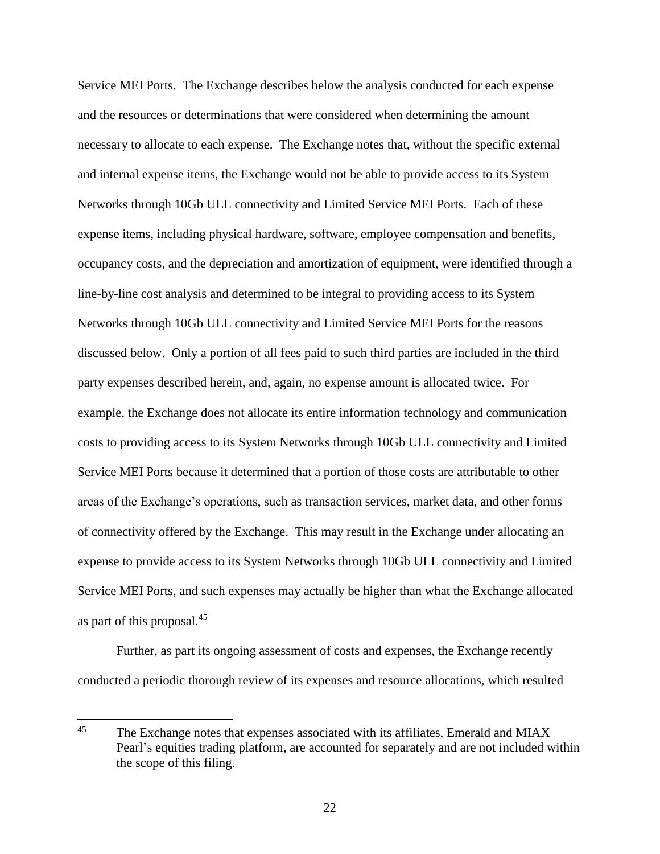Service MEI Ports. The Exchange describes below the analysis conducted for each expense and the resources or determinations that were considered when determining the amount necessary to allocate to each expense. The Exchange notes that, without the specific external and internal expense items, the Exchange would not be able to provide access to its System Networks through 10Gb ULL connectivity and Limited Service MEI Ports. Each of these expense items, including physical hardware, software, employee compensation and benefits, occupancy costs, and the depreciation and amortization of equipment, were identified through a line-by-line cost analysis and determined to be integral to providing access to its System Networks through 10Gb ULL connectivity and Limited Service MEI Ports for the reasons discussed below. Only a portion of all fees paid to such third parties are included in the third party expenses described herein, and, again, no expense amount is allocated twice. For example, the Exchange does not allocate its entire information technology and communication costs to providing access to its System Networks through 10Gb ULL connectivity and Limited Service MEI Ports because it determined that a portion of those costs are attributable to other areas of the Exchange's operations, such as transaction services, market data, and other forms of connectivity offered by the Exchange. This may result in the Exchange under allocating an expense to provide access to its System Networks through 10Gb ULL connectivity and Limited Service MEI Ports, and such expenses may actually be higher than what the Exchange allocated as part of this proposal.<sup>45</sup>

Further, as part its ongoing assessment of costs and expenses, the Exchange recently conducted a periodic thorough review of its expenses and resource allocations, which resulted

 $45 \overline{5}$ The Exchange notes that expenses associated with its affiliates, Emerald and MIAX Pearl's equities trading platform, are accounted for separately and are not included within the scope of this filing.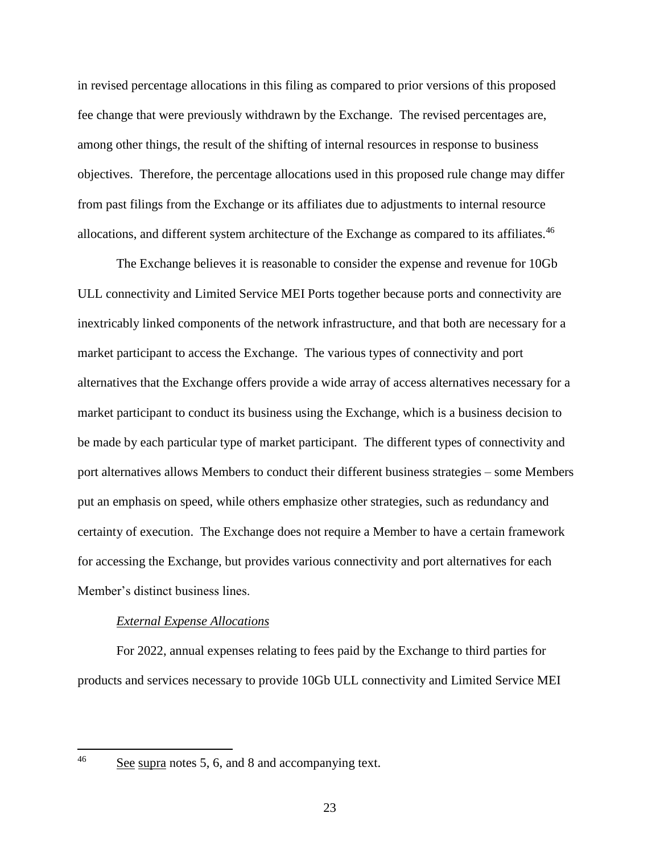in revised percentage allocations in this filing as compared to prior versions of this proposed fee change that were previously withdrawn by the Exchange. The revised percentages are, among other things, the result of the shifting of internal resources in response to business objectives. Therefore, the percentage allocations used in this proposed rule change may differ from past filings from the Exchange or its affiliates due to adjustments to internal resource allocations, and different system architecture of the Exchange as compared to its affiliates.<sup>46</sup>

The Exchange believes it is reasonable to consider the expense and revenue for 10Gb ULL connectivity and Limited Service MEI Ports together because ports and connectivity are inextricably linked components of the network infrastructure, and that both are necessary for a market participant to access the Exchange. The various types of connectivity and port alternatives that the Exchange offers provide a wide array of access alternatives necessary for a market participant to conduct its business using the Exchange, which is a business decision to be made by each particular type of market participant. The different types of connectivity and port alternatives allows Members to conduct their different business strategies – some Members put an emphasis on speed, while others emphasize other strategies, such as redundancy and certainty of execution. The Exchange does not require a Member to have a certain framework for accessing the Exchange, but provides various connectivity and port alternatives for each Member's distinct business lines.

#### *External Expense Allocations*

For 2022, annual expenses relating to fees paid by the Exchange to third parties for products and services necessary to provide 10Gb ULL connectivity and Limited Service MEI

See supra notes 5, 6, and 8 and accompanying text.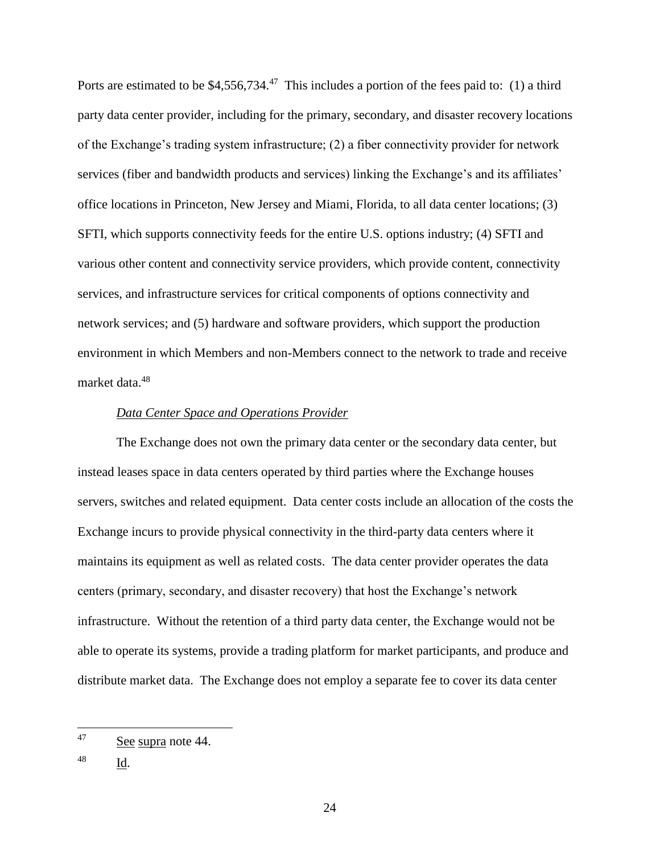Ports are estimated to be  $$4,556,734.<sup>47</sup>$  This includes a portion of the fees paid to: (1) a third party data center provider, including for the primary, secondary, and disaster recovery locations of the Exchange's trading system infrastructure; (2) a fiber connectivity provider for network services (fiber and bandwidth products and services) linking the Exchange's and its affiliates' office locations in Princeton, New Jersey and Miami, Florida, to all data center locations; (3) SFTI, which supports connectivity feeds for the entire U.S. options industry; (4) SFTI and various other content and connectivity service providers, which provide content, connectivity services, and infrastructure services for critical components of options connectivity and network services; and (5) hardware and software providers, which support the production environment in which Members and non-Members connect to the network to trade and receive market data.<sup>48</sup>

## *Data Center Space and Operations Provider*

The Exchange does not own the primary data center or the secondary data center, but instead leases space in data centers operated by third parties where the Exchange houses servers, switches and related equipment. Data center costs include an allocation of the costs the Exchange incurs to provide physical connectivity in the third-party data centers where it maintains its equipment as well as related costs. The data center provider operates the data centers (primary, secondary, and disaster recovery) that host the Exchange's network infrastructure. Without the retention of a third party data center, the Exchange would not be able to operate its systems, provide a trading platform for market participants, and produce and distribute market data. The Exchange does not employ a separate fee to cover its data center

<sup>47</sup> See supra note 44.

<sup>48</sup> Id.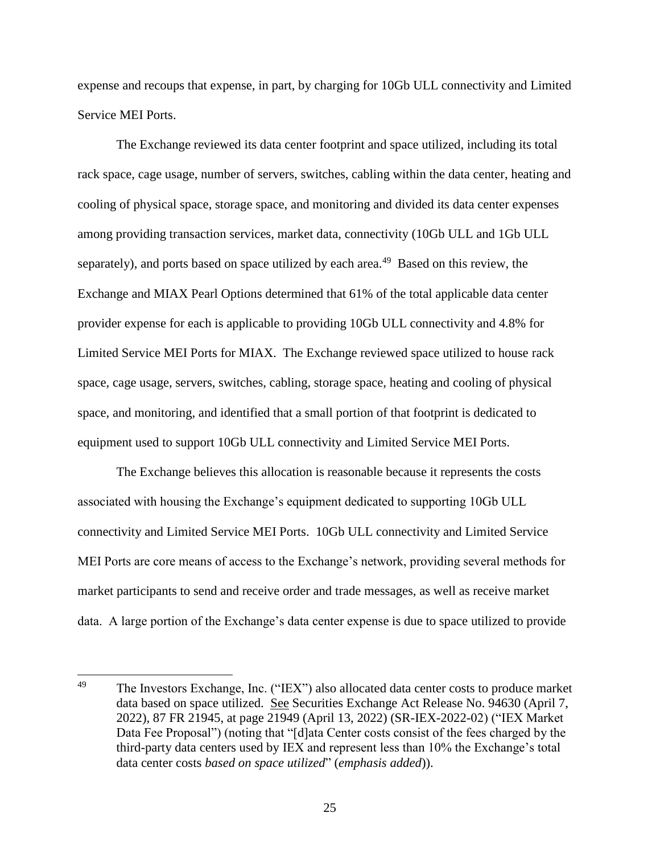expense and recoups that expense, in part, by charging for 10Gb ULL connectivity and Limited Service MEI Ports.

The Exchange reviewed its data center footprint and space utilized, including its total rack space, cage usage, number of servers, switches, cabling within the data center, heating and cooling of physical space, storage space, and monitoring and divided its data center expenses among providing transaction services, market data, connectivity (10Gb ULL and 1Gb ULL separately), and ports based on space utilized by each area.<sup>49</sup> Based on this review, the Exchange and MIAX Pearl Options determined that 61% of the total applicable data center provider expense for each is applicable to providing 10Gb ULL connectivity and 4.8% for Limited Service MEI Ports for MIAX. The Exchange reviewed space utilized to house rack space, cage usage, servers, switches, cabling, storage space, heating and cooling of physical space, and monitoring, and identified that a small portion of that footprint is dedicated to equipment used to support 10Gb ULL connectivity and Limited Service MEI Ports.

The Exchange believes this allocation is reasonable because it represents the costs associated with housing the Exchange's equipment dedicated to supporting 10Gb ULL connectivity and Limited Service MEI Ports. 10Gb ULL connectivity and Limited Service MEI Ports are core means of access to the Exchange's network, providing several methods for market participants to send and receive order and trade messages, as well as receive market data. A large portion of the Exchange's data center expense is due to space utilized to provide

 $\overline{\phantom{a}}$ 

<sup>&</sup>lt;sup>49</sup> The Investors Exchange, Inc. ("IEX") also allocated data center costs to produce market data based on space utilized. See Securities Exchange Act Release No. 94630 (April 7, 2022), 87 FR 21945, at page 21949 (April 13, 2022) (SR-IEX-2022-02) ("IEX Market Data Fee Proposal") (noting that "[d]ata Center costs consist of the fees charged by the third-party data centers used by IEX and represent less than 10% the Exchange's total data center costs *based on space utilized*" (*emphasis added*)).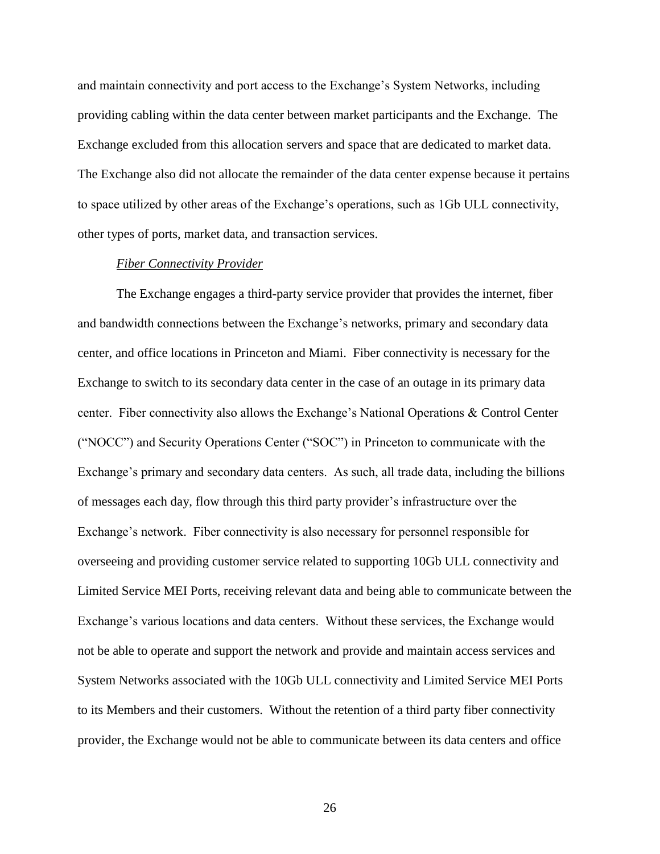and maintain connectivity and port access to the Exchange's System Networks, including providing cabling within the data center between market participants and the Exchange. The Exchange excluded from this allocation servers and space that are dedicated to market data. The Exchange also did not allocate the remainder of the data center expense because it pertains to space utilized by other areas of the Exchange's operations, such as 1Gb ULL connectivity, other types of ports, market data, and transaction services.

#### *Fiber Connectivity Provider*

The Exchange engages a third-party service provider that provides the internet, fiber and bandwidth connections between the Exchange's networks, primary and secondary data center, and office locations in Princeton and Miami. Fiber connectivity is necessary for the Exchange to switch to its secondary data center in the case of an outage in its primary data center. Fiber connectivity also allows the Exchange's National Operations & Control Center ("NOCC") and Security Operations Center ("SOC") in Princeton to communicate with the Exchange's primary and secondary data centers. As such, all trade data, including the billions of messages each day, flow through this third party provider's infrastructure over the Exchange's network. Fiber connectivity is also necessary for personnel responsible for overseeing and providing customer service related to supporting 10Gb ULL connectivity and Limited Service MEI Ports, receiving relevant data and being able to communicate between the Exchange's various locations and data centers. Without these services, the Exchange would not be able to operate and support the network and provide and maintain access services and System Networks associated with the 10Gb ULL connectivity and Limited Service MEI Ports to its Members and their customers. Without the retention of a third party fiber connectivity provider, the Exchange would not be able to communicate between its data centers and office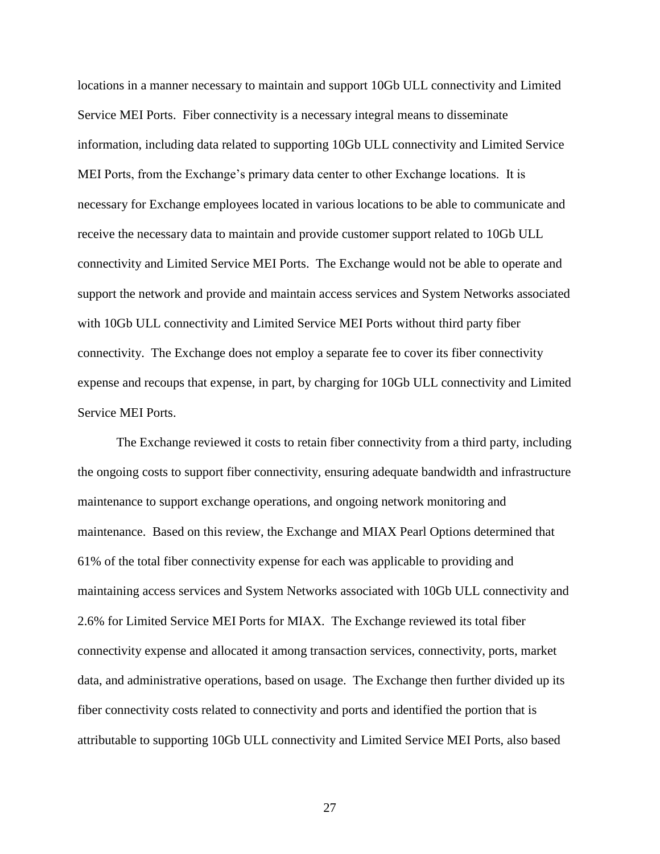locations in a manner necessary to maintain and support 10Gb ULL connectivity and Limited Service MEI Ports. Fiber connectivity is a necessary integral means to disseminate information, including data related to supporting 10Gb ULL connectivity and Limited Service MEI Ports, from the Exchange's primary data center to other Exchange locations. It is necessary for Exchange employees located in various locations to be able to communicate and receive the necessary data to maintain and provide customer support related to 10Gb ULL connectivity and Limited Service MEI Ports. The Exchange would not be able to operate and support the network and provide and maintain access services and System Networks associated with 10Gb ULL connectivity and Limited Service MEI Ports without third party fiber connectivity. The Exchange does not employ a separate fee to cover its fiber connectivity expense and recoups that expense, in part, by charging for 10Gb ULL connectivity and Limited Service MEI Ports.

The Exchange reviewed it costs to retain fiber connectivity from a third party, including the ongoing costs to support fiber connectivity, ensuring adequate bandwidth and infrastructure maintenance to support exchange operations, and ongoing network monitoring and maintenance. Based on this review, the Exchange and MIAX Pearl Options determined that 61% of the total fiber connectivity expense for each was applicable to providing and maintaining access services and System Networks associated with 10Gb ULL connectivity and 2.6% for Limited Service MEI Ports for MIAX. The Exchange reviewed its total fiber connectivity expense and allocated it among transaction services, connectivity, ports, market data, and administrative operations, based on usage. The Exchange then further divided up its fiber connectivity costs related to connectivity and ports and identified the portion that is attributable to supporting 10Gb ULL connectivity and Limited Service MEI Ports, also based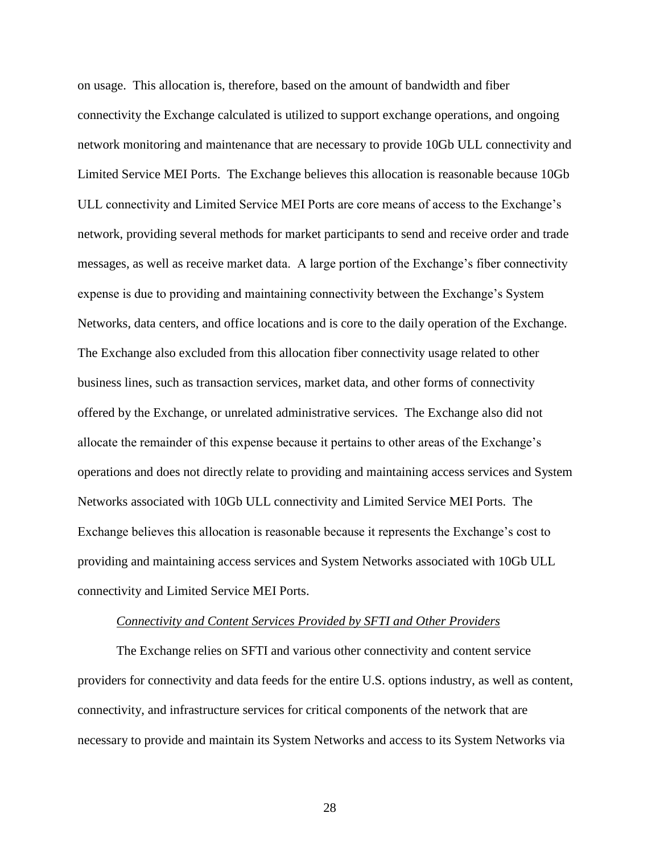on usage. This allocation is, therefore, based on the amount of bandwidth and fiber connectivity the Exchange calculated is utilized to support exchange operations, and ongoing network monitoring and maintenance that are necessary to provide 10Gb ULL connectivity and Limited Service MEI Ports. The Exchange believes this allocation is reasonable because 10Gb ULL connectivity and Limited Service MEI Ports are core means of access to the Exchange's network, providing several methods for market participants to send and receive order and trade messages, as well as receive market data. A large portion of the Exchange's fiber connectivity expense is due to providing and maintaining connectivity between the Exchange's System Networks, data centers, and office locations and is core to the daily operation of the Exchange. The Exchange also excluded from this allocation fiber connectivity usage related to other business lines, such as transaction services, market data, and other forms of connectivity offered by the Exchange, or unrelated administrative services. The Exchange also did not allocate the remainder of this expense because it pertains to other areas of the Exchange's operations and does not directly relate to providing and maintaining access services and System Networks associated with 10Gb ULL connectivity and Limited Service MEI Ports. The Exchange believes this allocation is reasonable because it represents the Exchange's cost to providing and maintaining access services and System Networks associated with 10Gb ULL connectivity and Limited Service MEI Ports.

#### *Connectivity and Content Services Provided by SFTI and Other Providers*

The Exchange relies on SFTI and various other connectivity and content service providers for connectivity and data feeds for the entire U.S. options industry, as well as content, connectivity, and infrastructure services for critical components of the network that are necessary to provide and maintain its System Networks and access to its System Networks via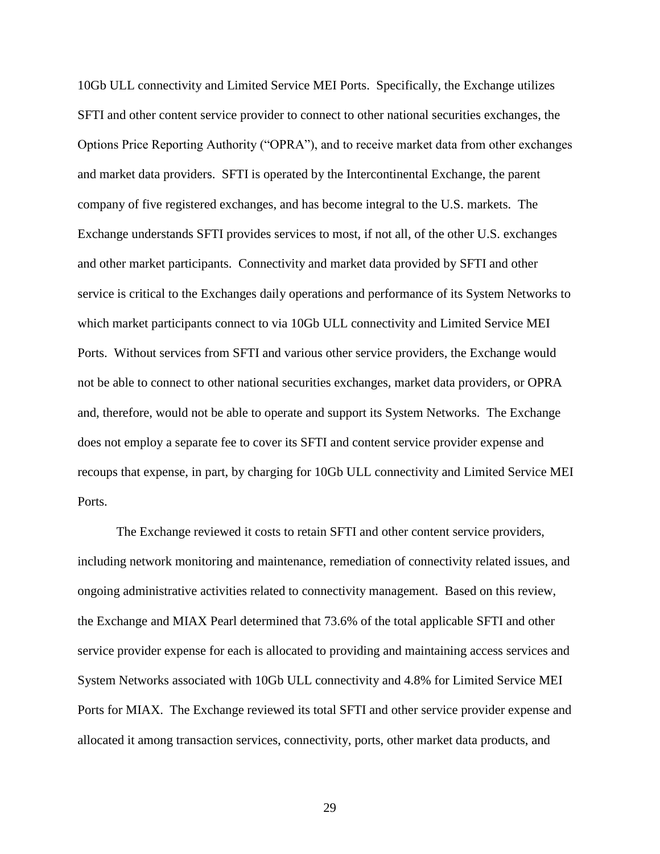10Gb ULL connectivity and Limited Service MEI Ports. Specifically, the Exchange utilizes SFTI and other content service provider to connect to other national securities exchanges, the Options Price Reporting Authority ("OPRA"), and to receive market data from other exchanges and market data providers. SFTI is operated by the Intercontinental Exchange, the parent company of five registered exchanges, and has become integral to the U.S. markets. The Exchange understands SFTI provides services to most, if not all, of the other U.S. exchanges and other market participants. Connectivity and market data provided by SFTI and other service is critical to the Exchanges daily operations and performance of its System Networks to which market participants connect to via 10Gb ULL connectivity and Limited Service MEI Ports. Without services from SFTI and various other service providers, the Exchange would not be able to connect to other national securities exchanges, market data providers, or OPRA and, therefore, would not be able to operate and support its System Networks. The Exchange does not employ a separate fee to cover its SFTI and content service provider expense and recoups that expense, in part, by charging for 10Gb ULL connectivity and Limited Service MEI Ports.

The Exchange reviewed it costs to retain SFTI and other content service providers, including network monitoring and maintenance, remediation of connectivity related issues, and ongoing administrative activities related to connectivity management. Based on this review, the Exchange and MIAX Pearl determined that 73.6% of the total applicable SFTI and other service provider expense for each is allocated to providing and maintaining access services and System Networks associated with 10Gb ULL connectivity and 4.8% for Limited Service MEI Ports for MIAX. The Exchange reviewed its total SFTI and other service provider expense and allocated it among transaction services, connectivity, ports, other market data products, and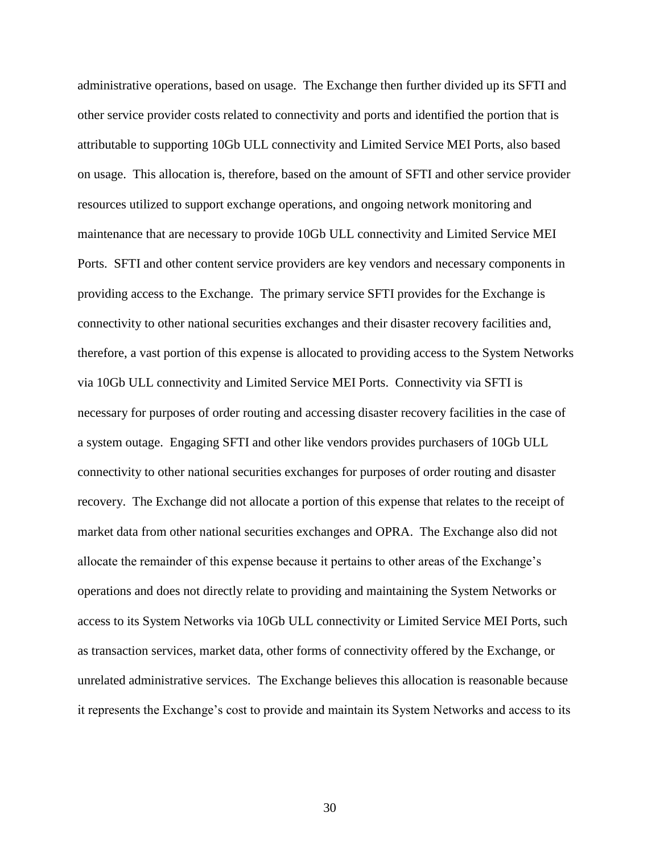administrative operations, based on usage. The Exchange then further divided up its SFTI and other service provider costs related to connectivity and ports and identified the portion that is attributable to supporting 10Gb ULL connectivity and Limited Service MEI Ports, also based on usage. This allocation is, therefore, based on the amount of SFTI and other service provider resources utilized to support exchange operations, and ongoing network monitoring and maintenance that are necessary to provide 10Gb ULL connectivity and Limited Service MEI Ports. SFTI and other content service providers are key vendors and necessary components in providing access to the Exchange. The primary service SFTI provides for the Exchange is connectivity to other national securities exchanges and their disaster recovery facilities and, therefore, a vast portion of this expense is allocated to providing access to the System Networks via 10Gb ULL connectivity and Limited Service MEI Ports. Connectivity via SFTI is necessary for purposes of order routing and accessing disaster recovery facilities in the case of a system outage. Engaging SFTI and other like vendors provides purchasers of 10Gb ULL connectivity to other national securities exchanges for purposes of order routing and disaster recovery. The Exchange did not allocate a portion of this expense that relates to the receipt of market data from other national securities exchanges and OPRA. The Exchange also did not allocate the remainder of this expense because it pertains to other areas of the Exchange's operations and does not directly relate to providing and maintaining the System Networks or access to its System Networks via 10Gb ULL connectivity or Limited Service MEI Ports, such as transaction services, market data, other forms of connectivity offered by the Exchange, or unrelated administrative services. The Exchange believes this allocation is reasonable because it represents the Exchange's cost to provide and maintain its System Networks and access to its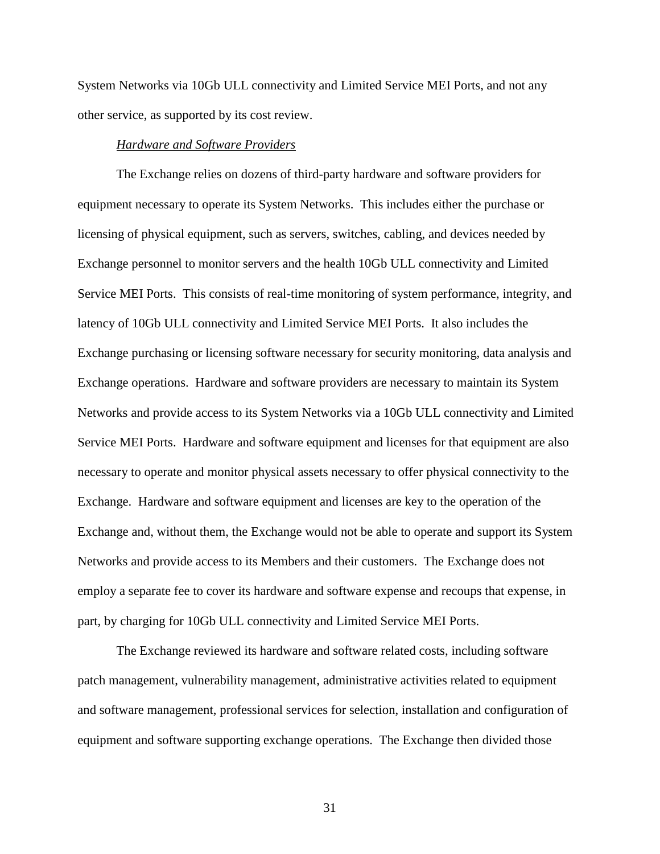System Networks via 10Gb ULL connectivity and Limited Service MEI Ports, and not any other service, as supported by its cost review.

### *Hardware and Software Providers*

The Exchange relies on dozens of third-party hardware and software providers for equipment necessary to operate its System Networks. This includes either the purchase or licensing of physical equipment, such as servers, switches, cabling, and devices needed by Exchange personnel to monitor servers and the health 10Gb ULL connectivity and Limited Service MEI Ports. This consists of real-time monitoring of system performance, integrity, and latency of 10Gb ULL connectivity and Limited Service MEI Ports. It also includes the Exchange purchasing or licensing software necessary for security monitoring, data analysis and Exchange operations. Hardware and software providers are necessary to maintain its System Networks and provide access to its System Networks via a 10Gb ULL connectivity and Limited Service MEI Ports. Hardware and software equipment and licenses for that equipment are also necessary to operate and monitor physical assets necessary to offer physical connectivity to the Exchange. Hardware and software equipment and licenses are key to the operation of the Exchange and, without them, the Exchange would not be able to operate and support its System Networks and provide access to its Members and their customers. The Exchange does not employ a separate fee to cover its hardware and software expense and recoups that expense, in part, by charging for 10Gb ULL connectivity and Limited Service MEI Ports.

The Exchange reviewed its hardware and software related costs, including software patch management, vulnerability management, administrative activities related to equipment and software management, professional services for selection, installation and configuration of equipment and software supporting exchange operations. The Exchange then divided those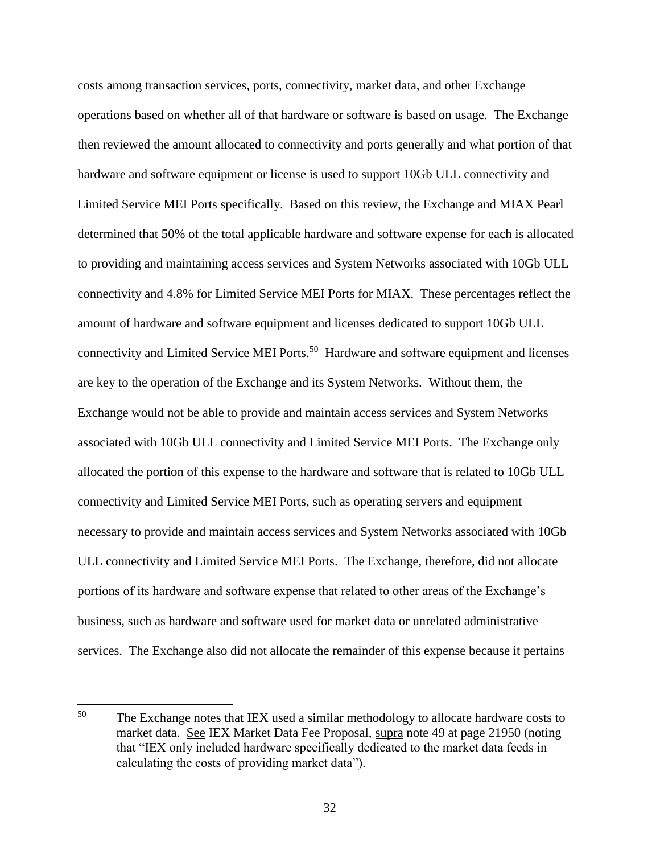costs among transaction services, ports, connectivity, market data, and other Exchange operations based on whether all of that hardware or software is based on usage. The Exchange then reviewed the amount allocated to connectivity and ports generally and what portion of that hardware and software equipment or license is used to support 10Gb ULL connectivity and Limited Service MEI Ports specifically. Based on this review, the Exchange and MIAX Pearl determined that 50% of the total applicable hardware and software expense for each is allocated to providing and maintaining access services and System Networks associated with 10Gb ULL connectivity and 4.8% for Limited Service MEI Ports for MIAX. These percentages reflect the amount of hardware and software equipment and licenses dedicated to support 10Gb ULL connectivity and Limited Service MEI Ports.<sup>50</sup> Hardware and software equipment and licenses are key to the operation of the Exchange and its System Networks. Without them, the Exchange would not be able to provide and maintain access services and System Networks associated with 10Gb ULL connectivity and Limited Service MEI Ports. The Exchange only allocated the portion of this expense to the hardware and software that is related to 10Gb ULL connectivity and Limited Service MEI Ports, such as operating servers and equipment necessary to provide and maintain access services and System Networks associated with 10Gb ULL connectivity and Limited Service MEI Ports. The Exchange, therefore, did not allocate portions of its hardware and software expense that related to other areas of the Exchange's business, such as hardware and software used for market data or unrelated administrative services. The Exchange also did not allocate the remainder of this expense because it pertains

l

<sup>&</sup>lt;sup>50</sup> The Exchange notes that IEX used a similar methodology to allocate hardware costs to market data. See IEX Market Data Fee Proposal, supra note 49 at page 21950 (noting that "IEX only included hardware specifically dedicated to the market data feeds in calculating the costs of providing market data").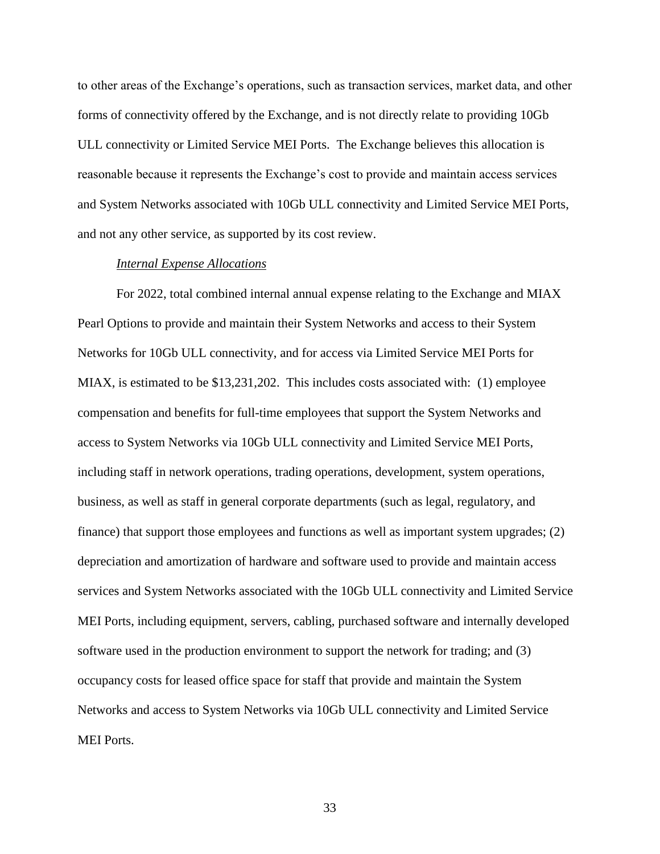to other areas of the Exchange's operations, such as transaction services, market data, and other forms of connectivity offered by the Exchange, and is not directly relate to providing 10Gb ULL connectivity or Limited Service MEI Ports. The Exchange believes this allocation is reasonable because it represents the Exchange's cost to provide and maintain access services and System Networks associated with 10Gb ULL connectivity and Limited Service MEI Ports, and not any other service, as supported by its cost review.

### *Internal Expense Allocations*

For 2022, total combined internal annual expense relating to the Exchange and MIAX Pearl Options to provide and maintain their System Networks and access to their System Networks for 10Gb ULL connectivity, and for access via Limited Service MEI Ports for MIAX, is estimated to be \$13,231,202. This includes costs associated with: (1) employee compensation and benefits for full-time employees that support the System Networks and access to System Networks via 10Gb ULL connectivity and Limited Service MEI Ports, including staff in network operations, trading operations, development, system operations, business, as well as staff in general corporate departments (such as legal, regulatory, and finance) that support those employees and functions as well as important system upgrades; (2) depreciation and amortization of hardware and software used to provide and maintain access services and System Networks associated with the 10Gb ULL connectivity and Limited Service MEI Ports, including equipment, servers, cabling, purchased software and internally developed software used in the production environment to support the network for trading; and (3) occupancy costs for leased office space for staff that provide and maintain the System Networks and access to System Networks via 10Gb ULL connectivity and Limited Service MEI Ports.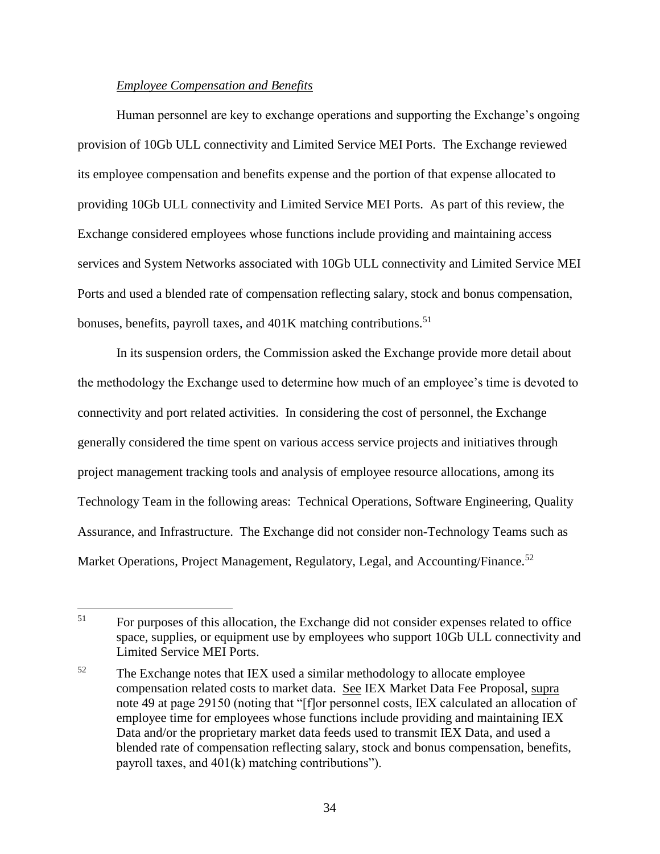# *Employee Compensation and Benefits*

Human personnel are key to exchange operations and supporting the Exchange's ongoing provision of 10Gb ULL connectivity and Limited Service MEI Ports. The Exchange reviewed its employee compensation and benefits expense and the portion of that expense allocated to providing 10Gb ULL connectivity and Limited Service MEI Ports. As part of this review, the Exchange considered employees whose functions include providing and maintaining access services and System Networks associated with 10Gb ULL connectivity and Limited Service MEI Ports and used a blended rate of compensation reflecting salary, stock and bonus compensation, bonuses, benefits, payroll taxes, and 401K matching contributions.<sup>51</sup>

In its suspension orders, the Commission asked the Exchange provide more detail about the methodology the Exchange used to determine how much of an employee's time is devoted to connectivity and port related activities. In considering the cost of personnel, the Exchange generally considered the time spent on various access service projects and initiatives through project management tracking tools and analysis of employee resource allocations, among its Technology Team in the following areas: Technical Operations, Software Engineering, Quality Assurance, and Infrastructure. The Exchange did not consider non-Technology Teams such as Market Operations, Project Management, Regulatory, Legal, and Accounting/Finance.<sup>52</sup>

<sup>51</sup> For purposes of this allocation, the Exchange did not consider expenses related to office space, supplies, or equipment use by employees who support 10Gb ULL connectivity and Limited Service MEI Ports.

 $52$  The Exchange notes that IEX used a similar methodology to allocate employee compensation related costs to market data. See IEX Market Data Fee Proposal, supra note 49 at page 29150 (noting that "[f]or personnel costs, IEX calculated an allocation of employee time for employees whose functions include providing and maintaining IEX Data and/or the proprietary market data feeds used to transmit IEX Data, and used a blended rate of compensation reflecting salary, stock and bonus compensation, benefits, payroll taxes, and 401(k) matching contributions").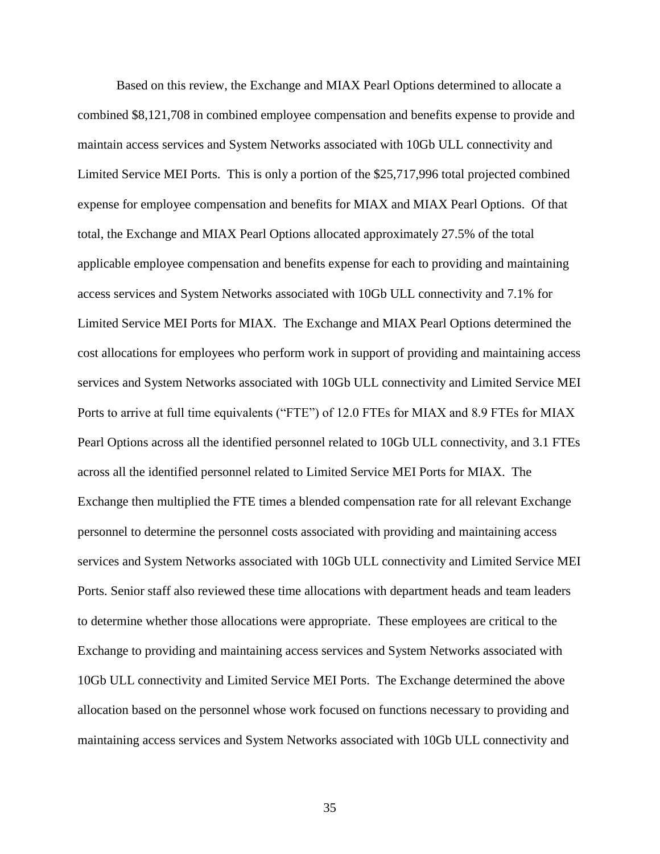Based on this review, the Exchange and MIAX Pearl Options determined to allocate a combined \$8,121,708 in combined employee compensation and benefits expense to provide and maintain access services and System Networks associated with 10Gb ULL connectivity and Limited Service MEI Ports. This is only a portion of the \$25,717,996 total projected combined expense for employee compensation and benefits for MIAX and MIAX Pearl Options. Of that total, the Exchange and MIAX Pearl Options allocated approximately 27.5% of the total applicable employee compensation and benefits expense for each to providing and maintaining access services and System Networks associated with 10Gb ULL connectivity and 7.1% for Limited Service MEI Ports for MIAX. The Exchange and MIAX Pearl Options determined the cost allocations for employees who perform work in support of providing and maintaining access services and System Networks associated with 10Gb ULL connectivity and Limited Service MEI Ports to arrive at full time equivalents ("FTE") of 12.0 FTEs for MIAX and 8.9 FTEs for MIAX Pearl Options across all the identified personnel related to 10Gb ULL connectivity, and 3.1 FTEs across all the identified personnel related to Limited Service MEI Ports for MIAX. The Exchange then multiplied the FTE times a blended compensation rate for all relevant Exchange personnel to determine the personnel costs associated with providing and maintaining access services and System Networks associated with 10Gb ULL connectivity and Limited Service MEI Ports. Senior staff also reviewed these time allocations with department heads and team leaders to determine whether those allocations were appropriate. These employees are critical to the Exchange to providing and maintaining access services and System Networks associated with 10Gb ULL connectivity and Limited Service MEI Ports. The Exchange determined the above allocation based on the personnel whose work focused on functions necessary to providing and maintaining access services and System Networks associated with 10Gb ULL connectivity and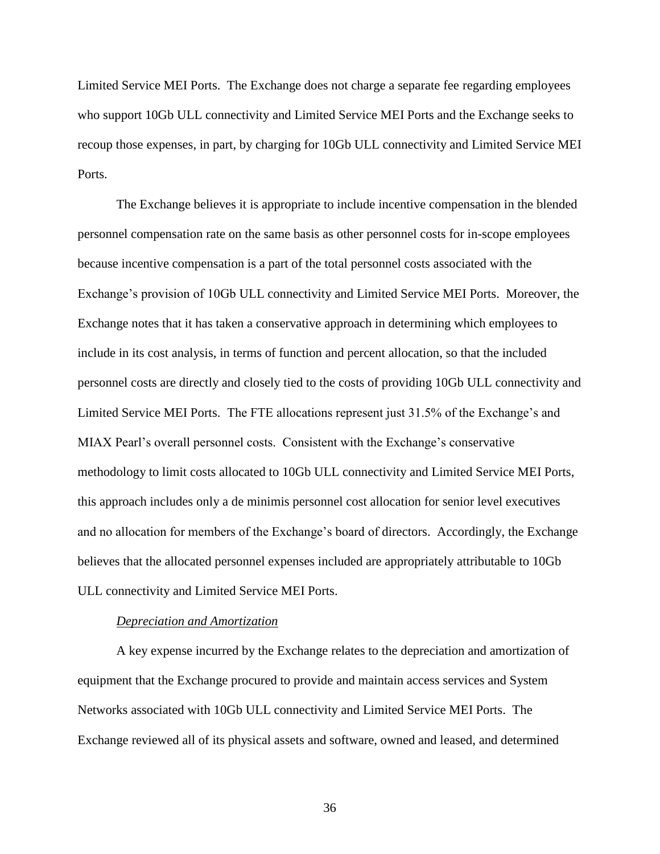Limited Service MEI Ports. The Exchange does not charge a separate fee regarding employees who support 10Gb ULL connectivity and Limited Service MEI Ports and the Exchange seeks to recoup those expenses, in part, by charging for 10Gb ULL connectivity and Limited Service MEI Ports.

The Exchange believes it is appropriate to include incentive compensation in the blended personnel compensation rate on the same basis as other personnel costs for in-scope employees because incentive compensation is a part of the total personnel costs associated with the Exchange's provision of 10Gb ULL connectivity and Limited Service MEI Ports. Moreover, the Exchange notes that it has taken a conservative approach in determining which employees to include in its cost analysis, in terms of function and percent allocation, so that the included personnel costs are directly and closely tied to the costs of providing 10Gb ULL connectivity and Limited Service MEI Ports. The FTE allocations represent just 31.5% of the Exchange's and MIAX Pearl's overall personnel costs. Consistent with the Exchange's conservative methodology to limit costs allocated to 10Gb ULL connectivity and Limited Service MEI Ports, this approach includes only a de minimis personnel cost allocation for senior level executives and no allocation for members of the Exchange's board of directors. Accordingly, the Exchange believes that the allocated personnel expenses included are appropriately attributable to 10Gb ULL connectivity and Limited Service MEI Ports.

#### *Depreciation and Amortization*

A key expense incurred by the Exchange relates to the depreciation and amortization of equipment that the Exchange procured to provide and maintain access services and System Networks associated with 10Gb ULL connectivity and Limited Service MEI Ports. The Exchange reviewed all of its physical assets and software, owned and leased, and determined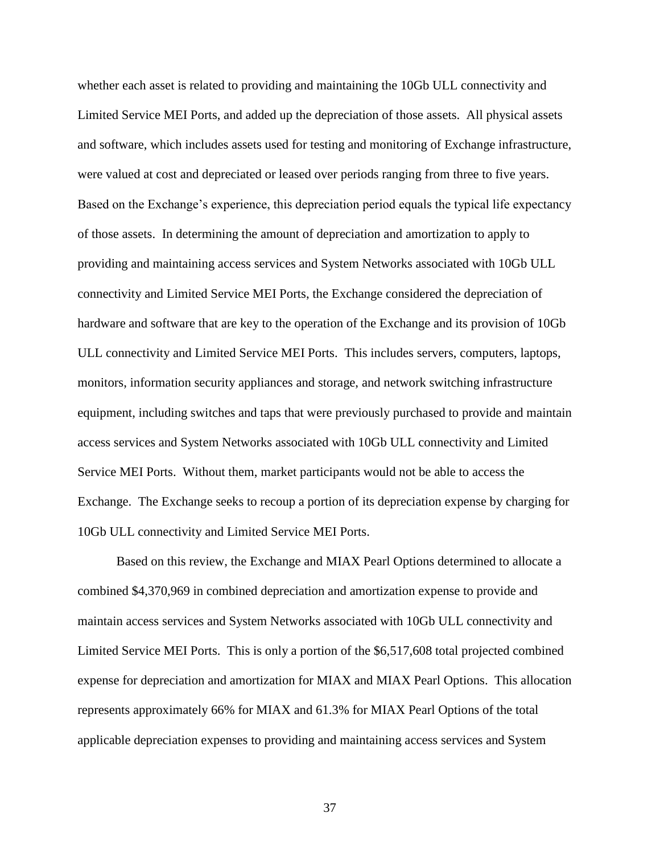whether each asset is related to providing and maintaining the 10Gb ULL connectivity and Limited Service MEI Ports, and added up the depreciation of those assets. All physical assets and software, which includes assets used for testing and monitoring of Exchange infrastructure, were valued at cost and depreciated or leased over periods ranging from three to five years. Based on the Exchange's experience, this depreciation period equals the typical life expectancy of those assets. In determining the amount of depreciation and amortization to apply to providing and maintaining access services and System Networks associated with 10Gb ULL connectivity and Limited Service MEI Ports, the Exchange considered the depreciation of hardware and software that are key to the operation of the Exchange and its provision of 10Gb ULL connectivity and Limited Service MEI Ports. This includes servers, computers, laptops, monitors, information security appliances and storage, and network switching infrastructure equipment, including switches and taps that were previously purchased to provide and maintain access services and System Networks associated with 10Gb ULL connectivity and Limited Service MEI Ports. Without them, market participants would not be able to access the Exchange. The Exchange seeks to recoup a portion of its depreciation expense by charging for 10Gb ULL connectivity and Limited Service MEI Ports.

Based on this review, the Exchange and MIAX Pearl Options determined to allocate a combined \$4,370,969 in combined depreciation and amortization expense to provide and maintain access services and System Networks associated with 10Gb ULL connectivity and Limited Service MEI Ports. This is only a portion of the \$6,517,608 total projected combined expense for depreciation and amortization for MIAX and MIAX Pearl Options. This allocation represents approximately 66% for MIAX and 61.3% for MIAX Pearl Options of the total applicable depreciation expenses to providing and maintaining access services and System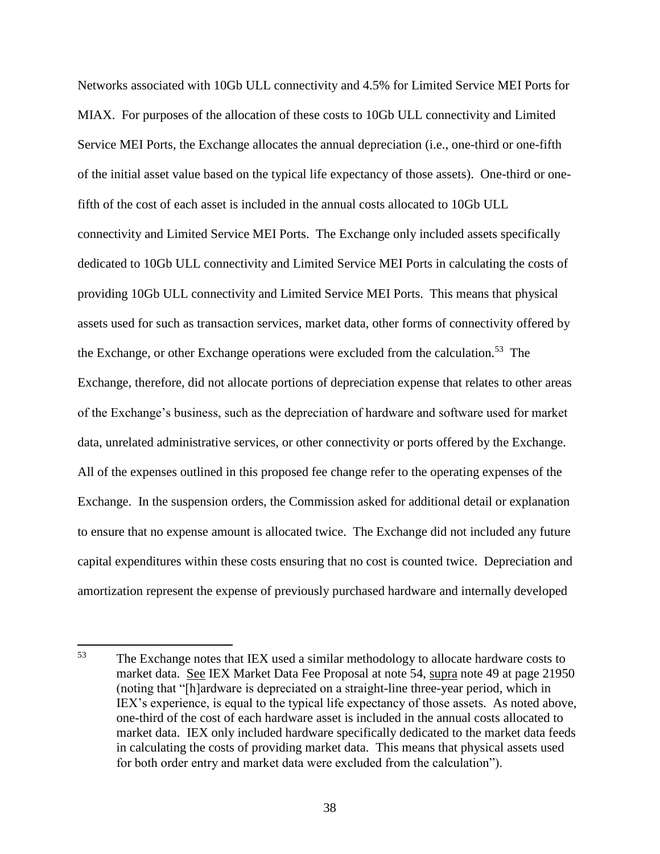Networks associated with 10Gb ULL connectivity and 4.5% for Limited Service MEI Ports for MIAX. For purposes of the allocation of these costs to 10Gb ULL connectivity and Limited Service MEI Ports, the Exchange allocates the annual depreciation (i.e., one-third or one-fifth of the initial asset value based on the typical life expectancy of those assets). One-third or onefifth of the cost of each asset is included in the annual costs allocated to 10Gb ULL connectivity and Limited Service MEI Ports. The Exchange only included assets specifically dedicated to 10Gb ULL connectivity and Limited Service MEI Ports in calculating the costs of providing 10Gb ULL connectivity and Limited Service MEI Ports. This means that physical assets used for such as transaction services, market data, other forms of connectivity offered by the Exchange, or other Exchange operations were excluded from the calculation.<sup>53</sup> The Exchange, therefore, did not allocate portions of depreciation expense that relates to other areas of the Exchange's business, such as the depreciation of hardware and software used for market data, unrelated administrative services, or other connectivity or ports offered by the Exchange. All of the expenses outlined in this proposed fee change refer to the operating expenses of the Exchange. In the suspension orders, the Commission asked for additional detail or explanation to ensure that no expense amount is allocated twice. The Exchange did not included any future capital expenditures within these costs ensuring that no cost is counted twice. Depreciation and amortization represent the expense of previously purchased hardware and internally developed

<sup>53</sup> The Exchange notes that IEX used a similar methodology to allocate hardware costs to market data. See IEX Market Data Fee Proposal at note 54, supra note 49 at page 21950 (noting that "[h]ardware is depreciated on a straight-line three-year period, which in IEX's experience, is equal to the typical life expectancy of those assets. As noted above, one-third of the cost of each hardware asset is included in the annual costs allocated to market data. IEX only included hardware specifically dedicated to the market data feeds in calculating the costs of providing market data. This means that physical assets used for both order entry and market data were excluded from the calculation").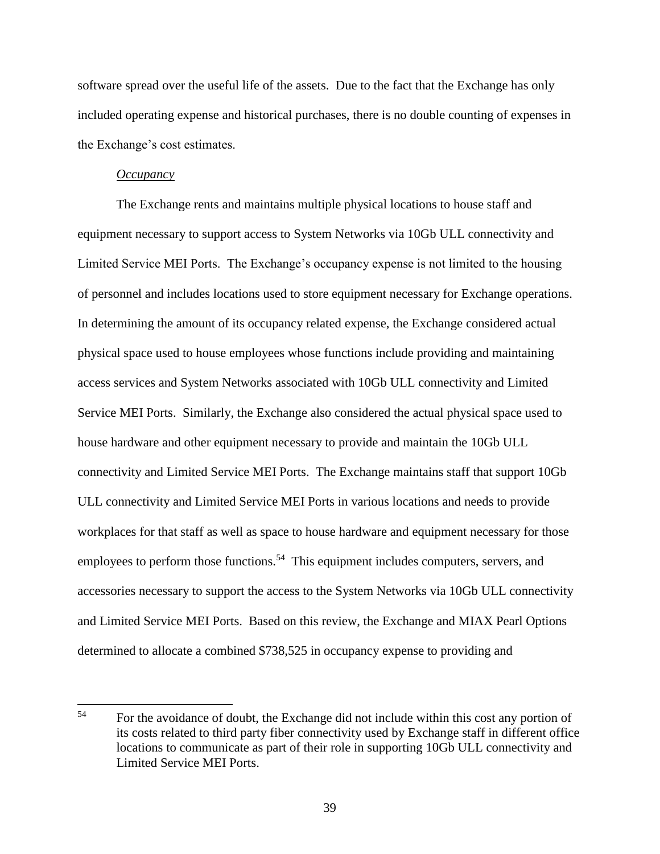software spread over the useful life of the assets. Due to the fact that the Exchange has only included operating expense and historical purchases, there is no double counting of expenses in the Exchange's cost estimates.

### *Occupancy*

l

The Exchange rents and maintains multiple physical locations to house staff and equipment necessary to support access to System Networks via 10Gb ULL connectivity and Limited Service MEI Ports. The Exchange's occupancy expense is not limited to the housing of personnel and includes locations used to store equipment necessary for Exchange operations. In determining the amount of its occupancy related expense, the Exchange considered actual physical space used to house employees whose functions include providing and maintaining access services and System Networks associated with 10Gb ULL connectivity and Limited Service MEI Ports. Similarly, the Exchange also considered the actual physical space used to house hardware and other equipment necessary to provide and maintain the 10Gb ULL connectivity and Limited Service MEI Ports. The Exchange maintains staff that support 10Gb ULL connectivity and Limited Service MEI Ports in various locations and needs to provide workplaces for that staff as well as space to house hardware and equipment necessary for those employees to perform those functions.<sup>54</sup> This equipment includes computers, servers, and accessories necessary to support the access to the System Networks via 10Gb ULL connectivity and Limited Service MEI Ports. Based on this review, the Exchange and MIAX Pearl Options determined to allocate a combined \$738,525 in occupancy expense to providing and

<sup>&</sup>lt;sup>54</sup> For the avoidance of doubt, the Exchange did not include within this cost any portion of its costs related to third party fiber connectivity used by Exchange staff in different office locations to communicate as part of their role in supporting 10Gb ULL connectivity and Limited Service MEI Ports.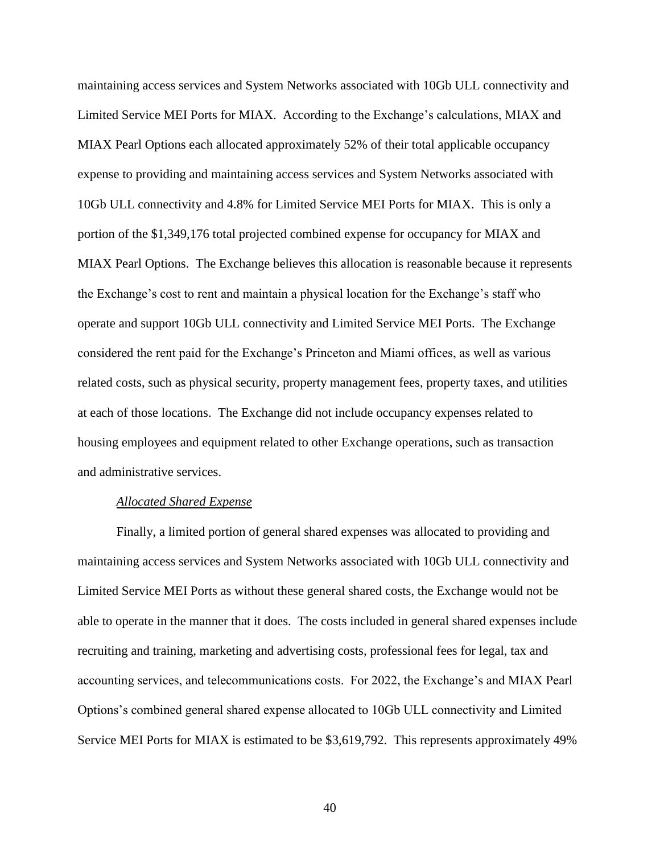maintaining access services and System Networks associated with 10Gb ULL connectivity and Limited Service MEI Ports for MIAX. According to the Exchange's calculations, MIAX and MIAX Pearl Options each allocated approximately 52% of their total applicable occupancy expense to providing and maintaining access services and System Networks associated with 10Gb ULL connectivity and 4.8% for Limited Service MEI Ports for MIAX. This is only a portion of the \$1,349,176 total projected combined expense for occupancy for MIAX and MIAX Pearl Options. The Exchange believes this allocation is reasonable because it represents the Exchange's cost to rent and maintain a physical location for the Exchange's staff who operate and support 10Gb ULL connectivity and Limited Service MEI Ports. The Exchange considered the rent paid for the Exchange's Princeton and Miami offices, as well as various related costs, such as physical security, property management fees, property taxes, and utilities at each of those locations. The Exchange did not include occupancy expenses related to housing employees and equipment related to other Exchange operations, such as transaction and administrative services.

#### *Allocated Shared Expense*

Finally, a limited portion of general shared expenses was allocated to providing and maintaining access services and System Networks associated with 10Gb ULL connectivity and Limited Service MEI Ports as without these general shared costs, the Exchange would not be able to operate in the manner that it does. The costs included in general shared expenses include recruiting and training, marketing and advertising costs, professional fees for legal, tax and accounting services, and telecommunications costs. For 2022, the Exchange's and MIAX Pearl Options's combined general shared expense allocated to 10Gb ULL connectivity and Limited Service MEI Ports for MIAX is estimated to be \$3,619,792. This represents approximately 49%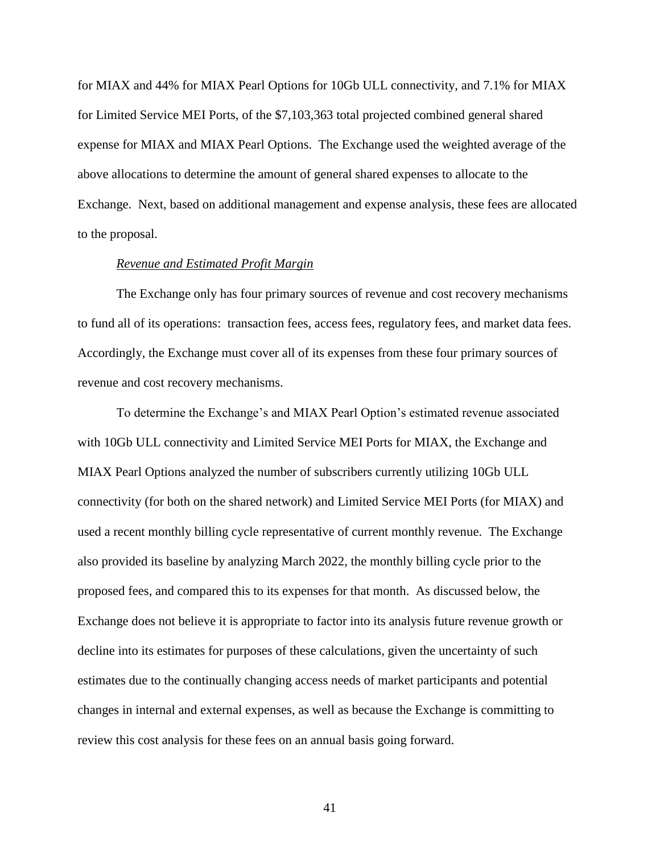for MIAX and 44% for MIAX Pearl Options for 10Gb ULL connectivity, and 7.1% for MIAX for Limited Service MEI Ports, of the \$7,103,363 total projected combined general shared expense for MIAX and MIAX Pearl Options. The Exchange used the weighted average of the above allocations to determine the amount of general shared expenses to allocate to the Exchange. Next, based on additional management and expense analysis, these fees are allocated to the proposal.

### *Revenue and Estimated Profit Margin*

The Exchange only has four primary sources of revenue and cost recovery mechanisms to fund all of its operations: transaction fees, access fees, regulatory fees, and market data fees. Accordingly, the Exchange must cover all of its expenses from these four primary sources of revenue and cost recovery mechanisms.

To determine the Exchange's and MIAX Pearl Option's estimated revenue associated with 10Gb ULL connectivity and Limited Service MEI Ports for MIAX, the Exchange and MIAX Pearl Options analyzed the number of subscribers currently utilizing 10Gb ULL connectivity (for both on the shared network) and Limited Service MEI Ports (for MIAX) and used a recent monthly billing cycle representative of current monthly revenue. The Exchange also provided its baseline by analyzing March 2022, the monthly billing cycle prior to the proposed fees, and compared this to its expenses for that month. As discussed below, the Exchange does not believe it is appropriate to factor into its analysis future revenue growth or decline into its estimates for purposes of these calculations, given the uncertainty of such estimates due to the continually changing access needs of market participants and potential changes in internal and external expenses, as well as because the Exchange is committing to review this cost analysis for these fees on an annual basis going forward.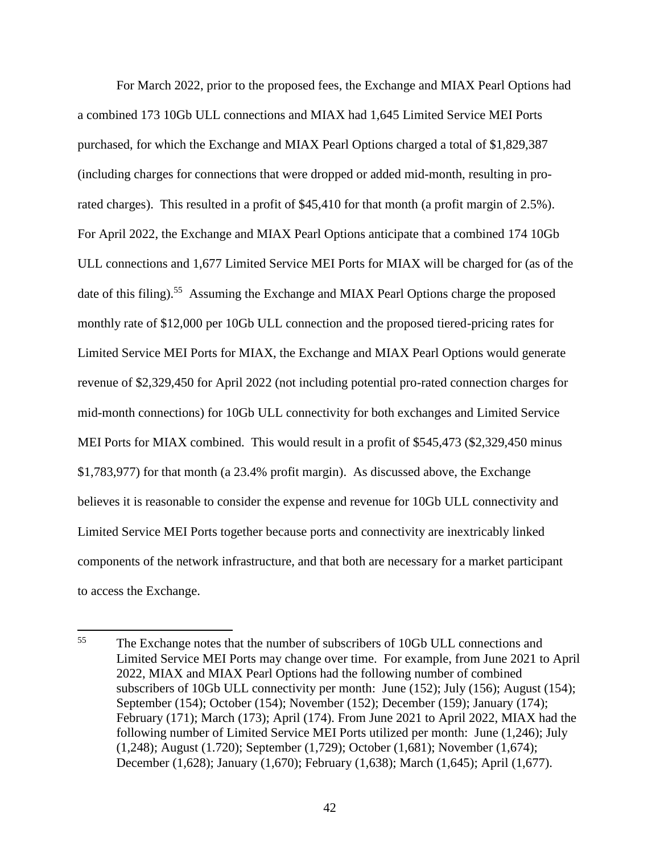For March 2022, prior to the proposed fees, the Exchange and MIAX Pearl Options had a combined 173 10Gb ULL connections and MIAX had 1,645 Limited Service MEI Ports purchased, for which the Exchange and MIAX Pearl Options charged a total of \$1,829,387 (including charges for connections that were dropped or added mid-month, resulting in prorated charges). This resulted in a profit of \$45,410 for that month (a profit margin of 2.5%). For April 2022, the Exchange and MIAX Pearl Options anticipate that a combined 174 10Gb ULL connections and 1,677 Limited Service MEI Ports for MIAX will be charged for (as of the date of this filing).<sup>55</sup> Assuming the Exchange and MIAX Pearl Options charge the proposed monthly rate of \$12,000 per 10Gb ULL connection and the proposed tiered-pricing rates for Limited Service MEI Ports for MIAX, the Exchange and MIAX Pearl Options would generate revenue of \$2,329,450 for April 2022 (not including potential pro-rated connection charges for mid-month connections) for 10Gb ULL connectivity for both exchanges and Limited Service MEI Ports for MIAX combined. This would result in a profit of \$545,473 (\$2,329,450 minus \$1,783,977) for that month (a 23.4% profit margin). As discussed above, the Exchange believes it is reasonable to consider the expense and revenue for 10Gb ULL connectivity and Limited Service MEI Ports together because ports and connectivity are inextricably linked components of the network infrastructure, and that both are necessary for a market participant to access the Exchange.

<sup>55</sup> <sup>55</sup> The Exchange notes that the number of subscribers of 10Gb ULL connections and Limited Service MEI Ports may change over time. For example, from June 2021 to April 2022, MIAX and MIAX Pearl Options had the following number of combined subscribers of 10Gb ULL connectivity per month: June (152); July (156); August (154); September (154); October (154); November (152); December (159); January (174); February (171); March (173); April (174). From June 2021 to April 2022, MIAX had the following number of Limited Service MEI Ports utilized per month: June (1,246); July (1,248); August (1.720); September (1,729); October (1,681); November (1,674); December (1,628); January (1,670); February (1,638); March (1,645); April (1,677).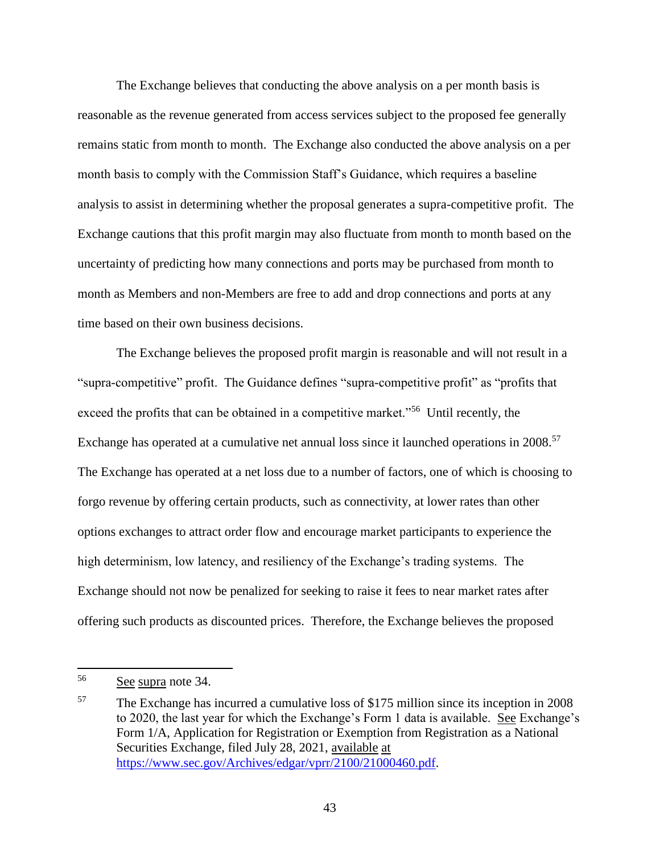The Exchange believes that conducting the above analysis on a per month basis is reasonable as the revenue generated from access services subject to the proposed fee generally remains static from month to month. The Exchange also conducted the above analysis on a per month basis to comply with the Commission Staff's Guidance, which requires a baseline analysis to assist in determining whether the proposal generates a supra-competitive profit. The Exchange cautions that this profit margin may also fluctuate from month to month based on the uncertainty of predicting how many connections and ports may be purchased from month to month as Members and non-Members are free to add and drop connections and ports at any time based on their own business decisions.

The Exchange believes the proposed profit margin is reasonable and will not result in a "supra-competitive" profit. The Guidance defines "supra-competitive profit" as "profits that exceed the profits that can be obtained in a competitive market."<sup>56</sup> Until recently, the Exchange has operated at a cumulative net annual loss since it launched operations in 2008.<sup>57</sup> The Exchange has operated at a net loss due to a number of factors, one of which is choosing to forgo revenue by offering certain products, such as connectivity, at lower rates than other options exchanges to attract order flow and encourage market participants to experience the high determinism, low latency, and resiliency of the Exchange's trading systems. The Exchange should not now be penalized for seeking to raise it fees to near market rates after offering such products as discounted prices. Therefore, the Exchange believes the proposed

<sup>56</sup> See supra note 34.

<sup>57</sup> The Exchange has incurred a cumulative loss of \$175 million since its inception in 2008 to 2020, the last year for which the Exchange's Form 1 data is available. See Exchange's Form 1/A, Application for Registration or Exemption from Registration as a National Securities Exchange, filed July 28, 2021, available at [https://www.sec.gov/Archives/edgar/vprr/2100/21000460.pdf.](https://www.sec.gov/Archives/edgar/vprr/2100/21000460.pdf)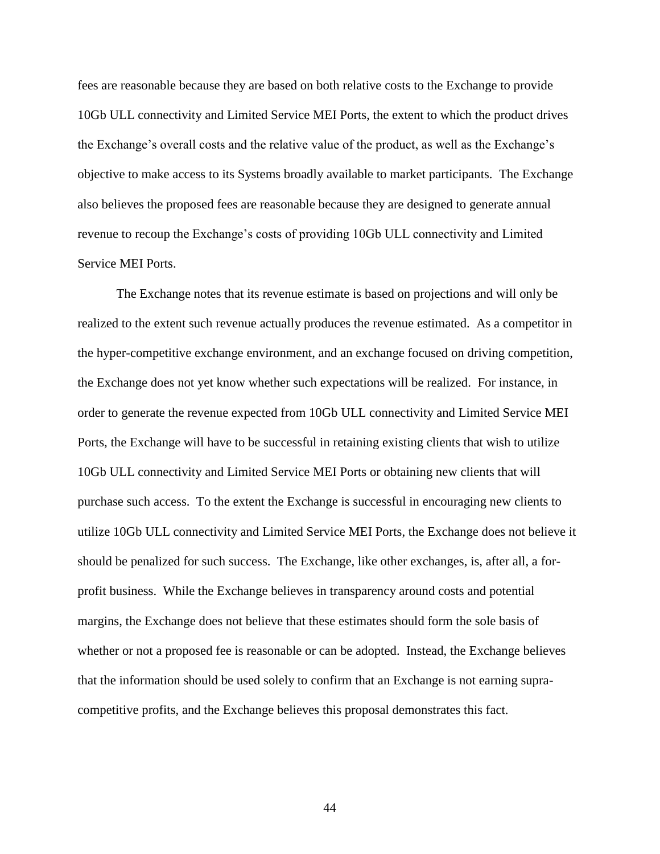fees are reasonable because they are based on both relative costs to the Exchange to provide 10Gb ULL connectivity and Limited Service MEI Ports, the extent to which the product drives the Exchange's overall costs and the relative value of the product, as well as the Exchange's objective to make access to its Systems broadly available to market participants. The Exchange also believes the proposed fees are reasonable because they are designed to generate annual revenue to recoup the Exchange's costs of providing 10Gb ULL connectivity and Limited Service MEI Ports.

The Exchange notes that its revenue estimate is based on projections and will only be realized to the extent such revenue actually produces the revenue estimated. As a competitor in the hyper-competitive exchange environment, and an exchange focused on driving competition, the Exchange does not yet know whether such expectations will be realized. For instance, in order to generate the revenue expected from 10Gb ULL connectivity and Limited Service MEI Ports, the Exchange will have to be successful in retaining existing clients that wish to utilize 10Gb ULL connectivity and Limited Service MEI Ports or obtaining new clients that will purchase such access. To the extent the Exchange is successful in encouraging new clients to utilize 10Gb ULL connectivity and Limited Service MEI Ports, the Exchange does not believe it should be penalized for such success. The Exchange, like other exchanges, is, after all, a forprofit business. While the Exchange believes in transparency around costs and potential margins, the Exchange does not believe that these estimates should form the sole basis of whether or not a proposed fee is reasonable or can be adopted. Instead, the Exchange believes that the information should be used solely to confirm that an Exchange is not earning supracompetitive profits, and the Exchange believes this proposal demonstrates this fact.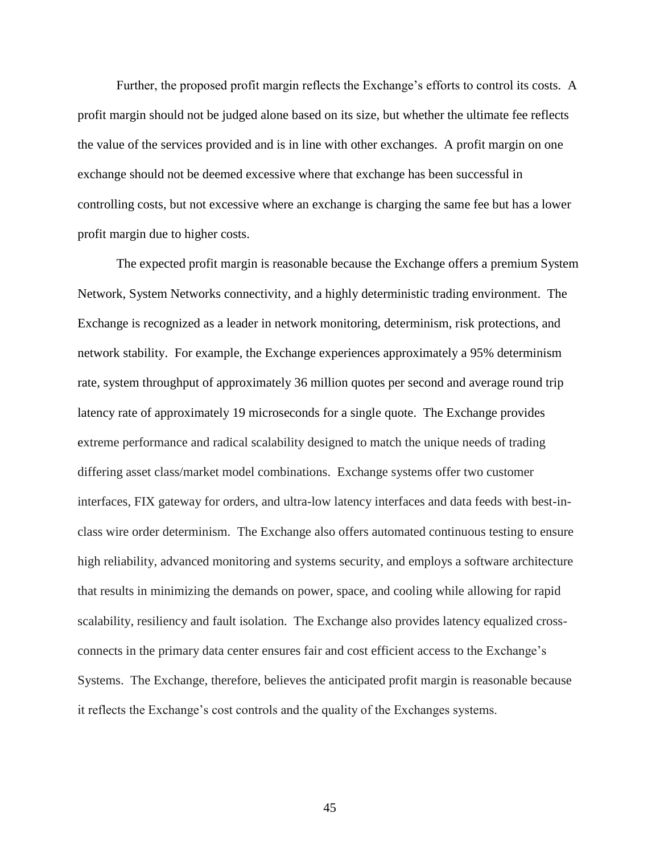Further, the proposed profit margin reflects the Exchange's efforts to control its costs. A profit margin should not be judged alone based on its size, but whether the ultimate fee reflects the value of the services provided and is in line with other exchanges. A profit margin on one exchange should not be deemed excessive where that exchange has been successful in controlling costs, but not excessive where an exchange is charging the same fee but has a lower profit margin due to higher costs.

The expected profit margin is reasonable because the Exchange offers a premium System Network, System Networks connectivity, and a highly deterministic trading environment. The Exchange is recognized as a leader in network monitoring, determinism, risk protections, and network stability. For example, the Exchange experiences approximately a 95% determinism rate, system throughput of approximately 36 million quotes per second and average round trip latency rate of approximately 19 microseconds for a single quote. The Exchange provides extreme performance and radical scalability designed to match the unique needs of trading differing asset class/market model combinations. Exchange systems offer two customer interfaces, FIX gateway for orders, and ultra-low latency interfaces and data feeds with best-inclass wire order determinism. The Exchange also offers automated continuous testing to ensure high reliability, advanced monitoring and systems security, and employs a software architecture that results in minimizing the demands on power, space, and cooling while allowing for rapid scalability, resiliency and fault isolation. The Exchange also provides latency equalized crossconnects in the primary data center ensures fair and cost efficient access to the Exchange's Systems. The Exchange, therefore, believes the anticipated profit margin is reasonable because it reflects the Exchange's cost controls and the quality of the Exchanges systems.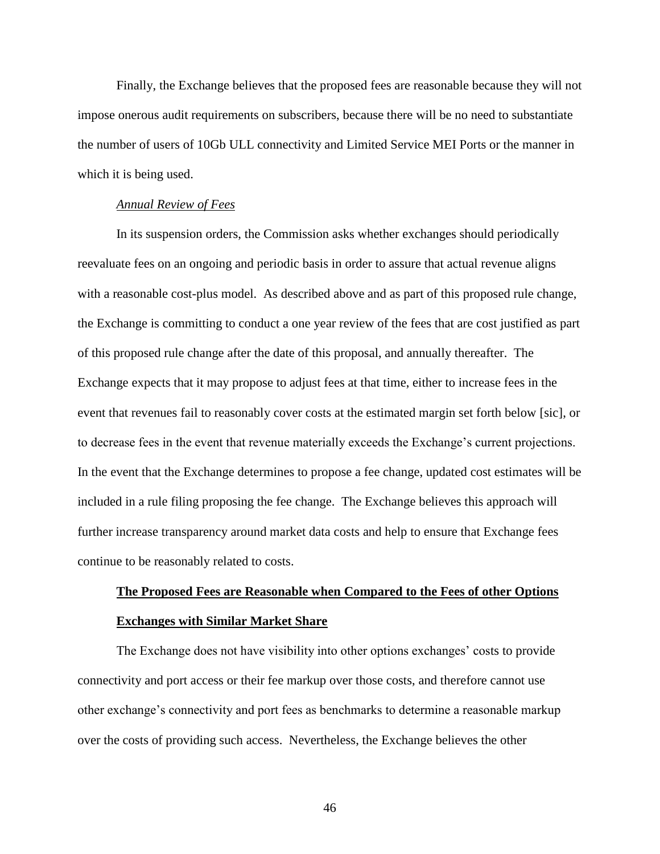Finally, the Exchange believes that the proposed fees are reasonable because they will not impose onerous audit requirements on subscribers, because there will be no need to substantiate the number of users of 10Gb ULL connectivity and Limited Service MEI Ports or the manner in which it is being used.

#### *Annual Review of Fees*

In its suspension orders, the Commission asks whether exchanges should periodically reevaluate fees on an ongoing and periodic basis in order to assure that actual revenue aligns with a reasonable cost-plus model. As described above and as part of this proposed rule change, the Exchange is committing to conduct a one year review of the fees that are cost justified as part of this proposed rule change after the date of this proposal, and annually thereafter. The Exchange expects that it may propose to adjust fees at that time, either to increase fees in the event that revenues fail to reasonably cover costs at the estimated margin set forth below [sic], or to decrease fees in the event that revenue materially exceeds the Exchange's current projections. In the event that the Exchange determines to propose a fee change, updated cost estimates will be included in a rule filing proposing the fee change. The Exchange believes this approach will further increase transparency around market data costs and help to ensure that Exchange fees continue to be reasonably related to costs.

# **The Proposed Fees are Reasonable when Compared to the Fees of other Options Exchanges with Similar Market Share**

The Exchange does not have visibility into other options exchanges' costs to provide connectivity and port access or their fee markup over those costs, and therefore cannot use other exchange's connectivity and port fees as benchmarks to determine a reasonable markup over the costs of providing such access. Nevertheless, the Exchange believes the other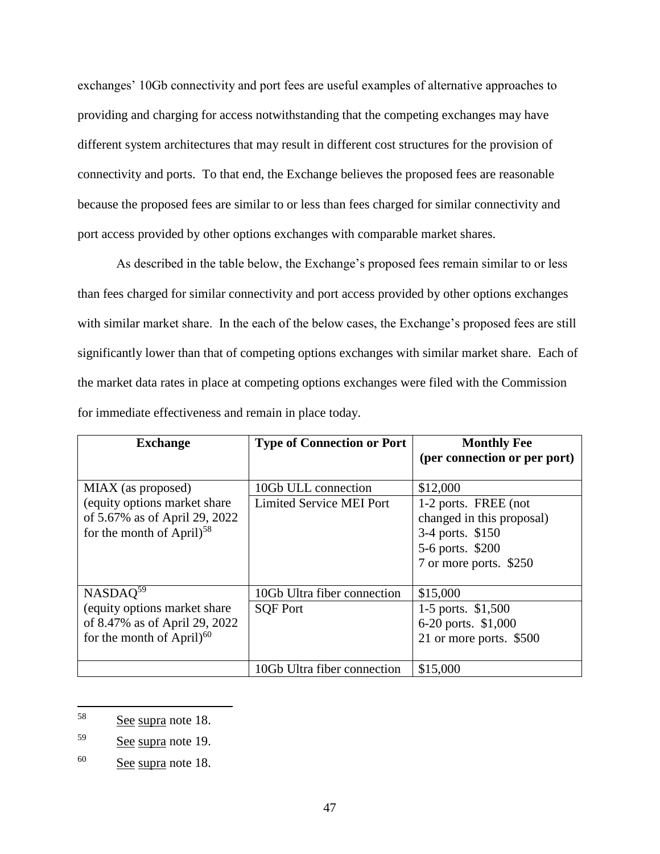exchanges' 10Gb connectivity and port fees are useful examples of alternative approaches to providing and charging for access notwithstanding that the competing exchanges may have different system architectures that may result in different cost structures for the provision of connectivity and ports. To that end, the Exchange believes the proposed fees are reasonable because the proposed fees are similar to or less than fees charged for similar connectivity and port access provided by other options exchanges with comparable market shares.

As described in the table below, the Exchange's proposed fees remain similar to or less than fees charged for similar connectivity and port access provided by other options exchanges with similar market share. In the each of the below cases, the Exchange's proposed fees are still significantly lower than that of competing options exchanges with similar market share. Each of the market data rates in place at competing options exchanges were filed with the Commission for immediate effectiveness and remain in place today.

| <b>Exchange</b>                                                                                                                 | <b>Type of Connection or Port</b>                      | <b>Monthly Fee</b><br>(per connection or per port)                                                                              |
|---------------------------------------------------------------------------------------------------------------------------------|--------------------------------------------------------|---------------------------------------------------------------------------------------------------------------------------------|
| MIAX (as proposed)<br>(equity options market share)<br>of 5.67% as of April 29, 2022<br>for the month of April) <sup>58</sup>   | 10Gb ULL connection<br><b>Limited Service MEI Port</b> | \$12,000<br>1-2 ports. FREE (not<br>changed in this proposal)<br>3-4 ports. \$150<br>5-6 ports. \$200<br>7 or more ports. \$250 |
| NASDAQ <sup>59</sup><br>(equity options market share)<br>of 8.47% as of April 29, 2022<br>for the month of April) <sup>60</sup> | 10Gb Ultra fiber connection<br><b>SQF Port</b>         | \$15,000<br>1-5 ports. \$1,500<br>6-20 ports. \$1,000<br>21 or more ports. \$500                                                |
|                                                                                                                                 | 10Gb Ultra fiber connection                            | \$15,000                                                                                                                        |

<sup>58</sup> See supra note 18.

<sup>59</sup> See supra note 19.

<sup>60</sup> See supra note 18.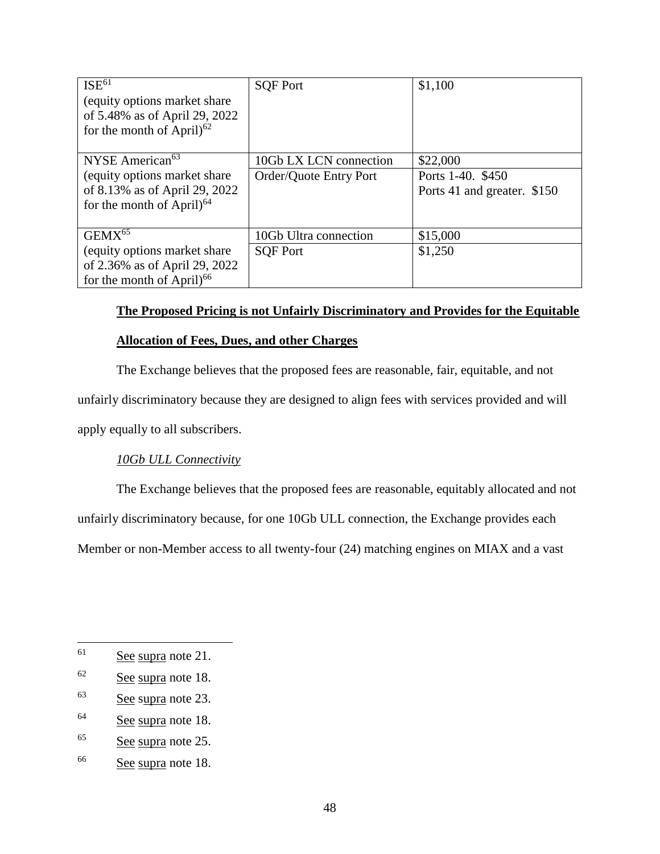| ISE <sup>61</sup>              | <b>SQF Port</b>        | \$1,100                     |
|--------------------------------|------------------------|-----------------------------|
| (equity options market share)  |                        |                             |
| of 5.48% as of April 29, 2022  |                        |                             |
| for the month of April $6^{2}$ |                        |                             |
|                                |                        |                             |
| NYSE American <sup>63</sup>    | 10Gb LX LCN connection | \$22,000                    |
| (equity options market share)  | Order/Quote Entry Port | Ports 1-40. \$450           |
| of 8.13% as of April 29, 2022  |                        | Ports 41 and greater. \$150 |
| for the month of April $6^{4}$ |                        |                             |
|                                |                        |                             |
| GEMX <sup>65</sup>             | 10Gb Ultra connection  | \$15,000                    |
| (equity options market share)  | <b>SOF Port</b>        | \$1,250                     |
| of 2.36% as of April 29, 2022  |                        |                             |
| for the month of April $^{66}$ |                        |                             |

# **The Proposed Pricing is not Unfairly Discriminatory and Provides for the Equitable**

# **Allocation of Fees, Dues, and other Charges**

The Exchange believes that the proposed fees are reasonable, fair, equitable, and not unfairly discriminatory because they are designed to align fees with services provided and will apply equally to all subscribers.

# *10Gb ULL Connectivity*

The Exchange believes that the proposed fees are reasonable, equitably allocated and not unfairly discriminatory because, for one 10Gb ULL connection, the Exchange provides each Member or non-Member access to all twenty-four (24) matching engines on MIAX and a vast

<sup>64</sup> See supra note 18.

<sup>61</sup> See supra note 21.

 $62 \qquad \text{See } \text{supra note } 18.$ 

<sup>63</sup> See supra note 23.

<sup>65</sup> See supra note 25.

<sup>66</sup> See supra note 18.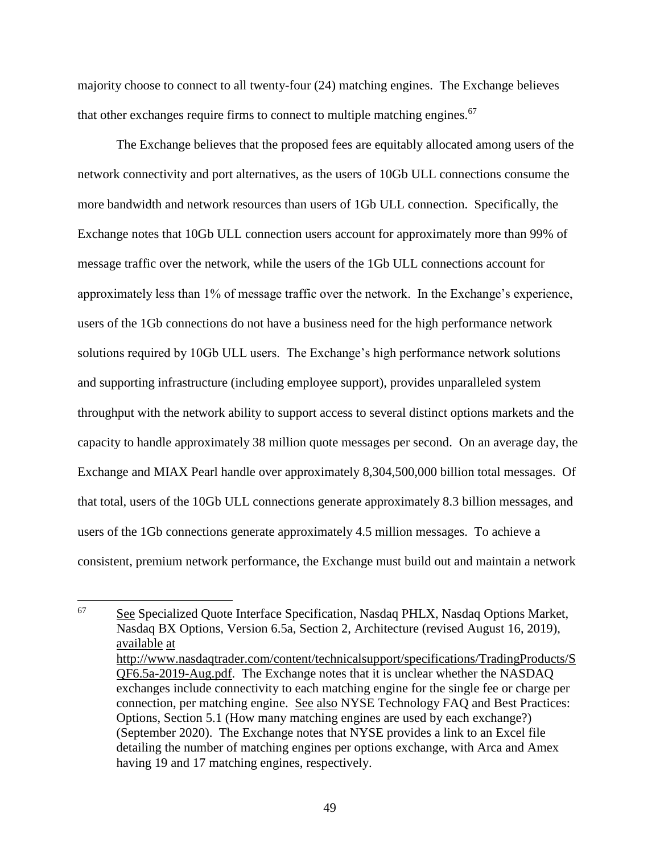majority choose to connect to all twenty-four (24) matching engines. The Exchange believes that other exchanges require firms to connect to multiple matching engines.<sup>67</sup>

The Exchange believes that the proposed fees are equitably allocated among users of the network connectivity and port alternatives, as the users of 10Gb ULL connections consume the more bandwidth and network resources than users of 1Gb ULL connection. Specifically, the Exchange notes that 10Gb ULL connection users account for approximately more than 99% of message traffic over the network, while the users of the 1Gb ULL connections account for approximately less than 1% of message traffic over the network. In the Exchange's experience, users of the 1Gb connections do not have a business need for the high performance network solutions required by 10Gb ULL users. The Exchange's high performance network solutions and supporting infrastructure (including employee support), provides unparalleled system throughput with the network ability to support access to several distinct options markets and the capacity to handle approximately 38 million quote messages per second. On an average day, the Exchange and MIAX Pearl handle over approximately 8,304,500,000 billion total messages. Of that total, users of the 10Gb ULL connections generate approximately 8.3 billion messages, and users of the 1Gb connections generate approximately 4.5 million messages. To achieve a consistent, premium network performance, the Exchange must build out and maintain a network

<sup>67</sup> <sup>67</sup> See Specialized Quote Interface Specification, Nasdaq PHLX, Nasdaq Options Market, Nasdaq BX Options, Version 6.5a, Section 2, Architecture (revised August 16, 2019), available at [http://www.nasdaqtrader.com/content/technicalsupport/specifications/TradingProducts/S](http://www.nasdaqtrader.com/content/technicalsupport/specifications/TradingProducts/SQF6.5a-2019-Aug.pdf) [QF6.5a-2019-Aug.pdf.](http://www.nasdaqtrader.com/content/technicalsupport/specifications/TradingProducts/SQF6.5a-2019-Aug.pdf) The Exchange notes that it is unclear whether the NASDAQ exchanges include connectivity to each matching engine for the single fee or charge per connection, per matching engine. See also NYSE Technology FAQ and Best Practices: Options, Section 5.1 (How many matching engines are used by each exchange?) (September 2020). The Exchange notes that NYSE provides a link to an Excel file detailing the number of matching engines per options exchange, with Arca and Amex having 19 and 17 matching engines, respectively.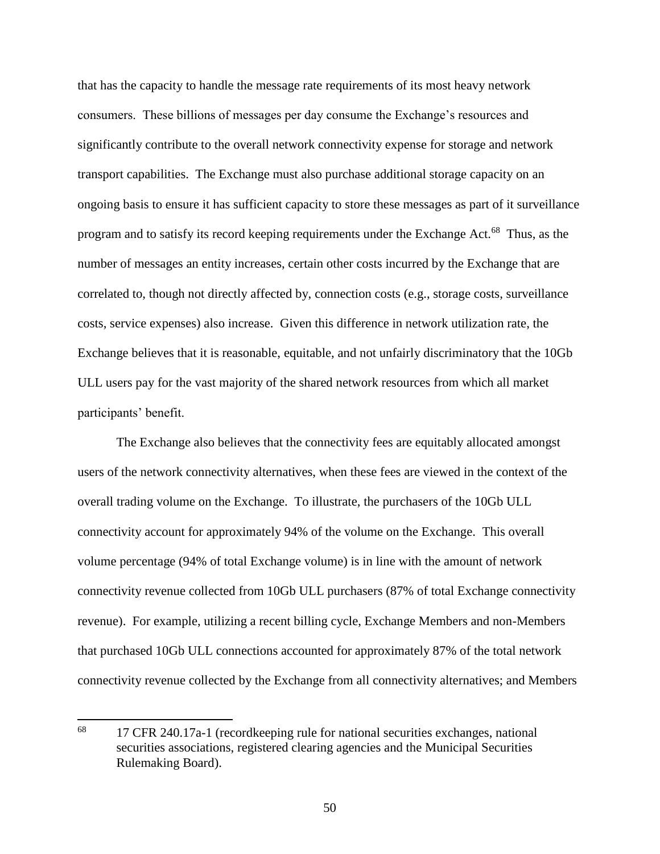that has the capacity to handle the message rate requirements of its most heavy network consumers. These billions of messages per day consume the Exchange's resources and significantly contribute to the overall network connectivity expense for storage and network transport capabilities. The Exchange must also purchase additional storage capacity on an ongoing basis to ensure it has sufficient capacity to store these messages as part of it surveillance program and to satisfy its record keeping requirements under the Exchange Act.<sup>68</sup> Thus, as the number of messages an entity increases, certain other costs incurred by the Exchange that are correlated to, though not directly affected by, connection costs (e.g., storage costs, surveillance costs, service expenses) also increase. Given this difference in network utilization rate, the Exchange believes that it is reasonable, equitable, and not unfairly discriminatory that the 10Gb ULL users pay for the vast majority of the shared network resources from which all market participants' benefit.

The Exchange also believes that the connectivity fees are equitably allocated amongst users of the network connectivity alternatives, when these fees are viewed in the context of the overall trading volume on the Exchange. To illustrate, the purchasers of the 10Gb ULL connectivity account for approximately 94% of the volume on the Exchange. This overall volume percentage (94% of total Exchange volume) is in line with the amount of network connectivity revenue collected from 10Gb ULL purchasers (87% of total Exchange connectivity revenue). For example, utilizing a recent billing cycle, Exchange Members and non-Members that purchased 10Gb ULL connections accounted for approximately 87% of the total network connectivity revenue collected by the Exchange from all connectivity alternatives; and Members

<sup>68</sup> <sup>68</sup> 17 CFR 240.17a-1 (recordkeeping rule for national securities exchanges, national securities associations, registered clearing agencies and the Municipal Securities Rulemaking Board).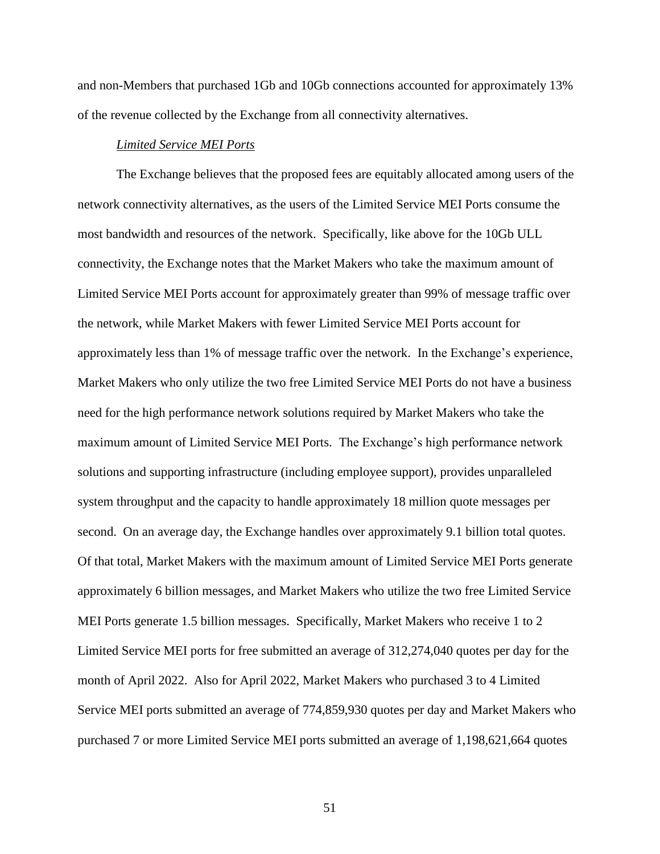and non-Members that purchased 1Gb and 10Gb connections accounted for approximately 13% of the revenue collected by the Exchange from all connectivity alternatives.

### *Limited Service MEI Ports*

The Exchange believes that the proposed fees are equitably allocated among users of the network connectivity alternatives, as the users of the Limited Service MEI Ports consume the most bandwidth and resources of the network. Specifically, like above for the 10Gb ULL connectivity, the Exchange notes that the Market Makers who take the maximum amount of Limited Service MEI Ports account for approximately greater than 99% of message traffic over the network, while Market Makers with fewer Limited Service MEI Ports account for approximately less than 1% of message traffic over the network. In the Exchange's experience, Market Makers who only utilize the two free Limited Service MEI Ports do not have a business need for the high performance network solutions required by Market Makers who take the maximum amount of Limited Service MEI Ports. The Exchange's high performance network solutions and supporting infrastructure (including employee support), provides unparalleled system throughput and the capacity to handle approximately 18 million quote messages per second. On an average day, the Exchange handles over approximately 9.1 billion total quotes. Of that total, Market Makers with the maximum amount of Limited Service MEI Ports generate approximately 6 billion messages, and Market Makers who utilize the two free Limited Service MEI Ports generate 1.5 billion messages. Specifically, Market Makers who receive 1 to 2 Limited Service MEI ports for free submitted an average of 312,274,040 quotes per day for the month of April 2022. Also for April 2022, Market Makers who purchased 3 to 4 Limited Service MEI ports submitted an average of 774,859,930 quotes per day and Market Makers who purchased 7 or more Limited Service MEI ports submitted an average of 1,198,621,664 quotes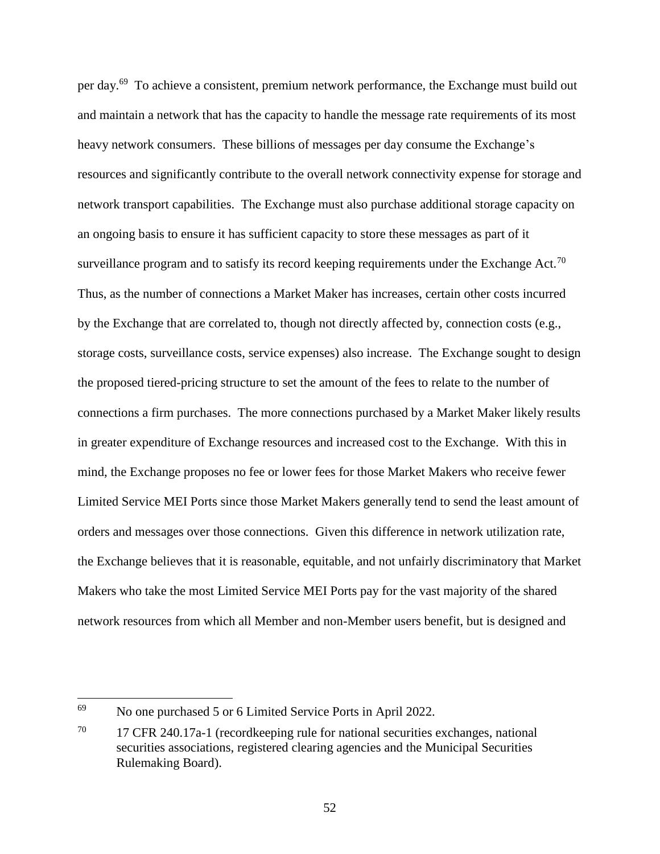per day.<sup>69</sup> To achieve a consistent, premium network performance, the Exchange must build out and maintain a network that has the capacity to handle the message rate requirements of its most heavy network consumers. These billions of messages per day consume the Exchange's resources and significantly contribute to the overall network connectivity expense for storage and network transport capabilities. The Exchange must also purchase additional storage capacity on an ongoing basis to ensure it has sufficient capacity to store these messages as part of it surveillance program and to satisfy its record keeping requirements under the Exchange Act.<sup>70</sup> Thus, as the number of connections a Market Maker has increases, certain other costs incurred by the Exchange that are correlated to, though not directly affected by, connection costs (e.g., storage costs, surveillance costs, service expenses) also increase. The Exchange sought to design the proposed tiered-pricing structure to set the amount of the fees to relate to the number of connections a firm purchases. The more connections purchased by a Market Maker likely results in greater expenditure of Exchange resources and increased cost to the Exchange. With this in mind, the Exchange proposes no fee or lower fees for those Market Makers who receive fewer Limited Service MEI Ports since those Market Makers generally tend to send the least amount of orders and messages over those connections. Given this difference in network utilization rate, the Exchange believes that it is reasonable, equitable, and not unfairly discriminatory that Market Makers who take the most Limited Service MEI Ports pay for the vast majority of the shared network resources from which all Member and non-Member users benefit, but is designed and

l

<sup>&</sup>lt;sup>69</sup> No one purchased 5 or 6 Limited Service Ports in April 2022.

<sup>70</sup> 17 CFR 240.17a-1 (recordkeeping rule for national securities exchanges, national securities associations, registered clearing agencies and the Municipal Securities Rulemaking Board).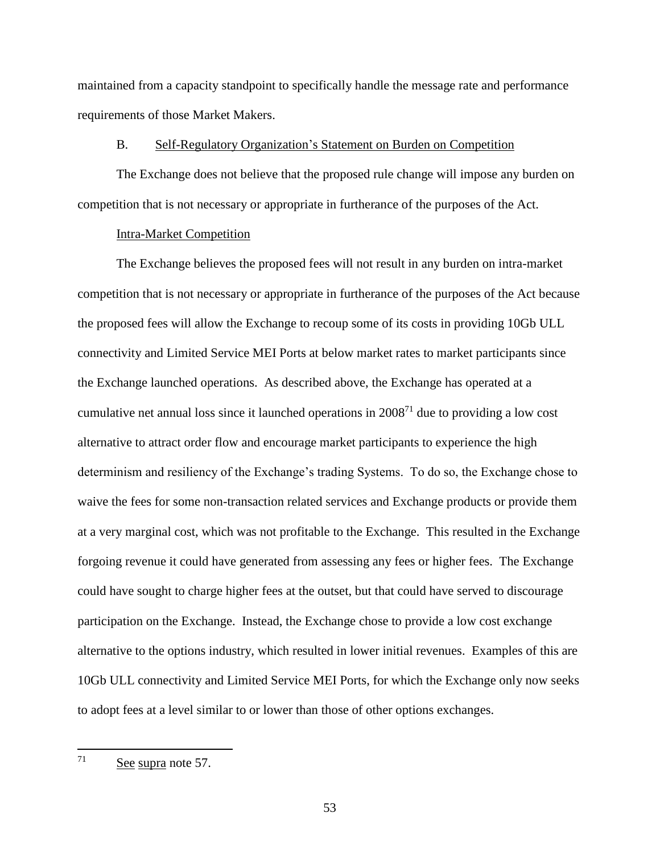maintained from a capacity standpoint to specifically handle the message rate and performance requirements of those Market Makers.

### B. Self-Regulatory Organization's Statement on Burden on Competition

The Exchange does not believe that the proposed rule change will impose any burden on competition that is not necessary or appropriate in furtherance of the purposes of the Act.

### Intra-Market Competition

The Exchange believes the proposed fees will not result in any burden on intra-market competition that is not necessary or appropriate in furtherance of the purposes of the Act because the proposed fees will allow the Exchange to recoup some of its costs in providing 10Gb ULL connectivity and Limited Service MEI Ports at below market rates to market participants since the Exchange launched operations. As described above, the Exchange has operated at a cumulative net annual loss since it launched operations in  $2008<sup>71</sup>$  due to providing a low cost alternative to attract order flow and encourage market participants to experience the high determinism and resiliency of the Exchange's trading Systems. To do so, the Exchange chose to waive the fees for some non-transaction related services and Exchange products or provide them at a very marginal cost, which was not profitable to the Exchange. This resulted in the Exchange forgoing revenue it could have generated from assessing any fees or higher fees. The Exchange could have sought to charge higher fees at the outset, but that could have served to discourage participation on the Exchange. Instead, the Exchange chose to provide a low cost exchange alternative to the options industry, which resulted in lower initial revenues. Examples of this are 10Gb ULL connectivity and Limited Service MEI Ports, for which the Exchange only now seeks to adopt fees at a level similar to or lower than those of other options exchanges.

<sup>71</sup> See supra note 57.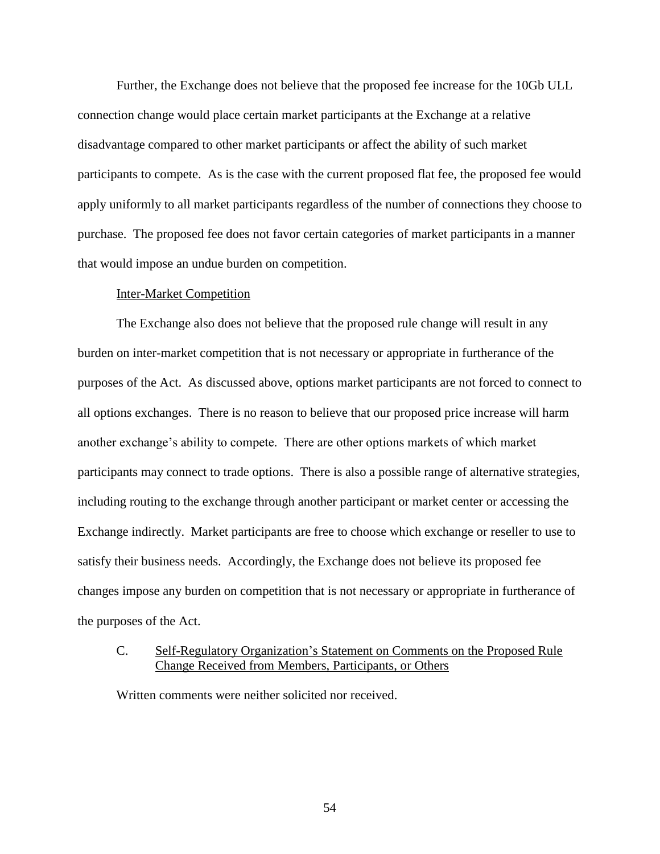Further, the Exchange does not believe that the proposed fee increase for the 10Gb ULL connection change would place certain market participants at the Exchange at a relative disadvantage compared to other market participants or affect the ability of such market participants to compete. As is the case with the current proposed flat fee, the proposed fee would apply uniformly to all market participants regardless of the number of connections they choose to purchase. The proposed fee does not favor certain categories of market participants in a manner that would impose an undue burden on competition.

### Inter-Market Competition

The Exchange also does not believe that the proposed rule change will result in any burden on inter-market competition that is not necessary or appropriate in furtherance of the purposes of the Act. As discussed above, options market participants are not forced to connect to all options exchanges. There is no reason to believe that our proposed price increase will harm another exchange's ability to compete. There are other options markets of which market participants may connect to trade options. There is also a possible range of alternative strategies, including routing to the exchange through another participant or market center or accessing the Exchange indirectly. Market participants are free to choose which exchange or reseller to use to satisfy their business needs. Accordingly, the Exchange does not believe its proposed fee changes impose any burden on competition that is not necessary or appropriate in furtherance of the purposes of the Act.

# C. Self-Regulatory Organization's Statement on Comments on the Proposed Rule Change Received from Members, Participants, or Others

Written comments were neither solicited nor received.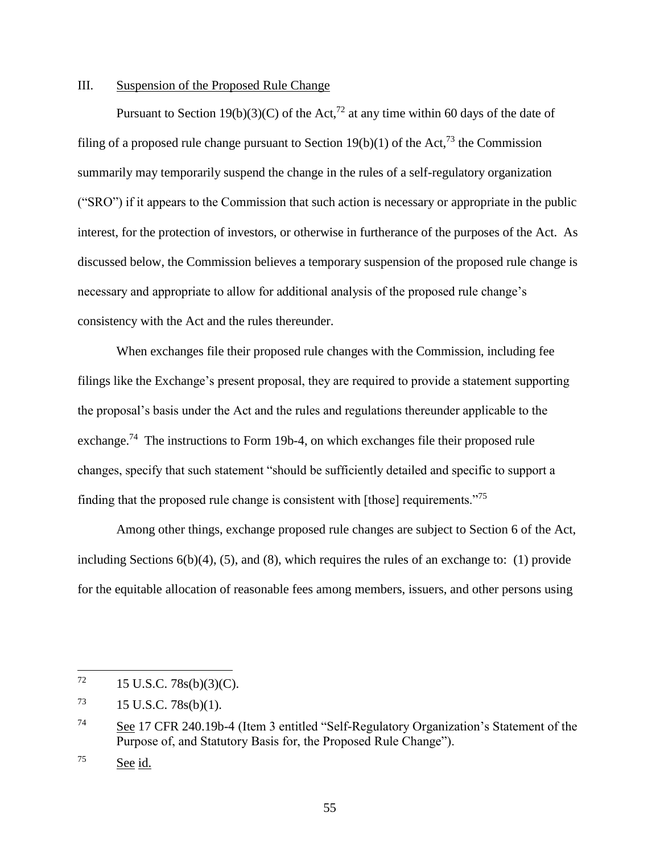# III. Suspension of the Proposed Rule Change

Pursuant to Section 19(b)(3)(C) of the Act,<sup>72</sup> at any time within 60 days of the date of filing of a proposed rule change pursuant to Section 19(b)(1) of the Act,<sup>73</sup> the Commission summarily may temporarily suspend the change in the rules of a self-regulatory organization ("SRO") if it appears to the Commission that such action is necessary or appropriate in the public interest, for the protection of investors, or otherwise in furtherance of the purposes of the Act. As discussed below, the Commission believes a temporary suspension of the proposed rule change is necessary and appropriate to allow for additional analysis of the proposed rule change's consistency with the Act and the rules thereunder.

When exchanges file their proposed rule changes with the Commission, including fee filings like the Exchange's present proposal, they are required to provide a statement supporting the proposal's basis under the Act and the rules and regulations thereunder applicable to the exchange.<sup>74</sup> The instructions to Form 19b-4, on which exchanges file their proposed rule changes, specify that such statement "should be sufficiently detailed and specific to support a finding that the proposed rule change is consistent with [those] requirements."<sup>75</sup>

Among other things, exchange proposed rule changes are subject to Section 6 of the Act, including Sections  $6(b)(4)$ ,  $(5)$ , and  $(8)$ , which requires the rules of an exchange to:  $(1)$  provide for the equitable allocation of reasonable fees among members, issuers, and other persons using

 $\overline{\phantom{a}}$ 

 $^{72}$  15 U.S.C. 78s(b)(3)(C).

 $^{73}$  15 U.S.C. 78s(b)(1).

<sup>74</sup> See 17 CFR 240.19b-4 (Item 3 entitled "Self-Regulatory Organization's Statement of the Purpose of, and Statutory Basis for, the Proposed Rule Change").

<sup>75</sup> See id.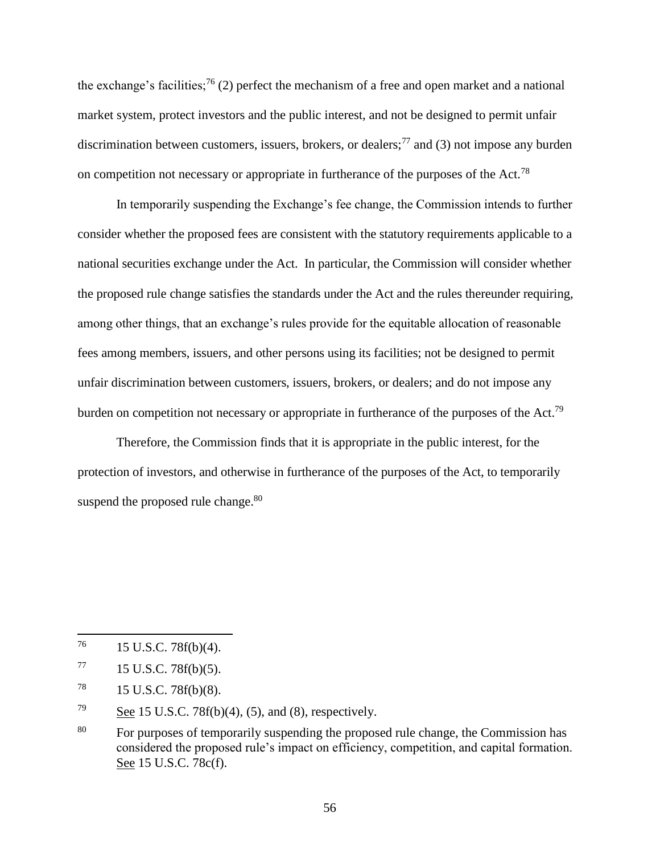the exchange's facilities;<sup>76</sup> (2) perfect the mechanism of a free and open market and a national market system, protect investors and the public interest, and not be designed to permit unfair discrimination between customers, issuers, brokers, or dealers;<sup>77</sup> and (3) not impose any burden on competition not necessary or appropriate in furtherance of the purposes of the Act.<sup>78</sup>

In temporarily suspending the Exchange's fee change, the Commission intends to further consider whether the proposed fees are consistent with the statutory requirements applicable to a national securities exchange under the Act. In particular, the Commission will consider whether the proposed rule change satisfies the standards under the Act and the rules thereunder requiring, among other things, that an exchange's rules provide for the equitable allocation of reasonable fees among members, issuers, and other persons using its facilities; not be designed to permit unfair discrimination between customers, issuers, brokers, or dealers; and do not impose any burden on competition not necessary or appropriate in furtherance of the purposes of the Act.<sup>79</sup>

Therefore, the Commission finds that it is appropriate in the public interest, for the protection of investors, and otherwise in furtherance of the purposes of the Act, to temporarily suspend the proposed rule change.<sup>80</sup>

 $\overline{a}$ 

 $^{76}$  15 U.S.C. 78f(b)(4).

 $^{77}$  15 U.S.C. 78f(b)(5).

<sup>78</sup> 15 U.S.C. 78f(b)(8).

<sup>79</sup> See 15 U.S.C. 78 $f(b)(4)$ , (5), and (8), respectively.

<sup>&</sup>lt;sup>80</sup> For purposes of temporarily suspending the proposed rule change, the Commission has considered the proposed rule's impact on efficiency, competition, and capital formation. See 15 U.S.C. 78c(f).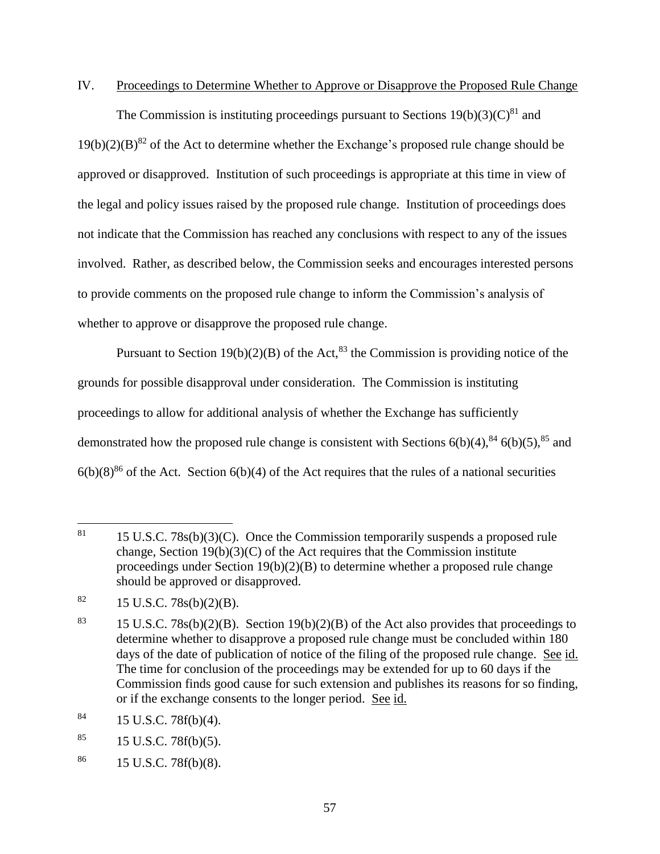# IV. Proceedings to Determine Whether to Approve or Disapprove the Proposed Rule Change

The Commission is instituting proceedings pursuant to Sections  $19(b)(3)(C)^{81}$  and  $19(b)(2)(B)^{82}$  of the Act to determine whether the Exchange's proposed rule change should be approved or disapproved. Institution of such proceedings is appropriate at this time in view of the legal and policy issues raised by the proposed rule change. Institution of proceedings does not indicate that the Commission has reached any conclusions with respect to any of the issues involved. Rather, as described below, the Commission seeks and encourages interested persons to provide comments on the proposed rule change to inform the Commission's analysis of whether to approve or disapprove the proposed rule change.

Pursuant to Section 19(b)(2)(B) of the Act,<sup>83</sup> the Commission is providing notice of the grounds for possible disapproval under consideration. The Commission is instituting proceedings to allow for additional analysis of whether the Exchange has sufficiently demonstrated how the proposed rule change is consistent with Sections  $6(b)(4)$ ,  $84$ ,  $6(b)(5)$ ,  $85$  and  $6(b)(8)^{86}$  of the Act. Section  $6(b)(4)$  of the Act requires that the rules of a national securities

 $86$  15 U.S.C. 78 $f(b)(8)$ .

<sup>81</sup> 15 U.S.C.  $78s(b)(3)(C)$ . Once the Commission temporarily suspends a proposed rule change, Section  $19(b)(3)(C)$  of the Act requires that the Commission institute proceedings under Section 19(b)(2)(B) to determine whether a proposed rule change should be approved or disapproved.

 $82 \t15$  U.S.C. 78s(b)(2)(B).

<sup>&</sup>lt;sup>83</sup> 15 U.S.C. 78s(b)(2)(B). Section 19(b)(2)(B) of the Act also provides that proceedings to determine whether to disapprove a proposed rule change must be concluded within 180 days of the date of publication of notice of the filing of the proposed rule change. See id. The time for conclusion of the proceedings may be extended for up to 60 days if the Commission finds good cause for such extension and publishes its reasons for so finding, or if the exchange consents to the longer period. See id.

 $84$  15 U.S.C. 78 $f(b)(4)$ .

 $85$  15 U.S.C. 78 $f(b)(5)$ .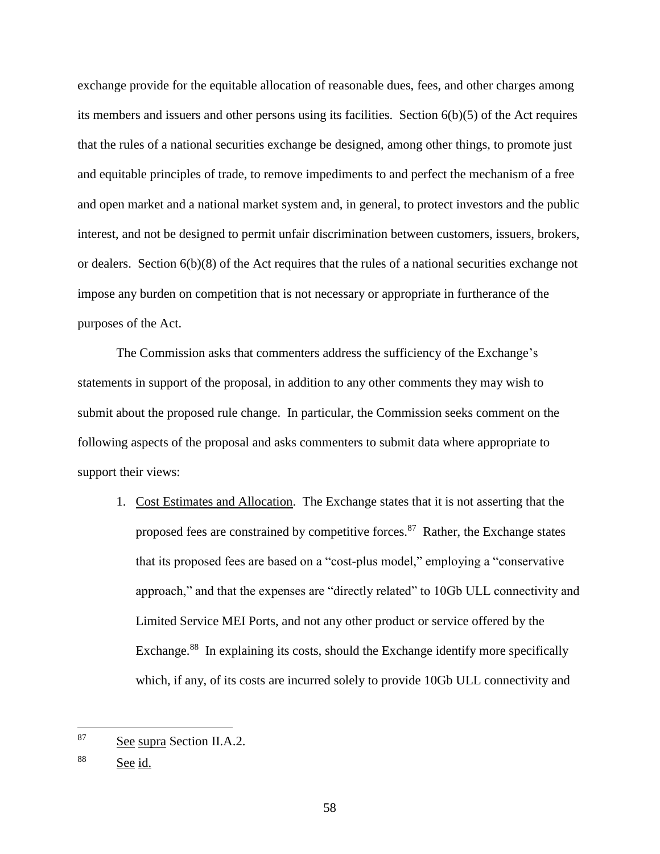exchange provide for the equitable allocation of reasonable dues, fees, and other charges among its members and issuers and other persons using its facilities. Section 6(b)(5) of the Act requires that the rules of a national securities exchange be designed, among other things, to promote just and equitable principles of trade, to remove impediments to and perfect the mechanism of a free and open market and a national market system and, in general, to protect investors and the public interest, and not be designed to permit unfair discrimination between customers, issuers, brokers, or dealers. Section 6(b)(8) of the Act requires that the rules of a national securities exchange not impose any burden on competition that is not necessary or appropriate in furtherance of the purposes of the Act.

The Commission asks that commenters address the sufficiency of the Exchange's statements in support of the proposal, in addition to any other comments they may wish to submit about the proposed rule change. In particular, the Commission seeks comment on the following aspects of the proposal and asks commenters to submit data where appropriate to support their views:

1. Cost Estimates and Allocation. The Exchange states that it is not asserting that the proposed fees are constrained by competitive forces.<sup>87</sup> Rather, the Exchange states that its proposed fees are based on a "cost-plus model," employing a "conservative approach," and that the expenses are "directly related" to 10Gb ULL connectivity and Limited Service MEI Ports, and not any other product or service offered by the Exchange.<sup>88</sup> In explaining its costs, should the Exchange identify more specifically which, if any, of its costs are incurred solely to provide 10Gb ULL connectivity and

<sup>87</sup> See supra Section II.A.2.

<sup>88</sup> See id.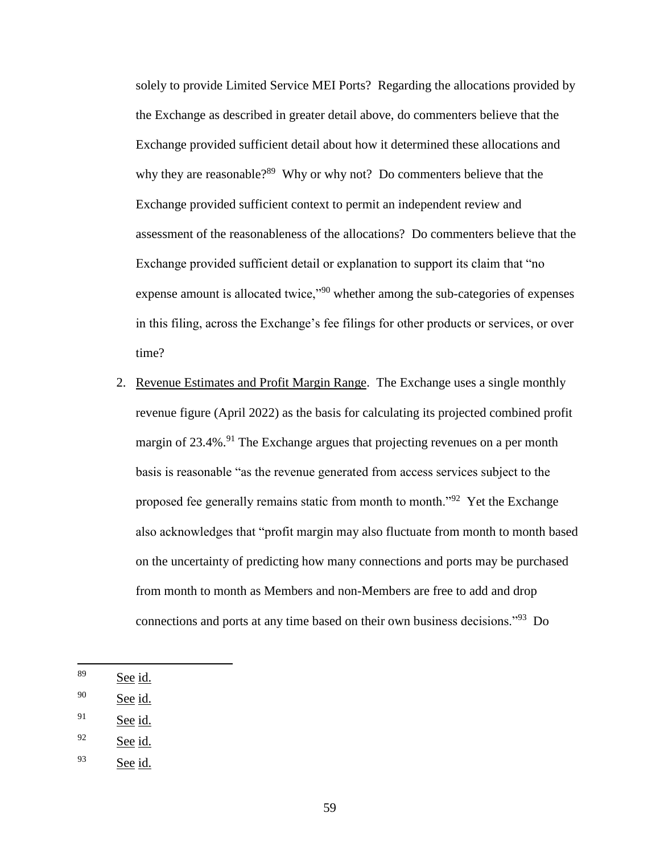solely to provide Limited Service MEI Ports? Regarding the allocations provided by the Exchange as described in greater detail above, do commenters believe that the Exchange provided sufficient detail about how it determined these allocations and why they are reasonable?<sup>89</sup> Why or why not? Do commenters believe that the Exchange provided sufficient context to permit an independent review and assessment of the reasonableness of the allocations? Do commenters believe that the Exchange provided sufficient detail or explanation to support its claim that "no expense amount is allocated twice,"<sup>90</sup> whether among the sub-categories of expenses in this filing, across the Exchange's fee filings for other products or services, or over time?

- 2. Revenue Estimates and Profit Margin Range. The Exchange uses a single monthly revenue figure (April 2022) as the basis for calculating its projected combined profit margin of 23.4%.<sup>91</sup> The Exchange argues that projecting revenues on a per month basis is reasonable "as the revenue generated from access services subject to the proposed fee generally remains static from month to month."<sup>92</sup> Yet the Exchange also acknowledges that "profit margin may also fluctuate from month to month based on the uncertainty of predicting how many connections and ports may be purchased from month to month as Members and non-Members are free to add and drop connections and ports at any time based on their own business decisions."<sup>93</sup> Do
- <sup>89</sup> See id.

 $\overline{\phantom{a}}$ 

- <sup>90</sup> See id.
- $91$  See id.
- $92$  See id.
- <sup>93</sup> See id.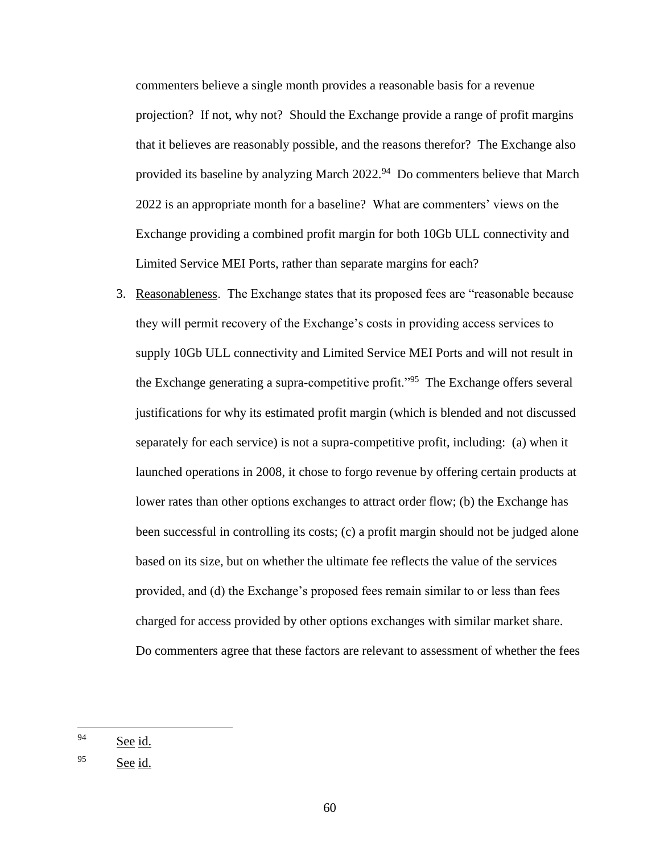commenters believe a single month provides a reasonable basis for a revenue projection? If not, why not? Should the Exchange provide a range of profit margins that it believes are reasonably possible, and the reasons therefor? The Exchange also provided its baseline by analyzing March 2022.<sup>94</sup> Do commenters believe that March 2022 is an appropriate month for a baseline? What are commenters' views on the Exchange providing a combined profit margin for both 10Gb ULL connectivity and Limited Service MEI Ports, rather than separate margins for each?

3. Reasonableness. The Exchange states that its proposed fees are "reasonable because they will permit recovery of the Exchange's costs in providing access services to supply 10Gb ULL connectivity and Limited Service MEI Ports and will not result in the Exchange generating a supra-competitive profit."<sup>95</sup> The Exchange offers several justifications for why its estimated profit margin (which is blended and not discussed separately for each service) is not a supra-competitive profit, including: (a) when it launched operations in 2008, it chose to forgo revenue by offering certain products at lower rates than other options exchanges to attract order flow; (b) the Exchange has been successful in controlling its costs; (c) a profit margin should not be judged alone based on its size, but on whether the ultimate fee reflects the value of the services provided, and (d) the Exchange's proposed fees remain similar to or less than fees charged for access provided by other options exchanges with similar market share. Do commenters agree that these factors are relevant to assessment of whether the fees

<sup>94</sup> See id.

<sup>95</sup> See id.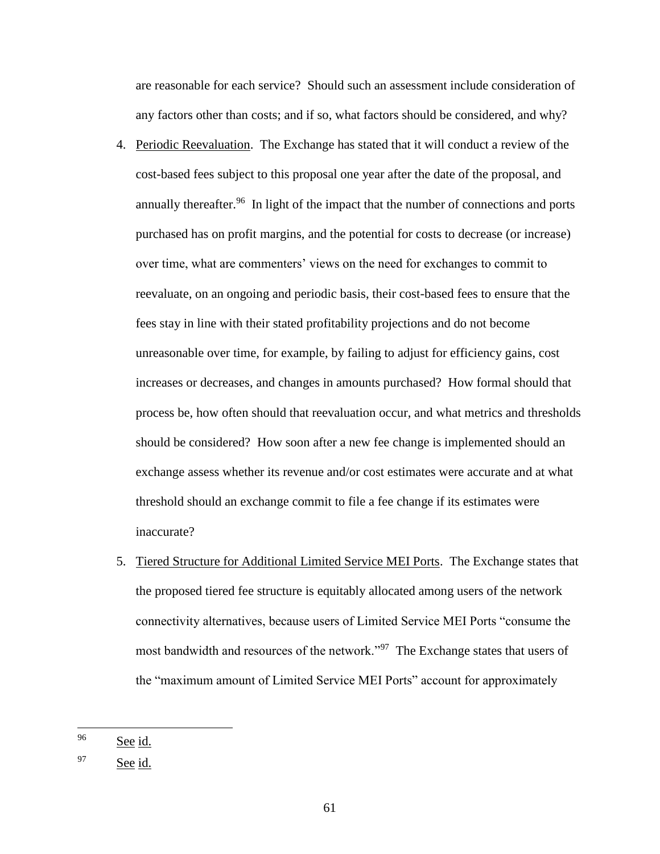are reasonable for each service? Should such an assessment include consideration of any factors other than costs; and if so, what factors should be considered, and why?

- 4. Periodic Reevaluation. The Exchange has stated that it will conduct a review of the cost-based fees subject to this proposal one year after the date of the proposal, and annually thereafter.<sup>96</sup> In light of the impact that the number of connections and ports purchased has on profit margins, and the potential for costs to decrease (or increase) over time, what are commenters' views on the need for exchanges to commit to reevaluate, on an ongoing and periodic basis, their cost-based fees to ensure that the fees stay in line with their stated profitability projections and do not become unreasonable over time, for example, by failing to adjust for efficiency gains, cost increases or decreases, and changes in amounts purchased? How formal should that process be, how often should that reevaluation occur, and what metrics and thresholds should be considered? How soon after a new fee change is implemented should an exchange assess whether its revenue and/or cost estimates were accurate and at what threshold should an exchange commit to file a fee change if its estimates were inaccurate?
- 5. Tiered Structure for Additional Limited Service MEI Ports. The Exchange states that the proposed tiered fee structure is equitably allocated among users of the network connectivity alternatives, because users of Limited Service MEI Ports "consume the most bandwidth and resources of the network."<sup>97</sup> The Exchange states that users of the "maximum amount of Limited Service MEI Ports" account for approximately

 $\overline{a}$ 

 $96$  See id.

<sup>97</sup> See id.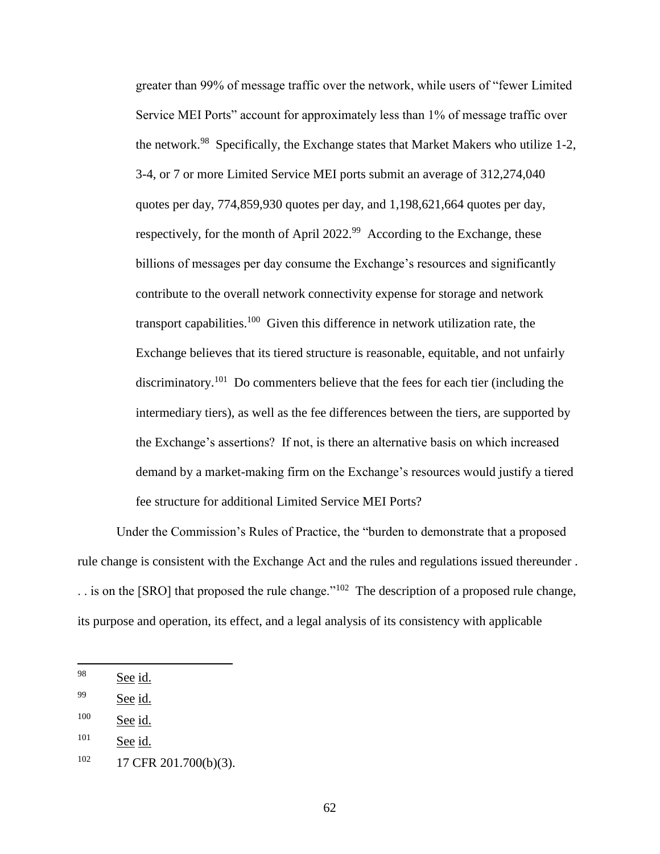greater than 99% of message traffic over the network, while users of "fewer Limited Service MEI Ports" account for approximately less than 1% of message traffic over the network.<sup>98</sup> Specifically, the Exchange states that Market Makers who utilize 1-2, 3-4, or 7 or more Limited Service MEI ports submit an average of 312,274,040 quotes per day, 774,859,930 quotes per day, and 1,198,621,664 quotes per day, respectively, for the month of April  $2022.^{99}$  According to the Exchange, these billions of messages per day consume the Exchange's resources and significantly contribute to the overall network connectivity expense for storage and network transport capabilities.<sup>100</sup> Given this difference in network utilization rate, the Exchange believes that its tiered structure is reasonable, equitable, and not unfairly discriminatory.<sup>101</sup> Do commenters believe that the fees for each tier (including the intermediary tiers), as well as the fee differences between the tiers, are supported by the Exchange's assertions? If not, is there an alternative basis on which increased demand by a market-making firm on the Exchange's resources would justify a tiered fee structure for additional Limited Service MEI Ports?

Under the Commission's Rules of Practice, the "burden to demonstrate that a proposed rule change is consistent with the Exchange Act and the rules and regulations issued thereunder .  $\ldots$  is on the [SRO] that proposed the rule change."<sup>102</sup> The description of a proposed rule change, its purpose and operation, its effect, and a legal analysis of its consistency with applicable

 $\overline{\phantom{a}}$ 

 $98$  See id.

<sup>99</sup> See id.

<sup>&</sup>lt;sup>100</sup> See id.

 $101$  See id.

 $102$  17 CFR 201.700(b)(3).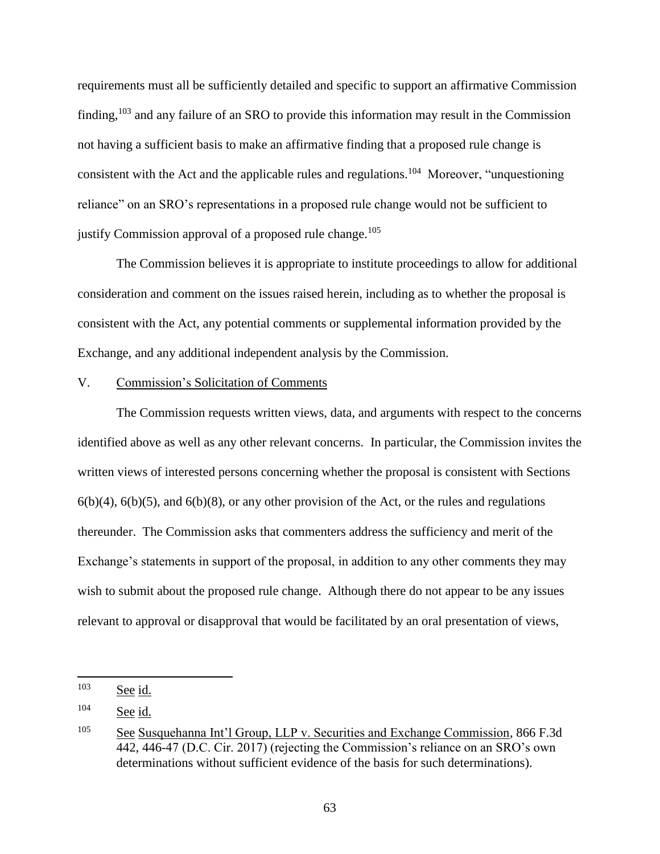requirements must all be sufficiently detailed and specific to support an affirmative Commission finding,<sup>103</sup> and any failure of an SRO to provide this information may result in the Commission not having a sufficient basis to make an affirmative finding that a proposed rule change is consistent with the Act and the applicable rules and regulations.<sup>104</sup> Moreover, "unquestioning reliance" on an SRO's representations in a proposed rule change would not be sufficient to justify Commission approval of a proposed rule change.<sup>105</sup>

The Commission believes it is appropriate to institute proceedings to allow for additional consideration and comment on the issues raised herein, including as to whether the proposal is consistent with the Act, any potential comments or supplemental information provided by the Exchange, and any additional independent analysis by the Commission.

# V. Commission's Solicitation of Comments

The Commission requests written views, data, and arguments with respect to the concerns identified above as well as any other relevant concerns. In particular, the Commission invites the written views of interested persons concerning whether the proposal is consistent with Sections  $6(b)(4)$ ,  $6(b)(5)$ , and  $6(b)(8)$ , or any other provision of the Act, or the rules and regulations thereunder. The Commission asks that commenters address the sufficiency and merit of the Exchange's statements in support of the proposal, in addition to any other comments they may wish to submit about the proposed rule change. Although there do not appear to be any issues relevant to approval or disapproval that would be facilitated by an oral presentation of views,

<sup>103</sup> See id.

<sup>104</sup> See id.

<sup>105</sup> See Susquehanna Int'l Group, LLP v. Securities and Exchange Commission, 866 F.3d 442, 446-47 (D.C. Cir. 2017) (rejecting the Commission's reliance on an SRO's own determinations without sufficient evidence of the basis for such determinations).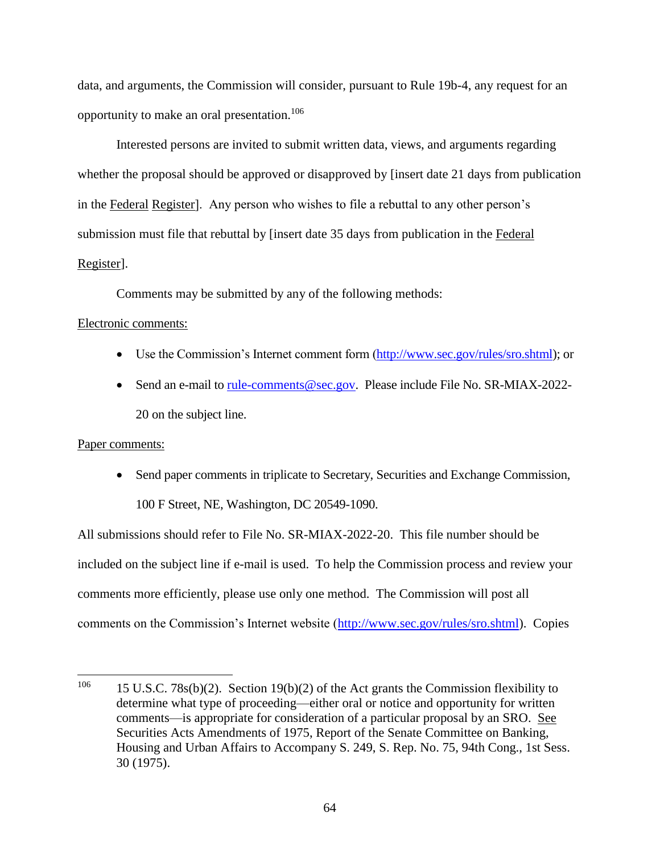data, and arguments, the Commission will consider, pursuant to Rule 19b-4, any request for an opportunity to make an oral presentation.<sup>106</sup>

Interested persons are invited to submit written data, views, and arguments regarding whether the proposal should be approved or disapproved by [insert date 21 days from publication in the Federal Register]. Any person who wishes to file a rebuttal to any other person's submission must file that rebuttal by [insert date 35 days from publication in the Federal Register].

Comments may be submitted by any of the following methods:

# Electronic comments:

- Use the Commission's Internet comment form [\(http://www.sec.gov/rules/sro.shtml\)](http://www.sec.gov/rules/sro.shtml); or
- Send an e-mail to [rule-comments@sec.gov.](mailto:rule-comments@sec.gov) Please include File No. SR-MIAX-2022-20 on the subject line.

# Paper comments:

 Send paper comments in triplicate to Secretary, Securities and Exchange Commission, 100 F Street, NE, Washington, DC 20549-1090.

All submissions should refer to File No. SR-MIAX-2022-20. This file number should be included on the subject line if e-mail is used. To help the Commission process and review your comments more efficiently, please use only one method. The Commission will post all comments on the Commission's Internet website [\(http://www.sec.gov/rules/sro.shtml\)](http://www.sec.gov/rules/sro.shtml). Copies

<sup>106</sup> 15 U.S.C. 78s(b)(2). Section 19(b)(2) of the Act grants the Commission flexibility to determine what type of proceeding—either oral or notice and opportunity for written comments—is appropriate for consideration of a particular proposal by an SRO. See Securities Acts Amendments of 1975, Report of the Senate Committee on Banking, Housing and Urban Affairs to Accompany S. 249, S. Rep. No. 75, 94th Cong., 1st Sess. 30 (1975).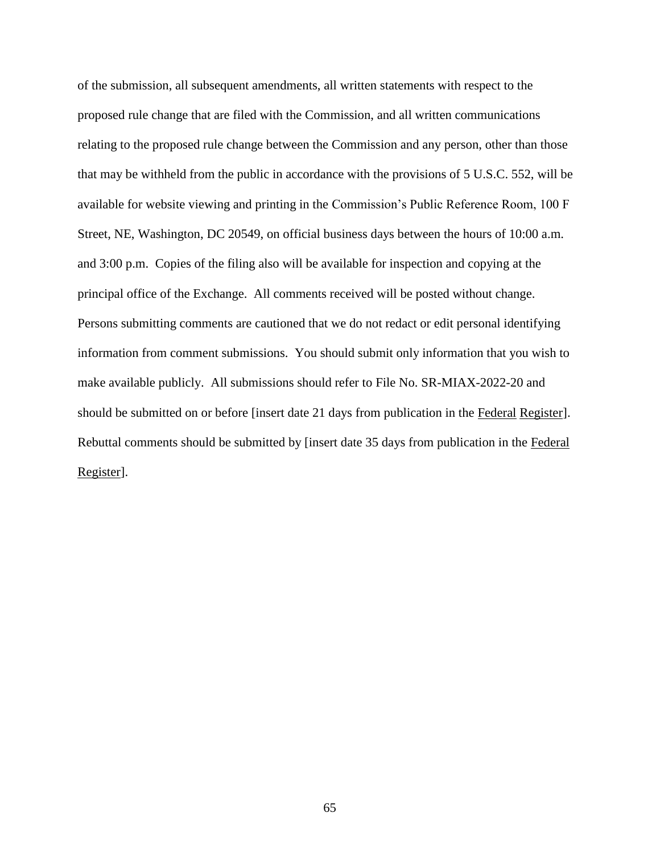of the submission, all subsequent amendments, all written statements with respect to the proposed rule change that are filed with the Commission, and all written communications relating to the proposed rule change between the Commission and any person, other than those that may be withheld from the public in accordance with the provisions of 5 U.S.C. 552, will be available for website viewing and printing in the Commission's Public Reference Room, 100 F Street, NE, Washington, DC 20549, on official business days between the hours of 10:00 a.m. and 3:00 p.m. Copies of the filing also will be available for inspection and copying at the principal office of the Exchange. All comments received will be posted without change. Persons submitting comments are cautioned that we do not redact or edit personal identifying information from comment submissions. You should submit only information that you wish to make available publicly. All submissions should refer to File No. SR-MIAX-2022-20 and should be submitted on or before [insert date 21 days from publication in the Federal Register]. Rebuttal comments should be submitted by [insert date 35 days from publication in the Federal Register].